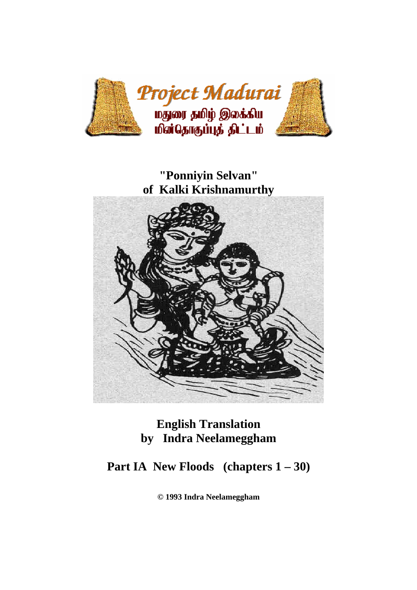

**"Ponniyin Selvan" of Kalki Krishnamurthy** 



**English Translation by Indra Neelameggham** 

**Part IA New Floods (chapters 1 – 30)** 

**© 1993 Indra Neelameggham**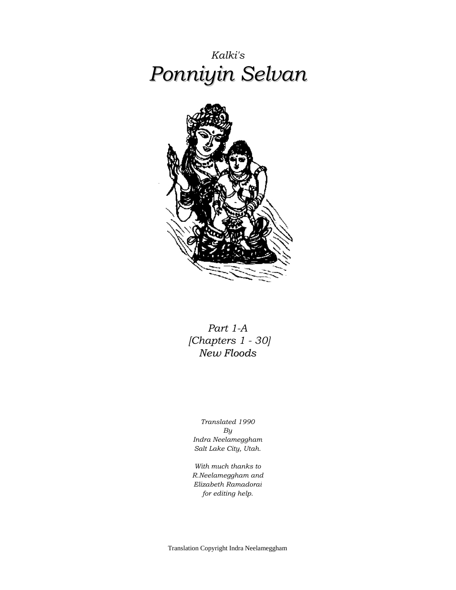*Kalki's Ponniyin Selvan*



*Part 1-A [Chapters 1 - 30] New Floods*

*Translated 1990 By Indra Neelameggham Salt Lake City, Utah.*

*With much thanks to R.Neelameggham and Elizabeth Ramadorai for editing help.*

Translation Copyright Indra Neelameggham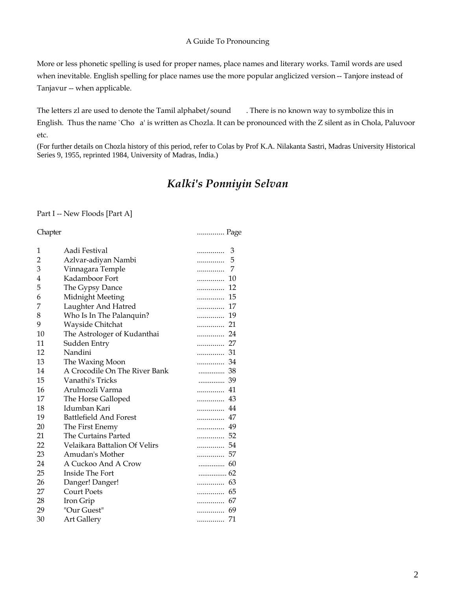## A Guide To Pronouncing

More or less phonetic spelling is used for proper names, place names and literary works. Tamil words are used when inevitable. English spelling for place names use the more popular anglicized version -- Tanjore instead of Tanjavur -- when applicable.

The letters zl are used to denote the Tamil alphabet/sound . There is no known way to symbolize this in

English. Thus the name `Cho a' is written as Chozla. It can be pronounced with the Z silent as in Chola, Paluvoor etc.

(For further details on Chozla history of this period, refer to Colas by Prof K.A. Nilakanta Sastri, Madras University Historical Series 9, 1955, reprinted 1984, University of Madras, India.)

# *Kalki's Ponniyin Selvan*

# Part I -- New Floods [Part A]

# Chapter .............. Page

| 1  | Aadi Festival                 | .  | 3  |
|----|-------------------------------|----|----|
| 2  | Azlvar-adiyan Nambi           | .  | 5  |
| 3  | Vinnagara Temple              | .  | 7  |
| 4  | Kadamboor Fort                | .  | 10 |
| 5  | The Gypsy Dance               |    | 12 |
| 6  | Midnight Meeting              | .  | 15 |
| 7  | Laughter And Hatred           | .  | 17 |
| 8  | Who Is In The Palanquin?      | .  | 19 |
| 9  | Wayside Chitchat              |    |    |
| 10 | The Astrologer of Kudanthai   | 24 |    |
| 11 | Sudden Entry                  | 27 |    |
| 12 | Nandini                       |    |    |
| 13 | The Waxing Moon               |    |    |
| 14 | A Crocodile On The River Bank |    |    |
| 15 | Vanathi's Tricks              |    |    |
| 16 | Arulmozli Varma               | .  | 41 |
| 17 | The Horse Galloped            |    |    |
| 18 | Idumban Kari                  | 44 |    |
| 19 | <b>Battlefield And Forest</b> | 47 |    |
| 20 | The First Enemy               |    |    |
| 21 | The Curtains Parted           | 52 |    |
| 22 | Velaikara Battalion Of Velirs | 54 |    |
| 23 | Amudan's Mother               | 57 |    |
| 24 | A Cuckoo And A Crow           |    |    |
| 25 | Inside The Fort               |    |    |
| 26 | Danger! Danger!               |    |    |
| 27 | <b>Court Poets</b>            | .  | 65 |
| 28 | Iron Grip                     |    |    |
| 29 | "Our Guest"                   |    |    |
| 30 | <b>Art Gallery</b>            |    |    |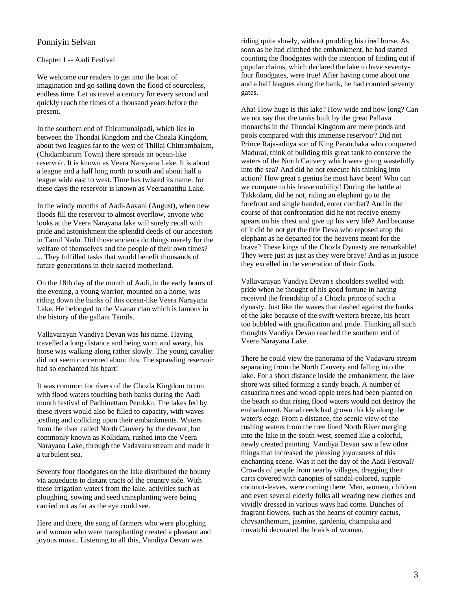# Ponniyin Selvan

Chapter 1 -- Aadi Festival

We welcome our readers to get into the boat of imagination and go sailing down the flood of sourceless, endless time. Let us travel a century for every second and quickly reach the times of a thousand years before the present.

In the southern end of Thirumunaipadi, which lies in between the Thondai Kingdom and the Chozla Kingdom, about two leagues far to the west of Thillai Chittrambalam, (Chidambaram Town) there spreads an ocean-like reservoir. It is known as Veera Narayana Lake. It is about a league and a half long north to south and about half a league wide east to west. Time has twisted its name: for these days the reservoir is known as Veeraanatthu Lake.

In the windy months of Aadi-Aavani (August), when new floods fill the reservoir to almost overflow, anyone who looks at the Veera Narayana lake will surely recall with pride and astonishment the splendid deeds of our ancestors in Tamil Nadu. Did those ancients do things merely for the welfare of themselves and the people of their own times? ... They fulfilled tasks that would benefit thousands of future generations in their sacred motherland.

On the 18th day of the month of Aadi, in the early hours of the evening, a young warrior, mounted on a horse, was riding down the banks of this ocean-like Veera Narayana Lake. He belonged to the Vaanar clan which is famous in the history of the gallant Tamils.

Vallavarayan Vandiya Devan was his name. Having travelled a long distance and being worn and weary, his horse was walking along rather slowly. The young cavalier did not seem concerned about this. The sprawling reservoir had so enchanted his heart!

It was common for rivers of the Chozla Kingdom to run with flood waters touching both banks during the Aadi month festival of Padhinettam Perukku. The lakes fed by these rivers would also be filled to capacity, with waves jostling and colliding upon their embankments. Waters from the river called North Cauvery by the devout, but commonly known as Kollidam, rushed into the Veera Narayana Lake, through the Vadavaru stream and made it a turbulent sea.

Seventy four floodgates on the lake distributed the bounty via aqueducts to distant tracts of the country side. With these irrigation waters from the lake, activities such as ploughing, sowing and seed transplanting were being carried out as far as the eye could see.

Here and there, the song of farmers who were ploughing and women who were transplanting created a pleasant and joyous music. Listening to all this, Vandiya Devan was

riding quite slowly, without prodding his tired horse. As soon as he had climbed the embankment, he had started counting the floodgates with the intention of finding out if popular claims, which declared the lake to have seventyfour floodgates, were true! After having come about one and a half leagues along the bank, he had counted seventy gates.

Aha! How huge is this lake? How wide and how long? Can we not say that the tanks built by the great Pallava monarchs in the Thondai Kingdom are mere ponds and pools compared with this immense reservoir? Did not Prince Raja-aditya son of King Paranthaka who conquered Madurai, think of building this great tank to conserve the waters of the North Cauvery which were going wastefully into the sea? And did he not execute his thinking into action? How great a genius he must have been! Who can we compare to his brave nobility! During the battle at Takkolam, did he not, riding an elephant go to the forefront and single handed, enter combat? And in the course of that confrontation did he not receive enemy spears on his chest and give up his very life? And because of it did he not get the title Deva who reposed atop the elephant as he departed for the heavens meant for the brave? These kings of the Chozla Dynasty are remarkable! They were just as just as they were brave! And as in justice they excelled in the veneration of their Gods.

Vallavarayan Vandiya Devan's shoulders swelled with pride when he thought of his good fortune in having received the friendship of a Chozla prince of such a dynasty. Just like the waves that dashed against the banks of the lake because of the swift western breeze, his heart too bubbled with gratification and pride. Thinking all such thoughts Vandiya Devan reached the southern end of Veera Narayana Lake.

There he could view the panorama of the Vadavaru stream separating from the North Cauvery and falling into the lake. For a short distance inside the embankment, the lake shore was silted forming a sandy beach. A number of casuarina trees and wood-apple trees had been planted on the beach so that rising flood waters would not destroy the embankment. Nanal reeds had grown thickly along the water's edge. From a distance, the scenic view of the rushing waters from the tree lined North River merging into the lake in the south-west, seemed like a colorful, newly created painting. Vandiya Devan saw a few other things that increased the pleasing joyousness of this enchanting scene. Was it not the day of the Aadi Festival? Crowds of people from nearby villages, dragging their carts covered with canopies of sandal-colored, supple coconut-leaves, were coming there. Men, women, children and even several elderly folks all wearing new clothes and vividly dressed in various ways had come. Bunches of fragrant flowers, such as the hearts of country cactus, chrysanthemum, jasmine, gardenia, champaka and iruvatchi decorated the braids of women.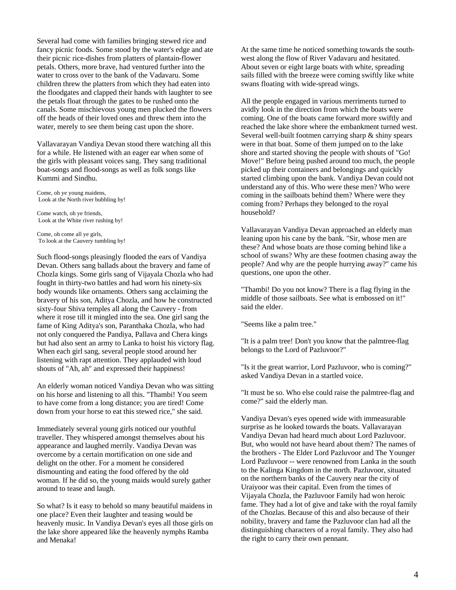Several had come with families bringing stewed rice and fancy picnic foods. Some stood by the water's edge and ate their picnic rice-dishes from platters of plantain-flower petals. Others, more brave, had ventured further into the water to cross over to the bank of the Vadavaru. Some children threw the platters from which they had eaten into the floodgates and clapped their hands with laughter to see the petals float through the gates to be rushed onto the canals. Some mischievous young men plucked the flowers off the heads of their loved ones and threw them into the water, merely to see them being cast upon the shore.

Vallavarayan Vandiya Devan stood there watching all this for a while. He listened with an eager ear when some of the girls with pleasant voices sang. They sang traditional boat-songs and flood-songs as well as folk songs like Kummi and Sindhu.

Come, oh ye young maidens, Look at the North river bubbling by!

Come watch, oh ye friends, Look at the White river rushing by!

Come, oh come all ye girls, To look at the Cauvery tumbling by!

Such flood-songs pleasingly flooded the ears of Vandiya Devan. Others sang ballads about the bravery and fame of Chozla kings. Some girls sang of Vijayala Chozla who had fought in thirty-two battles and had worn his ninety-six body wounds like ornaments. Others sang acclaiming the bravery of his son, Aditya Chozla, and how he constructed sixty-four Shiva temples all along the Cauvery - from where it rose till it mingled into the sea. One girl sang the fame of King Aditya's son, Paranthaka Chozla, who had not only conquered the Pandiya, Pallava and Chera kings but had also sent an army to Lanka to hoist his victory flag. When each girl sang, several people stood around her listening with rapt attention. They applauded with loud shouts of "Ah, ah" and expressed their happiness!

An elderly woman noticed Vandiya Devan who was sitting on his horse and listening to all this. "Thambi! You seem to have come from a long distance; you are tired! Come down from your horse to eat this stewed rice," she said.

Immediately several young girls noticed our youthful traveller. They whispered amongst themselves about his appearance and laughed merrily. Vandiya Devan was overcome by a certain mortification on one side and delight on the other. For a moment he considered dismounting and eating the food offered by the old woman. If he did so, the young maids would surely gather around to tease and laugh.

So what? Is it easy to behold so many beautiful maidens in one place? Even their laughter and teasing would be heavenly music. In Vandiya Devan's eyes all those girls on the lake shore appeared like the heavenly nymphs Ramba and Menaka!

At the same time he noticed something towards the southwest along the flow of River Vadavaru and hesitated. About seven or eight large boats with white, spreading sails filled with the breeze were coming swiftly like white swans floating with wide-spread wings.

All the people engaged in various merriments turned to avidly look in the direction from which the boats were coming. One of the boats came forward more swiftly and reached the lake shore where the embankment turned west. Several well-built footmen carrying sharp & shiny spears were in that boat. Some of them jumped on to the lake shore and started shoving the people with shouts of "Go! Move!" Before being pushed around too much, the people picked up their containers and belongings and quickly started climbing upon the bank. Vandiya Devan could not understand any of this. Who were these men? Who were coming in the sailboats behind them? Where were they coming from? Perhaps they belonged to the royal household?

Vallavarayan Vandiya Devan approached an elderly man leaning upon his cane by the bank. "Sir, whose men are these? And whose boats are those coming behind like a school of swans? Why are these footmen chasing away the people? And why are the people hurrying away?" came his questions, one upon the other.

"Thambi! Do you not know? There is a flag flying in the middle of those sailboats. See what is embossed on it!" said the elder.

"Seems like a palm tree."

"It is a palm tree! Don't you know that the palmtree-flag belongs to the Lord of Pazluvoor?"

"Is it the great warrior, Lord Pazluvoor, who is coming?" asked Vandiya Devan in a startled voice.

"It must be so. Who else could raise the palmtree-flag and come?" said the elderly man.

Vandiya Devan's eyes opened wide with immeasurable surprise as he looked towards the boats. Vallavarayan Vandiya Devan had heard much about Lord Pazluvoor. But, who would not have heard about them? The names of the brothers - The Elder Lord Pazluvoor and The Younger Lord Pazluvoor -- were renowned from Lanka in the south to the Kalinga Kingdom in the north. Pazluvoor, situated on the northern banks of the Cauvery near the city of Uraiyoor was their capital. Even from the times of Vijayala Chozla, the Pazluvoor Family had won heroic fame. They had a lot of give and take with the royal family of the Chozlas. Because of this and also because of their nobility, bravery and fame the Pazluvoor clan had all the distinguishing characters of a royal family. They also had the right to carry their own pennant.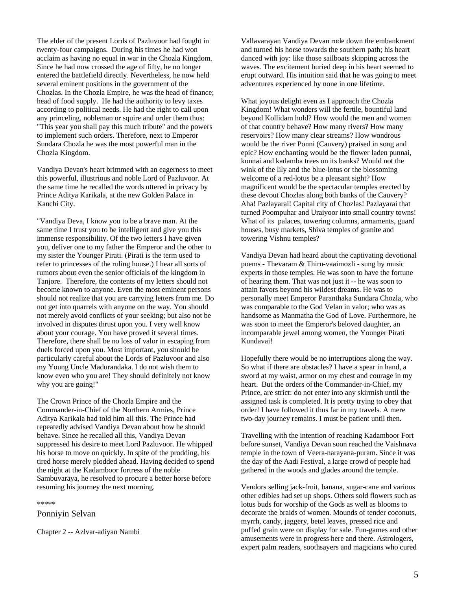The elder of the present Lords of Pazluvoor had fought in twenty-four campaigns. During his times he had won acclaim as having no equal in war in the Chozla Kingdom. Since he had now crossed the age of fifty, he no longer entered the battlefield directly. Nevertheless, he now held several eminent positions in the government of the Chozlas. In the Chozla Empire, he was the head of finance; head of food supply. He had the authority to levy taxes according to political needs. He had the right to call upon any princeling, nobleman or squire and order them thus: "This year you shall pay this much tribute" and the powers to implement such orders. Therefore, next to Emperor Sundara Chozla he was the most powerful man in the Chozla Kingdom.

Vandiya Devan's heart brimmed with an eagerness to meet this powerful, illustrious and noble Lord of Pazluvoor. At the same time he recalled the words uttered in privacy by Prince Aditya Karikala, at the new Golden Palace in Kanchi City.

"Vandiya Deva, I know you to be a brave man. At the same time I trust you to be intelligent and give you this immense responsibility. Of the two letters I have given you, deliver one to my father the Emperor and the other to my sister the Younger Pirati. (Pirati is the term used to refer to princesses of the ruling house.) I hear all sorts of rumors about even the senior officials of the kingdom in Tanjore. Therefore, the contents of my letters should not become known to anyone. Even the most eminent persons should not realize that you are carrying letters from me. Do not get into quarrels with anyone on the way. You should not merely avoid conflicts of your seeking; but also not be involved in disputes thrust upon you. I very well know about your courage. You have proved it several times. Therefore, there shall be no loss of valor in escaping from duels forced upon you. Most important, you should be particularly careful about the Lords of Pazluvoor and also my Young Uncle Madurandaka. I do not wish them to know even who you are! They should definitely not know why you are going!"

The Crown Prince of the Chozla Empire and the Commander-in-Chief of the Northern Armies, Prince Aditya Karikala had told him all this. The Prince had repeatedly advised Vandiya Devan about how he should behave. Since he recalled all this, Vandiya Devan suppressed his desire to meet Lord Pazluvoor. He whipped his horse to move on quickly. In spite of the prodding, his tired horse merely plodded ahead. Having decided to spend the night at the Kadamboor fortress of the noble Sambuvaraya, he resolved to procure a better horse before resuming his journey the next morning.

\*\*\*\*\*

Ponniyin Selvan

Chapter 2 -- Azlvar-adiyan Nambi

Vallavarayan Vandiya Devan rode down the embankment and turned his horse towards the southern path; his heart danced with joy: like those sailboats skipping across the waves. The excitement buried deep in his heart seemed to erupt outward. His intuition said that he was going to meet adventures experienced by none in one lifetime.

What joyous delight even as I approach the Chozla Kingdom! What wonders will the fertile, bountiful land beyond Kollidam hold? How would the men and women of that country behave? How many rivers? How many reservoirs? How many clear streams? How wondrous would be the river Ponni (Cauvery) praised in song and epic? How enchanting would be the flower laden punnai, konnai and kadamba trees on its banks? Would not the wink of the lily and the blue-lotus or the blossoming welcome of a red-lotus be a pleasant sight? How magnificent would be the spectacular temples erected by these devout Chozlas along both banks of the Cauvery? Aha! Pazlayarai! Capital city of Chozlas! Pazlayarai that turned Poompuhar and Uraiyoor into small country towns! What of its palaces, towering columns, armaments, guard houses, busy markets, Shiva temples of granite and towering Vishnu temples?

Vandiya Devan had heard about the captivating devotional poems - Thevaram & Thiru-vaaimozli - sung by music experts in those temples. He was soon to have the fortune of hearing them. That was not just it -- he was soon to attain favors beyond his wildest dreams. He was to personally meet Emperor Paranthaka Sundara Chozla, who was comparable to the God Velan in valor; who was as handsome as Manmatha the God of Love. Furthermore, he was soon to meet the Emperor's beloved daughter, an incomparable jewel among women, the Younger Pirati Kundavai!

Hopefully there would be no interruptions along the way. So what if there are obstacles? I have a spear in hand, a sword at my waist, armor on my chest and courage in my heart. But the orders of the Commander-in-Chief, my Prince, are strict: do not enter into any skirmish until the assigned task is completed. It is pretty trying to obey that order! I have followed it thus far in my travels. A mere two-day journey remains. I must be patient until then.

Travelling with the intention of reaching Kadamboor Fort before sunset, Vandiya Devan soon reached the Vaishnava temple in the town of Veera-narayana-puram. Since it was the day of the Aadi Festival, a large crowd of people had gathered in the woods and glades around the temple.

Vendors selling jack-fruit, banana, sugar-cane and various other edibles had set up shops. Others sold flowers such as lotus buds for worship of the Gods as well as blooms to decorate the braids of women. Mounds of tender coconuts, myrrh, candy, jaggery, betel leaves, pressed rice and puffed grain were on display for sale. Fun-games and other amusements were in progress here and there. Astrologers, expert palm readers, soothsayers and magicians who cured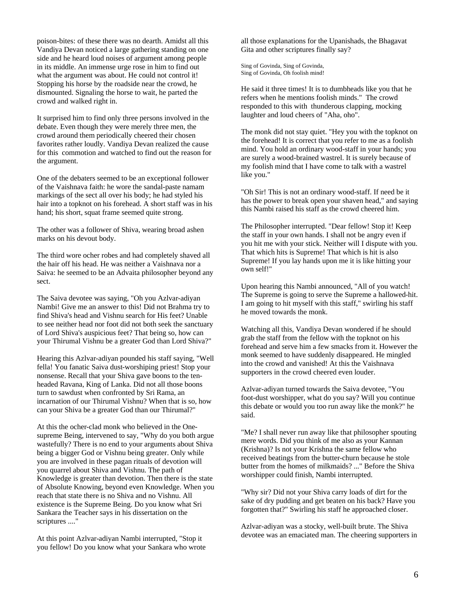poison-bites: of these there was no dearth. Amidst all this Vandiya Devan noticed a large gathering standing on one side and he heard loud noises of argument among people in its middle. An immense urge rose in him to find out what the argument was about. He could not control it! Stopping his horse by the roadside near the crowd, he dismounted. Signaling the horse to wait, he parted the crowd and walked right in.

It surprised him to find only three persons involved in the debate. Even though they were merely three men, the crowd around them periodically cheered their chosen favorites rather loudly. Vandiya Devan realized the cause for this commotion and watched to find out the reason for the argument.

One of the debaters seemed to be an exceptional follower of the Vaishnava faith: he wore the sandal-paste namam markings of the sect all over his body; he had styled his hair into a topknot on his forehead. A short staff was in his hand; his short, squat frame seemed quite strong.

The other was a follower of Shiva, wearing broad ashen marks on his devout body.

The third wore ocher robes and had completely shaved all the hair off his head. He was neither a Vaishnava nor a Saiva: he seemed to be an Advaita philosopher beyond any sect.

The Saiva devotee was saying, "Oh you Azlvar-adiyan Nambi! Give me an answer to this! Did not Brahma try to find Shiva's head and Vishnu search for His feet? Unable to see neither head nor foot did not both seek the sanctuary of Lord Shiva's auspicious feet? That being so, how can your Thirumal Vishnu be a greater God than Lord Shiva?"

Hearing this Azlvar-adiyan pounded his staff saying, "Well fella! You fanatic Saiva dust-worshiping priest! Stop your nonsense. Recall that your Shiva gave boons to the tenheaded Ravana, King of Lanka. Did not all those boons turn to sawdust when confronted by Sri Rama, an incarnation of our Thirumal Vishnu? When that is so, how can your Shiva be a greater God than our Thirumal?"

At this the ocher-clad monk who believed in the Onesupreme Being, intervened to say, "Why do you both argue wastefully? There is no end to your arguments about Shiva being a bigger God or Vishnu being greater. Only while you are involved in these pagan rituals of devotion will you quarrel about Shiva and Vishnu. The path of Knowledge is greater than devotion. Then there is the state of Absolute Knowing, beyond even Knowledge. When you reach that state there is no Shiva and no Vishnu. All existence is the Supreme Being. Do you know what Sri Sankara the Teacher says in his dissertation on the scriptures ...."

At this point Azlvar-adiyan Nambi interrupted, "Stop it you fellow! Do you know what your Sankara who wrote all those explanations for the Upanishads, the Bhagavat Gita and other scriptures finally say?

Sing of Govinda, Sing of Govinda, Sing of Govinda, Oh foolish mind!

He said it three times! It is to dumbheads like you that he refers when he mentions foolish minds." The crowd responded to this with thunderous clapping, mocking laughter and loud cheers of "Aha, oho".

The monk did not stay quiet. "Hey you with the topknot on the forehead! It is correct that you refer to me as a foolish mind. You hold an ordinary wood-staff in your hands; you are surely a wood-brained wastrel. It is surely because of my foolish mind that I have come to talk with a wastrel like you."

"Oh Sir! This is not an ordinary wood-staff. If need be it has the power to break open your shaven head," and saying this Nambi raised his staff as the crowd cheered him.

The Philosopher interrupted. "Dear fellow! Stop it! Keep the staff in your own hands. I shall not be angry even if you hit me with your stick. Neither will I dispute with you. That which hits is Supreme! That which is hit is also Supreme! If you lay hands upon me it is like hitting your own self!"

Upon hearing this Nambi announced, "All of you watch! The Supreme is going to serve the Supreme a hallowed-hit. I am going to hit myself with this staff," swirling his staff he moved towards the monk.

Watching all this, Vandiya Devan wondered if he should grab the staff from the fellow with the topknot on his forehead and serve him a few smacks from it. However the monk seemed to have suddenly disappeared. He mingled into the crowd and vanished! At this the Vaishnava supporters in the crowd cheered even louder.

Azlvar-adiyan turned towards the Saiva devotee, "You foot-dust worshipper, what do you say? Will you continue this debate or would you too run away like the monk?" he said.

"Me? I shall never run away like that philosopher spouting mere words. Did you think of me also as your Kannan (Krishna)? Is not your Krishna the same fellow who received beatings from the butter-churn because he stole butter from the homes of milkmaids? ..." Before the Shiva worshipper could finish, Nambi interrupted.

"Why sir? Did not your Shiva carry loads of dirt for the sake of dry pudding and get beaten on his back? Have you forgotten that?" Swirling his staff he approached closer.

Azlvar-adiyan was a stocky, well-built brute. The Shiva devotee was an emaciated man. The cheering supporters in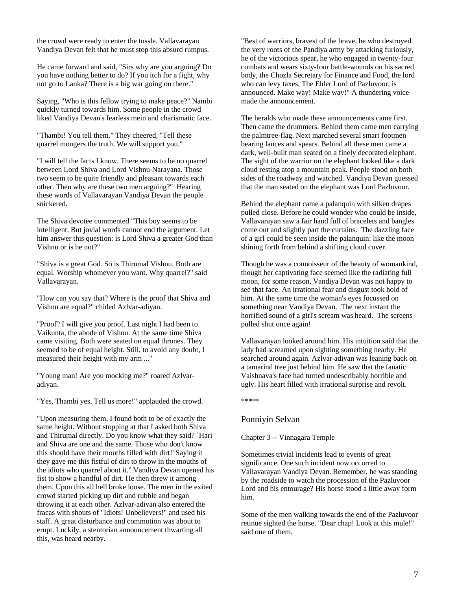the crowd were ready to enter the tussle. Vallavarayan Vandiya Devan felt that he must stop this absurd rumpus.

He came forward and said, "Sirs why are you arguing? Do you have nothing better to do? If you itch for a fight, why not go to Lanka? There is a big war going on there."

Saying, "Who is this fellow trying to make peace?" Nambi quickly turned towards him. Some people in the crowd liked Vandiya Devan's fearless mein and charismatic face.

"Thambi! You tell them." They cheered, "Tell these quarrel mongers the truth. We will support you."

"I will tell the facts I know. There seems to be no quarrel between Lord Shiva and Lord Vishnu-Narayana. Those two seem to be quite friendly and pleasant towards each other. Then why are these two men arguing?" Hearing these words of Vallavarayan Vandiya Devan the people snickered.

The Shiva devotee commented "This boy seems to be intelligent. But jovial words cannot end the argument. Let him answer this question: is Lord Shiva a greater God than Vishnu or is he not?"

"Shiva is a great God. So is Thirumal Vishnu. Both are equal. Worship whomever you want. Why quarrel?" said Vallavarayan.

"How can you say that? Where is the proof that Shiva and Vishnu are equal?" chided Azlvar-adiyan.

"Proof? I will give you proof. Last night I had been to Vaikunta, the abode of Vishnu. At the same time Shiva came visiting. Both were seated on equal thrones. They seemed to be of equal height. Still, to avoid any doubt, I measured their height with my arm ..."

"Young man! Are you mocking me?" roared Azlvaradiyan.

"Yes, Thambi yes. Tell us more!" applauded the crowd.

"Upon measuring them, I found both to be of exactly the same height. Without stopping at that I asked both Shiva and Thirumal directly. Do you know what they said? `Hari and Shiva are one and the same. Those who don't know this should have their mouths filled with dirt!' Saying it they gave me this fistful of dirt to throw in the mouths of the idiots who quarrel about it." Vandiya Devan opened his fist to show a handful of dirt. He then threw it among them. Upon this all hell broke loose. The men in the exited crowd started picking up dirt and rubble and began throwing it at each other. Azlvar-adiyan also entered the fracas with shouts of "Idiots! Unbelievers!" and used his staff. A great disturbance and commotion was about to erupt. Luckily, a stentorian announcement thwarting all this, was heard nearby.

"Best of warriors, bravest of the brave, he who destroyed the very roots of the Pandiya army by attacking furiously, he of the victorious spear, he who engaged in twenty-four combats and wears sixty-four battle-wounds on his sacred body, the Chozla Secretary for Finance and Food, the lord who can levy taxes, The Elder Lord of Pazluvoor, is announced. Make way! Make way!" A thundering voice made the announcement.

The heralds who made these announcements came first. Then came the drummers. Behind them came men carrying the palmtree-flag. Next marched several smart footmen bearing lances and spears. Behind all these men came a dark, well-built man seated on a finely decorated elephant. The sight of the warrior on the elephant looked like a dark cloud resting atop a mountain peak. People stood on both sides of the roadway and watched. Vandiya Devan guessed that the man seated on the elephant was Lord Pazluvoor.

Behind the elephant came a palanquin with silken drapes pulled close. Before he could wonder who could be inside, Vallavarayan saw a fair hand full of bracelets and bangles come out and slightly part the curtains. The dazzling face of a girl could be seen inside the palanquin: like the moon shining forth from behind a shifting cloud cover.

Though he was a connoisseur of the beauty of womankind, though her captivating face seemed like the radiating full moon, for some reason, Vandiya Devan was not happy to see that face. An irrational fear and disgust took hold of him. At the same time the woman's eyes focussed on something near Vandiya Devan. The next instant the horrified sound of a girl's scream was heard. The screens pulled shut once again!

Vallavarayan looked around him. His intuition said that the lady had screamed upon sighting something nearby. He searched around again. Azlvar-adiyan was leaning back on a tamarind tree just behind him. He saw that the fanatic Vaishnava's face had turned undescribably horrible and ugly. His heart filled with irrational surprise and revolt.

\*\*\*\*\*

# Ponniyin Selvan

Chapter 3 -- Vinnagara Temple

Sometimes trivial incidents lead to events of great significance. One such incident now occurred to Vallavarayan Vandiya Devan. Remember, he was standing by the roadside to watch the procession of the Pazluvoor Lord and his entourage? His horse stood a little away form him.

Some of the men walking towards the end of the Pazluvoor retinue sighted the horse. "Dear chap! Look at this mule!" said one of them.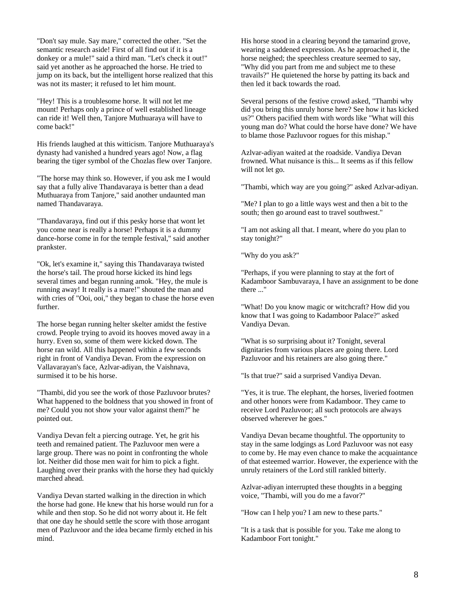"Don't say mule. Say mare," corrected the other. "Set the semantic research aside! First of all find out if it is a donkey or a mule!" said a third man. "Let's check it out!" said yet another as he approached the horse. He tried to jump on its back, but the intelligent horse realized that this was not its master; it refused to let him mount.

"Hey! This is a troublesome horse. It will not let me mount! Perhaps only a prince of well established lineage can ride it! Well then, Tanjore Muthuaraya will have to come back!"

His friends laughed at this witticism. Tanjore Muthuaraya's dynasty had vanished a hundred years ago! Now, a flag bearing the tiger symbol of the Chozlas flew over Tanjore.

"The horse may think so. However, if you ask me I would say that a fully alive Thandavaraya is better than a dead Muthuaraya from Tanjore," said another undaunted man named Thandavaraya.

"Thandavaraya, find out if this pesky horse that wont let you come near is really a horse! Perhaps it is a dummy dance-horse come in for the temple festival," said another prankster.

"Ok, let's examine it," saying this Thandavaraya twisted the horse's tail. The proud horse kicked its hind legs several times and began running amok. "Hey, the mule is running away! It really is a mare!" shouted the man and with cries of "Ooi, ooi," they began to chase the horse even further.

The horse began running helter skelter amidst the festive crowd. People trying to avoid its hooves moved away in a hurry. Even so, some of them were kicked down. The horse ran wild. All this happened within a few seconds right in front of Vandiya Devan. From the expression on Vallavarayan's face, Azlvar-adiyan, the Vaishnava, surmised it to be his horse.

"Thambi, did you see the work of those Pazluvoor brutes? What happened to the boldness that you showed in front of me? Could you not show your valor against them?" he pointed out.

Vandiya Devan felt a piercing outrage. Yet, he grit his teeth and remained patient. The Pazluvoor men were a large group. There was no point in confronting the whole lot. Neither did those men wait for him to pick a fight. Laughing over their pranks with the horse they had quickly marched ahead.

Vandiya Devan started walking in the direction in which the horse had gone. He knew that his horse would run for a while and then stop. So he did not worry about it. He felt that one day he should settle the score with those arrogant men of Pazluvoor and the idea became firmly etched in his mind.

His horse stood in a clearing beyond the tamarind grove, wearing a saddened expression. As he approached it, the horse neighed; the speechless creature seemed to say, "Why did you part from me and subject me to these travails?" He quietened the horse by patting its back and then led it back towards the road.

Several persons of the festive crowd asked, "Thambi why did you bring this unruly horse here? See how it has kicked us?" Others pacified them with words like "What will this young man do? What could the horse have done? We have to blame those Pazluvoor rogues for this mishap."

Azlvar-adiyan waited at the roadside. Vandiya Devan frowned. What nuisance is this... It seems as if this fellow will not let go.

"Thambi, which way are you going?" asked Azlvar-adiyan.

"Me? I plan to go a little ways west and then a bit to the south; then go around east to travel southwest."

"I am not asking all that. I meant, where do you plan to stay tonight?"

"Why do you ask?"

"Perhaps, if you were planning to stay at the fort of Kadamboor Sambuvaraya, I have an assignment to be done there ..."

"What! Do you know magic or witchcraft? How did you know that I was going to Kadamboor Palace?" asked Vandiya Devan.

"What is so surprising about it? Tonight, several dignitaries from various places are going there. Lord Pazluvoor and his retainers are also going there."

"Is that true?" said a surprised Vandiya Devan.

"Yes, it is true. The elephant, the horses, liveried footmen and other honors were from Kadamboor. They came to receive Lord Pazluvoor; all such protocols are always observed wherever he goes."

Vandiya Devan became thoughtful. The opportunity to stay in the same lodgings as Lord Pazluvoor was not easy to come by. He may even chance to make the acquaintance of that esteemed warrior. However, the experience with the unruly retainers of the Lord still rankled bitterly.

Azlvar-adiyan interrupted these thoughts in a begging voice, "Thambi, will you do me a favor?"

"How can I help you? I am new to these parts."

"It is a task that is possible for you. Take me along to Kadamboor Fort tonight."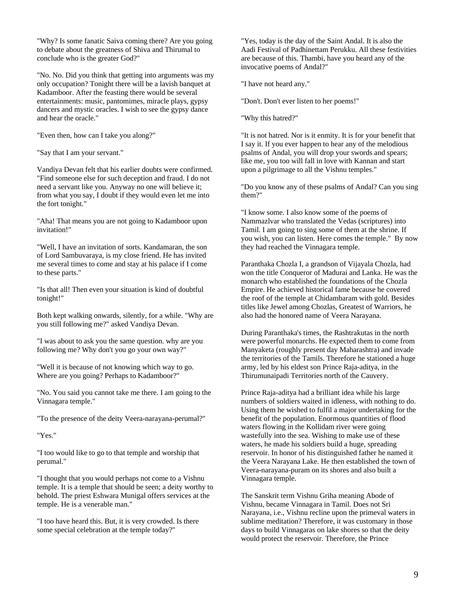"Why? Is some fanatic Saiva coming there? Are you going to debate about the greatness of Shiva and Thirumal to conclude who is the greater God?"

"No. No. Did you think that getting into arguments was my only occupation? Tonight there will be a lavish banquet at Kadamboor. After the feasting there would be several entertainments: music, pantomimes, miracle plays, gypsy dancers and mystic oracles. I wish to see the gypsy dance and hear the oracle."

"Even then, how can I take you along?"

"Say that I am your servant."

Vandiya Devan felt that his earlier doubts were confirmed. "Find someone else for such deception and fraud. I do not need a servant like you. Anyway no one will believe it; from what you say, I doubt if they would even let me into the fort tonight."

"Aha! That means you are not going to Kadamboor upon invitation!"

"Well, I have an invitation of sorts. Kandamaran, the son of Lord Sambuvaraya, is my close friend. He has invited me several times to come and stay at his palace if I come to these parts."

"Is that all! Then even your situation is kind of doubtful tonight!"

Both kept walking onwards, silently, for a while. "Why are you still following me?" asked Vandiya Devan.

"I was about to ask you the same question. why are you following me? Why don't you go your own way?"

"Well it is because of not knowing which way to go. Where are you going? Perhaps to Kadamboor?"

"No. You said you cannot take me there. I am going to the Vinnagara temple."

"To the presence of the deity Veera-narayana-perumal?"

"Yes."

"I too would like to go to that temple and worship that perumal."

"I thought that you would perhaps not come to a Vishnu temple. It is a temple that should be seen; a deity worthy to behold. The priest Eshwara Munigal offers services at the temple. He is a venerable man."

"I too have heard this. But, it is very crowded. Is there some special celebration at the temple today?"

"Yes, today is the day of the Saint Andal. It is also the Aadi Festival of Padhinettam Perukku. All these festivities are because of this. Thambi, have you heard any of the invocative poems of Andal?"

"I have not heard any."

"Don't. Don't ever listen to her poems!"

"Why this hatred?"

"It is not hatred. Nor is it enmity. It is for your benefit that I say it. If you ever happen to hear any of the melodious psalms of Andal, you will drop your swords and spears; like me, you too will fall in love with Kannan and start upon a pilgrimage to all the Vishnu temples."

"Do you know any of these psalms of Andal? Can you sing them?"

"I know some. I also know some of the poems of Nammazlvar who translated the Vedas (scriptures) into Tamil. I am going to sing some of them at the shrine. If you wish, you can listen. Here comes the temple." By now they had reached the Vinnagara temple.

Paranthaka Chozla I, a grandson of Vijayala Chozla, had won the title Conqueror of Madurai and Lanka. He was the monarch who established the foundations of the Chozla Empire. He achieved historical fame because he covered the roof of the temple at Chidambaram with gold. Besides titles like Jewel among Chozlas, Greatest of Warriors, he also had the honored name of Veera Narayana.

During Paranthaka's times, the Rashtrakutas in the north were powerful monarchs. He expected them to come from Manyaketa (roughly present day Maharashtra) and invade the territories of the Tamils. Therefore he stationed a huge army, led by his eldest son Prince Raja-aditya, in the Thirumunaipadi Territories north of the Cauvery.

Prince Raja-aditya had a brilliant idea while his large numbers of soldiers waited in idleness, with nothing to do. Using them he wished to fulfil a major undertaking for the benefit of the population. Enormous quantities of flood waters flowing in the Kollidam river were going wastefully into the sea. Wishing to make use of these waters, he made his soldiers build a huge, spreading reservoir. In honor of his distinguished father he named it the Veera Narayana Lake. He then established the town of Veera-narayana-puram on its shores and also built a Vinnagara temple.

The Sanskrit term Vishnu Griha meaning Abode of Vishnu, became Vinnagara in Tamil. Does not Sri Narayana, i.e., Vishnu recline upon the primeval waters in sublime meditation? Therefore, it was customary in those days to build Vinnagaras on lake shores so that the deity would protect the reservoir. Therefore, the Prince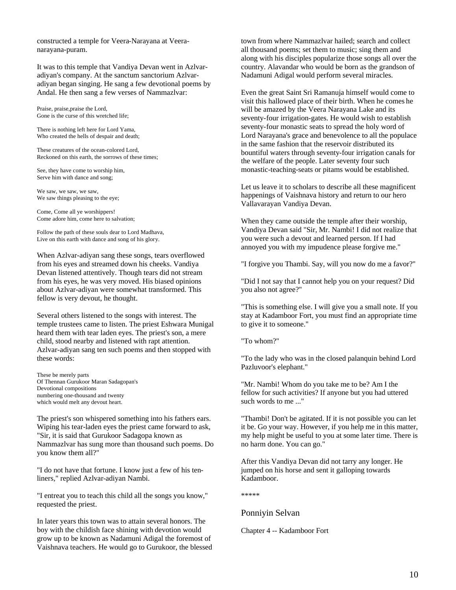constructed a temple for Veera-Narayana at Veeranarayana-puram.

It was to this temple that Vandiya Devan went in Azlvaradiyan's company. At the sanctum sanctorium Azlvaradiyan began singing. He sang a few devotional poems by Andal. He then sang a few verses of Nammazlvar:

Praise, praise,praise the Lord, Gone is the curse of this wretched life;

There is nothing left here for Lord Yama, Who created the hells of despair and death;

These creatures of the ocean-colored Lord, Reckoned on this earth, the sorrows of these times;

See, they have come to worship him, Serve him with dance and song;

We saw, we saw, we saw, We saw things pleasing to the eye;

Come, Come all ye worshippers! Come adore him, come here to salvation;

Follow the path of these souls dear to Lord Madhava, Live on this earth with dance and song of his glory.

When Azlvar-adiyan sang these songs, tears overflowed from his eyes and streamed down his cheeks. Vandiya Devan listened attentively. Though tears did not stream from his eyes, he was very moved. His biased opinions about Azlvar-adiyan were somewhat transformed. This fellow is very devout, he thought.

Several others listened to the songs with interest. The temple trustees came to listen. The priest Eshwara Munigal heard them with tear laden eyes. The priest's son, a mere child, stood nearby and listened with rapt attention. Azlvar-adiyan sang ten such poems and then stopped with these words:

These be merely parts Of Thennan Gurukoor Maran Sadagopan's Devotional compositions numbering one-thousand and twenty which would melt any devout heart.

The priest's son whispered something into his fathers ears. Wiping his tear-laden eyes the priest came forward to ask, "Sir, it is said that Gurukoor Sadagopa known as Nammazlvar has sung more than thousand such poems. Do you know them all?"

"I do not have that fortune. I know just a few of his tenliners," replied Azlvar-adiyan Nambi.

"I entreat you to teach this child all the songs you know," requested the priest.

In later years this town was to attain several honors. The boy with the childish face shining with devotion would grow up to be known as Nadamuni Adigal the foremost of Vaishnava teachers. He would go to Gurukoor, the blessed town from where Nammazlvar hailed; search and collect all thousand poems; set them to music; sing them and along with his disciples popularize those songs all over the country. Alavandar who would be born as the grandson of Nadamuni Adigal would perform several miracles.

Even the great Saint Sri Ramanuja himself would come to visit this hallowed place of their birth. When he comes he will be amazed by the Veera Narayana Lake and its seventy-four irrigation-gates. He would wish to establish seventy-four monastic seats to spread the holy word of Lord Narayana's grace and benevolence to all the populace in the same fashion that the reservoir distributed its bountiful waters through seventy-four irrigation canals for the welfare of the people. Later seventy four such monastic-teaching-seats or pitams would be established.

Let us leave it to scholars to describe all these magnificent happenings of Vaishnava history and return to our hero Vallavarayan Vandiya Devan.

When they came outside the temple after their worship, Vandiya Devan said "Sir, Mr. Nambi! I did not realize that you were such a devout and learned person. If I had annoyed you with my impudence please forgive me."

"I forgive you Thambi. Say, will you now do me a favor?"

"Did I not say that I cannot help you on your request? Did you also not agree?"

"This is something else. I will give you a small note. If you stay at Kadamboor Fort, you must find an appropriate time to give it to someone."

"To whom?"

"To the lady who was in the closed palanquin behind Lord Pazluvoor's elephant."

"Mr. Nambi! Whom do you take me to be? Am I the fellow for such activities? If anyone but you had uttered such words to me ..."

"Thambi! Don't be agitated. If it is not possible you can let it be. Go your way. However, if you help me in this matter, my help might be useful to you at some later time. There is no harm done. You can go."

After this Vandiya Devan did not tarry any longer. He jumped on his horse and sent it galloping towards Kadamboor.

\*\*\*\*\*

## Ponniyin Selvan

Chapter 4 -- Kadamboor Fort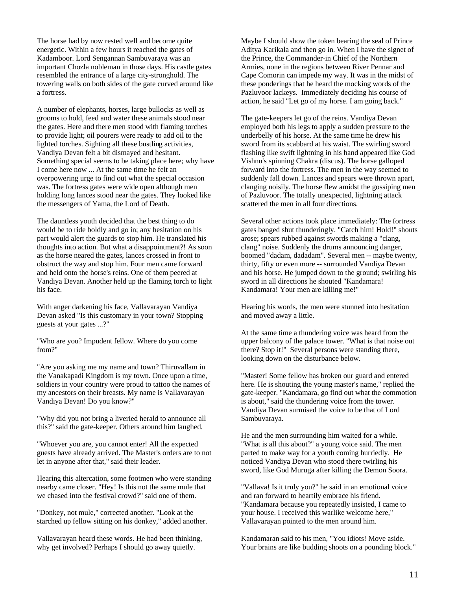The horse had by now rested well and become quite energetic. Within a few hours it reached the gates of Kadamboor. Lord Sengannan Sambuvaraya was an important Chozla nobleman in those days. His castle gates resembled the entrance of a large city-stronghold. The towering walls on both sides of the gate curved around like a fortress.

A number of elephants, horses, large bullocks as well as grooms to hold, feed and water these animals stood near the gates. Here and there men stood with flaming torches to provide light; oil pourers were ready to add oil to the lighted torches. Sighting all these bustling activities, Vandiya Devan felt a bit dismayed and hesitant. Something special seems to be taking place here; why have I come here now ... At the same time he felt an overpowering urge to find out what the special occasion was. The fortress gates were wide open although men holding long lances stood near the gates. They looked like the messengers of Yama, the Lord of Death.

The dauntless youth decided that the best thing to do would be to ride boldly and go in; any hesitation on his part would alert the guards to stop him. He translated his thoughts into action. But what a disappointment?! As soon as the horse neared the gates, lances crossed in front to obstruct the way and stop him. Four men came forward and held onto the horse's reins. One of them peered at Vandiya Devan. Another held up the flaming torch to light his face.

With anger darkening his face, Vallavarayan Vandiya Devan asked "Is this customary in your town? Stopping guests at your gates ...?"

"Who are you? Impudent fellow. Where do you come from?"

"Are you asking me my name and town? Thiruvallam in the Vanakapadi Kingdom is my town. Once upon a time, soldiers in your country were proud to tattoo the names of my ancestors on their breasts. My name is Vallavarayan Vandiya Devan! Do you know?"

"Why did you not bring a liveried herald to announce all this?" said the gate-keeper. Others around him laughed.

"Whoever you are, you cannot enter! All the expected guests have already arrived. The Master's orders are to not let in anyone after that," said their leader.

Hearing this altercation, some footmen who were standing nearby came closer. "Hey! Is this not the same mule that we chased into the festival crowd?" said one of them.

"Donkey, not mule," corrected another. "Look at the starched up fellow sitting on his donkey," added another.

Vallavarayan heard these words. He had been thinking, why get involved? Perhaps I should go away quietly.

Maybe I should show the token bearing the seal of Prince Aditya Karikala and then go in. When I have the signet of the Prince, the Commander-in Chief of the Northern Armies, none in the regions between River Pennar and Cape Comorin can impede my way. It was in the midst of these ponderings that he heard the mocking words of the Pazluvoor lackeys. Immediately deciding his course of action, he said "Let go of my horse. I am going back."

The gate-keepers let go of the reins. Vandiya Devan employed both his legs to apply a sudden pressure to the underbelly of his horse. At the same time he drew his sword from its scabbard at his waist. The swirling sword flashing like swift lightning in his hand appeared like God Vishnu's spinning Chakra (discus). The horse galloped forward into the fortress. The men in the way seemed to suddenly fall down. Lances and spears were thrown apart, clanging noisily. The horse flew amidst the gossiping men of Pazluvoor. The totally unexpected, lightning attack scattered the men in all four directions.

Several other actions took place immediately: The fortress gates banged shut thunderingly. "Catch him! Hold!" shouts arose; spears rubbed against swords making a "clang, clang" noise. Suddenly the drums announcing danger, boomed "dadam, dadadam". Several men -- maybe twenty, thirty, fifty or even more -- surrounded Vandiya Devan and his horse. He jumped down to the ground; swirling his sword in all directions he shouted "Kandamara! Kandamara! Your men are killing me!"

Hearing his words, the men were stunned into hesitation and moved away a little.

At the same time a thundering voice was heard from the upper balcony of the palace tower. "What is that noise out there? Stop it!" Several persons were standing there, looking down on the disturbance below.

"Master! Some fellow has broken our guard and entered here. He is shouting the young master's name," replied the gate-keeper. "Kandamara, go find out what the commotion is about," said the thundering voice from the tower. Vandiya Devan surmised the voice to be that of Lord Sambuvaraya.

He and the men surrounding him waited for a while. "What is all this about?" a young voice said. The men parted to make way for a youth coming hurriedly. He noticed Vandiya Devan who stood there twirling his sword, like God Muruga after killing the Demon Soora.

"Vallava! Is it truly you?" he said in an emotional voice and ran forward to heartily embrace his friend. "Kandamara because you repeatedly insisted, I came to your house. I received this warlike welcome here," Vallavarayan pointed to the men around him.

Kandamaran said to his men, "You idiots! Move aside. Your brains are like budding shoots on a pounding block."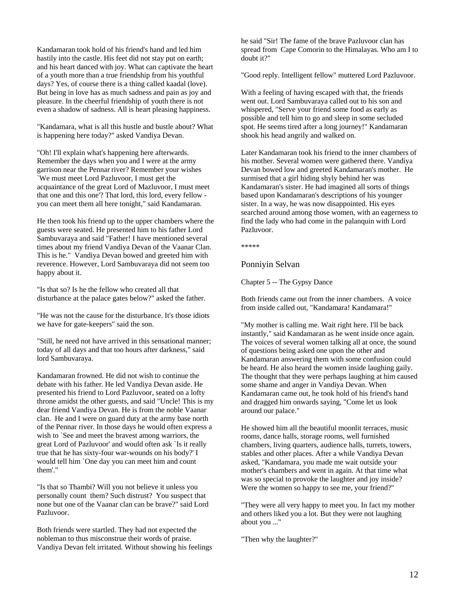Kandamaran took hold of his friend's hand and led him hastily into the castle. His feet did not stay put on earth; and his heart danced with joy. What can captivate the heart of a youth more than a true friendship from his youthful days? Yes, of course there is a thing called kaadal (love). But being in love has as much sadness and pain as joy and pleasure. In the cheerful friendship of youth there is not even a shadow of sadness. All is heart pleasing happiness.

"Kandamara, what is all this hustle and bustle about? What is happening here today?" asked Vandiya Devan.

"Oh! I'll explain what's happening here afterwards. Remember the days when you and I were at the army garrison near the Pennar river? Remember your wishes `We must meet Lord Pazluvoor, I must get the acquaintance of the great Lord of Mazluvoor, I must meet that one and this one'? That lord, this lord, every fellow you can meet them all here tonight," said Kandamaran.

He then took his friend up to the upper chambers where the guests were seated. He presented him to his father Lord Sambuvaraya and said "Father! I have mentioned several times about my friend Vandiya Devan of the Vaanar Clan. This is he." Vandiya Devan bowed and greeted him with reverence. However, Lord Sambuvaraya did not seem too happy about it.

"Is that so? Is he the fellow who created all that disturbance at the palace gates below?" asked the father.

"He was not the cause for the disturbance. It's those idiots we have for gate-keepers" said the son.

"Still, he need not have arrived in this sensational manner; today of all days and that too hours after darkness," said lord Sambuvaraya.

Kandamaran frowned. He did not wish to continue the debate with his father. He led Vandiya Devan aside. He presented his friend to Lord Pazluvoor, seated on a lofty throne amidst the other guests, and said "Uncle! This is my dear friend Vandiya Devan. He is from the noble Vaanar clan. He and I were on guard duty at the army base north of the Pennar river. In those days he would often express a wish to `See and meet the bravest among warriors, the great Lord of Pazluvoor' and would often ask `Is it really true that he has sixty-four war-wounds on his body?' I would tell him `One day you can meet him and count them'."

"Is that so Thambi? Will you not believe it unless you personally count them? Such distrust? You suspect that none but one of the Vaanar clan can be brave?" said Lord Pazluvoor.

Both friends were startled. They had not expected the nobleman to thus misconstrue their words of praise. Vandiya Devan felt irritated. Without showing his feelings he said "Sir! The fame of the brave Pazluvoor clan has spread from Cape Comorin to the Himalayas. Who am I to doubt it?"

"Good reply. Intelligent fellow" muttered Lord Pazluvoor.

With a feeling of having escaped with that, the friends went out. Lord Sambuvaraya called out to his son and whispered, "Serve your friend some food as early as possible and tell him to go and sleep in some secluded spot. He seems tired after a long journey!" Kandamaran shook his head angrily and walked on.

Later Kandamaran took his friend to the inner chambers of his mother. Several women were gathered there. Vandiya Devan bowed low and greeted Kandamaran's mother. He surmised that a girl hiding shyly behind her was Kandamaran's sister. He had imagined all sorts of things based upon Kandamaran's descriptions of his younger sister. In a way, he was now disappointed. His eyes searched around among those women, with an eagerness to find the lady who had come in the palanquin with Lord Pazluvoor.

\*\*\*\*\*

#### Ponniyin Selvan

Chapter 5 -- The Gypsy Dance

Both friends came out from the inner chambers. A voice from inside called out, "Kandamara! Kandamara!"

"My mother is calling me. Wait right here. I'll be back instantly," said Kandamaran as he went inside once again. The voices of several women talking all at once, the sound of questions being asked one upon the other and Kandamaran answering them with some confusion could be heard. He also heard the women inside laughing gaily. The thought that they were perhaps laughing at him caused some shame and anger in Vandiya Devan. When Kandamaran came out, he took hold of his friend's hand and dragged him onwards saying, "Come let us look around our palace."

He showed him all the beautiful moonlit terraces, music rooms, dance halls, storage rooms, well furnished chambers, living quarters, audience halls, turrets, towers, stables and other places. After a while Vandiya Devan asked, "Kandamara, you made me wait outside your mother's chambers and went in again. At that time what was so special to provoke the laughter and joy inside? Were the women so happy to see me, your friend?"

"They were all very happy to meet you. In fact my mother and others liked you a lot. But they were not laughing about you ..."

"Then why the laughter?"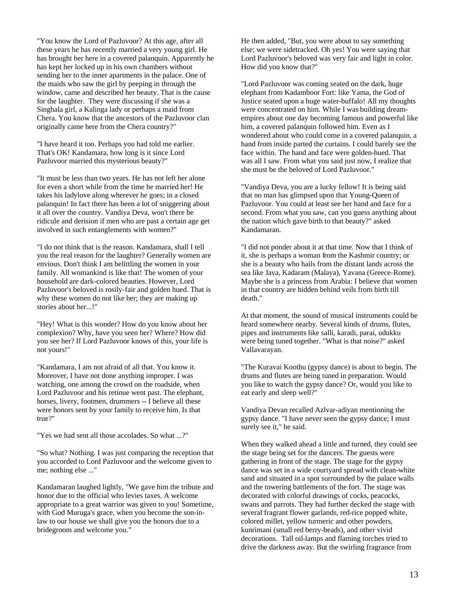"You know the Lord of Pazluvoor? At this age, after all these years he has recently married a very young girl. He has brought her here in a covered palanquin. Apparently he has kept her locked up in his own chambers without sending her to the inner apartments in the palace. One of the maids who saw the girl by peeping in through the window, came and described her beauty. That is the cause for the laughter. They were discussing if she was a Singhala girl, a Kalinga lady or perhaps a maid from Chera. You know that the ancestors of the Pazluvoor clan originally came here from the Chera country?"

"I have heard it too. Perhaps you had told me earlier. That's OK! Kandamara, how long is it since Lord Pazluvoor married this mysterious beauty?"

"It must be less than two years. He has not left her alone for even a short while from the time he married her! He takes his ladylove along wherever he goes; in a closed palanquin! In fact there has been a lot of sniggering about it all over the country. Vandiya Deva, won't there be ridicule and derision if men who are past a certain age get involved in such entanglements with women?"

"I do not think that is the reason. Kandamara, shall I tell you the real reason for the laughter? Generally women are envious. Don't think I am belittling the women in your family. All womankind is like that! The women of your household are dark-colored beauties. However, Lord Pazluvoor's beloved is rosily-fair and golden hued. That is why these women do not like her; they are making up stories about her...!"

"Hey! What is this wonder? How do you know about her complexion? Why, have you seen her? Where? How did you see her? If Lord Pazluvoor knows of this, your life is not yours!"

"Kandamara, I am not afraid of all that. You know it. Moreover, I have not done anything improper. I was watching, one among the crowd on the roadside, when Lord Pazluvoor and his retinue went past. The elephant, horses, livery, footmen, drummers -- I believe all these were honors sent by your family to receive him. Is that true?"

"Yes we had sent all those accolades. So what ...?"

"So what? Nothing. I was just comparing the reception that you accorded to Lord Pazluvoor and the welcome given to me; nothing else ..."

Kandamaran laughed lightly, "We gave him the tribute and honor due to the official who levies taxes. A welcome appropriate to a great warrior was given to you! Sometime, with God Muruga's grace, when you become the son-inlaw to our house we shall give you the honors due to a bridegroom and welcome you."

He then added, "But, you were about to say something else; we were sidetracked. Oh yes! You were saying that Lord Pazluvoor's beloved was very fair and light in color. How did you know that?"

"Lord Pazluvoor was coming seated on the dark, huge elephant from Kadamboor Fort: like Yama, the God of Justice seated upon a huge water-buffalo! All my thoughts were concentrated on him. While I was building dreamempires about one day becoming famous and powerful like him, a covered palanquin followed him. Even as I wondered about who could come in a covered palanquin, a hand from inside parted the curtains. I could barely see the face within. The hand and face were golden-hued. That was all I saw. From what you said just now, I realize that she must be the beloved of Lord Pazluvoor."

"Vandiya Deva, you are a lucky fellow! It is being said that no man has glimpsed upon that Young-Queen of Pazluvoor. You could at least see her hand and face for a second. From what you saw, can you guess anything about the nation which gave birth to that beauty?" asked Kandamaran.

"I did not ponder about it at that time. Now that I think of it, she is perhaps a woman from the Kashmir country; or she is a beauty who hails from the distant lands across the sea like Java, Kadaram (Malaya), Yavana (Greece-Rome). Maybe she is a princess from Arabia: I believe that women in that country are hidden behind veils from birth till death."

At that moment, the sound of musical instruments could be heard somewhere nearby. Several kinds of drums, flutes, pipes and instruments like salli, karadi, parai, udukku were being tuned together. "What is that noise?" asked Vallavarayan.

"The Kuravai Koothu (gypsy dance) is about to begin. The drums and flutes are being tuned in preparation. Would you like to watch the gypsy dance? Or, would you like to eat early and sleep well?"

Vandiya Devan recalled Azlvar-adiyan mentioning the gypsy dance. "I have never seen the gypsy dance; I must surely see it," he said.

When they walked ahead a little and turned, they could see the stage being set for the dancers. The guests were gathering in front of the stage. The stage for the gypsy dance was set in a wide courtyard spread with clean-white sand and situated in a spot surrounded by the palace walls and the towering battlements of the fort. The stage was decorated with colorful drawings of cocks, peacocks, swans and parrots. They had further decked the stage with several fragrant flower garlands, red-rice popped white, colored millet, yellow turmeric and other powders, kunrimani (small red berry-beads), and other vivid decorations. Tall oil-lamps and flaming torches tried to drive the darkness away. But the swirling fragrance from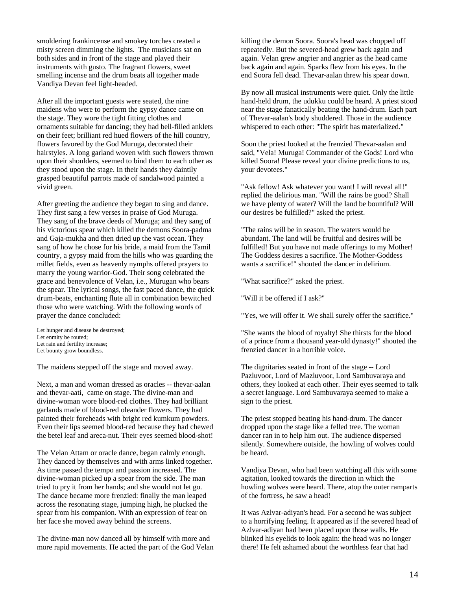smoldering frankincense and smokey torches created a misty screen dimming the lights. The musicians sat on both sides and in front of the stage and played their instruments with gusto. The fragrant flowers, sweet smelling incense and the drum beats all together made Vandiya Devan feel light-headed.

After all the important guests were seated, the nine maidens who were to perform the gypsy dance came on the stage. They wore the tight fitting clothes and ornaments suitable for dancing; they had bell-filled anklets on their feet; brilliant red hued flowers of the hill country, flowers favored by the God Muruga, decorated their hairstyles. A long garland woven with such flowers thrown upon their shoulders, seemed to bind them to each other as they stood upon the stage. In their hands they daintily grasped beautiful parrots made of sandalwood painted a vivid green.

After greeting the audience they began to sing and dance. They first sang a few verses in praise of God Muruga. They sang of the brave deeds of Muruga; and they sang of his victorious spear which killed the demons Soora-padma and Gaja-mukha and then dried up the vast ocean. They sang of how he chose for his bride, a maid from the Tamil country, a gypsy maid from the hills who was guarding the millet fields, even as heavenly nymphs offered prayers to marry the young warrior-God. Their song celebrated the grace and benevolence of Velan, i.e., Murugan who bears the spear. The lyrical songs, the fast paced dance, the quick drum-beats, enchanting flute all in combination bewitched those who were watching. With the following words of prayer the dance concluded:

Let hunger and disease be destroyed; Let enmity be routed; Let rain and fertility increase; Let bounty grow boundless.

The maidens stepped off the stage and moved away.

Next, a man and woman dressed as oracles -- thevar-aalan and thevar-aati, came on stage. The divine-man and divine-woman wore blood-red clothes. They had brilliant garlands made of blood-red oleander flowers. They had painted their foreheads with bright red kumkum powders. Even their lips seemed blood-red because they had chewed the betel leaf and areca-nut. Their eyes seemed blood-shot!

The Velan Attam or oracle dance, began calmly enough. They danced by themselves and with arms linked together. As time passed the tempo and passion increased. The divine-woman picked up a spear from the side. The man tried to pry it from her hands; and she would not let go. The dance became more frenzied: finally the man leaped across the resonating stage, jumping high, he plucked the spear from his companion. With an expression of fear on her face she moved away behind the screens.

The divine-man now danced all by himself with more and more rapid movements. He acted the part of the God Velan killing the demon Soora. Soora's head was chopped off repeatedly. But the severed-head grew back again and again. Velan grew angrier and angrier as the head came back again and again. Sparks flew from his eyes. In the end Soora fell dead. Thevar-aalan threw his spear down.

By now all musical instruments were quiet. Only the little hand-held drum, the udukku could be heard. A priest stood near the stage fanatically beating the hand-drum. Each part of Thevar-aalan's body shuddered. Those in the audience whispered to each other: "The spirit has materialized."

Soon the priest looked at the frenzied Thevar-aalan and said, "Vela! Muruga! Commander of the Gods! Lord who killed Soora! Please reveal your divine predictions to us, your devotees."

"Ask fellow! Ask whatever you want! I will reveal all!" replied the delirious man. "Will the rains be good? Shall we have plenty of water? Will the land be bountiful? Will our desires be fulfilled?" asked the priest.

"The rains will be in season. The waters would be abundant. The land will be fruitful and desires will be fulfilled! But you have not made offerings to my Mother! The Goddess desires a sacrifice. The Mother-Goddess wants a sacrifice!" shouted the dancer in delirium.

"What sacrifice?" asked the priest.

"Will it be offered if I ask?"

"Yes, we will offer it. We shall surely offer the sacrifice."

"She wants the blood of royalty! She thirsts for the blood of a prince from a thousand year-old dynasty!" shouted the frenzied dancer in a horrible voice.

The dignitaries seated in front of the stage -- Lord Pazluvoor, Lord of Mazluvoor, Lord Sambuvaraya and others, they looked at each other. Their eyes seemed to talk a secret language. Lord Sambuvaraya seemed to make a sign to the priest.

The priest stopped beating his hand-drum. The dancer dropped upon the stage like a felled tree. The woman dancer ran in to help him out. The audience dispersed silently. Somewhere outside, the howling of wolves could be heard.

Vandiya Devan, who had been watching all this with some agitation, looked towards the direction in which the howling wolves were heard. There, atop the outer ramparts of the fortress, he saw a head!

It was Azlvar-adiyan's head. For a second he was subject to a horrifying feeling. It appeared as if the severed head of Azlvar-adiyan had been placed upon those walls. He blinked his eyelids to look again: the head was no longer there! He felt ashamed about the worthless fear that had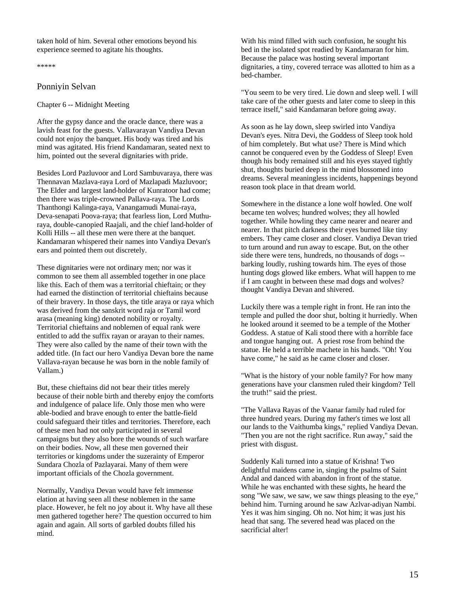taken hold of him. Several other emotions beyond his experience seemed to agitate his thoughts.

\*\*\*\*\*

# Ponniyin Selvan

Chapter 6 -- Midnight Meeting

After the gypsy dance and the oracle dance, there was a lavish feast for the guests. Vallavarayan Vandiya Devan could not enjoy the banquet. His body was tired and his mind was agitated. His friend Kandamaran, seated next to him, pointed out the several dignitaries with pride.

Besides Lord Pazluvoor and Lord Sambuvaraya, there was Thennavan Mazlava-raya Lord of Mazlapadi Mazluvoor; The Elder and largest land-holder of Kunratoor had come; then there was triple-crowned Pallava-raya. The Lords Thanthongi Kalinga-raya, Vanangamudi Munai-raya, Deva-senapati Poova-raya; that fearless lion, Lord Muthuraya, double-canopied Raajali, and the chief land-holder of Kolli Hills -- all these men were there at the banquet. Kandamaran whispered their names into Vandiya Devan's ears and pointed them out discretely.

These dignitaries were not ordinary men; nor was it common to see them all assembled together in one place like this. Each of them was a territorial chieftain; or they had earned the distinction of territorial chieftains because of their bravery. In those days, the title araya or raya which was derived from the sanskrit word raja or Tamil word arasa (meaning king) denoted nobility or royalty. Territorial chieftains and noblemen of equal rank were entitled to add the suffix rayan or arayan to their names. They were also called by the name of their town with the added title. (In fact our hero Vandiya Devan bore the name Vallava-rayan because he was born in the noble family of Vallam.)

But, these chieftains did not bear their titles merely because of their noble birth and thereby enjoy the comforts and indulgence of palace life. Only those men who were able-bodied and brave enough to enter the battle-field could safeguard their titles and territories. Therefore, each of these men had not only participated in several campaigns but they also bore the wounds of such warfare on their bodies. Now, all these men governed their territories or kingdoms under the suzerainty of Emperor Sundara Chozla of Pazlayarai. Many of them were important officials of the Chozla government.

Normally, Vandiya Devan would have felt immense elation at having seen all these noblemen in the same place. However, he felt no joy about it. Why have all these men gathered together here? The question occurred to him again and again. All sorts of garbled doubts filled his mind.

With his mind filled with such confusion, he sought his bed in the isolated spot readied by Kandamaran for him. Because the palace was hosting several important dignitaries, a tiny, covered terrace was allotted to him as a bed-chamber.

"You seem to be very tired. Lie down and sleep well. I will take care of the other guests and later come to sleep in this terrace itself," said Kandamaran before going away.

As soon as he lay down, sleep swirled into Vandiya Devan's eyes. Nitra Devi, the Goddess of Sleep took hold of him completely. But what use? There is Mind which cannot be conquered even by the Goddess of Sleep! Even though his body remained still and his eyes stayed tightly shut, thoughts buried deep in the mind blossomed into dreams. Several meaningless incidents, happenings beyond reason took place in that dream world.

Somewhere in the distance a lone wolf howled. One wolf became ten wolves; hundred wolves; they all howled together. While howling they came nearer and nearer and nearer. In that pitch darkness their eyes burned like tiny embers. They came closer and closer. Vandiya Devan tried to turn around and run away to escape. But, on the other side there were tens, hundreds, no thousands of dogs - barking loudly, rushing towards him. The eyes of those hunting dogs glowed like embers. What will happen to me if I am caught in between these mad dogs and wolves? thought Vandiya Devan and shivered.

Luckily there was a temple right in front. He ran into the temple and pulled the door shut, bolting it hurriedly. When he looked around it seemed to be a temple of the Mother Goddess. A statue of Kali stood there with a horrible face and tongue hanging out. A priest rose from behind the statue. He held a terrible machete in his hands. "Oh! You have come," he said as he came closer and closer.

"What is the history of your noble family? For how many generations have your clansmen ruled their kingdom? Tell the truth!" said the priest.

"The Vallava Rayas of the Vaanar family had ruled for three hundred years. During my father's times we lost all our lands to the Vaithumba kings," replied Vandiya Devan. "Then you are not the right sacrifice. Run away," said the priest with disgust.

Suddenly Kali turned into a statue of Krishna! Two delightful maidens came in, singing the psalms of Saint Andal and danced with abandon in front of the statue. While he was enchanted with these sights, he heard the song "We saw, we saw, we saw things pleasing to the eye," behind him. Turning around he saw Azlvar-adiyan Nambi. Yes it was him singing. Oh no. Not him; it was just his head that sang. The severed head was placed on the sacrificial alter!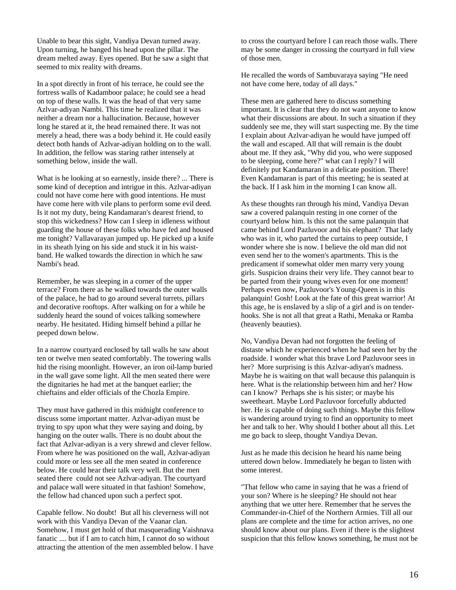Unable to bear this sight, Vandiya Devan turned away. Upon turning, he banged his head upon the pillar. The dream melted away. Eyes opened. But he saw a sight that seemed to mix reality with dreams.

In a spot directly in front of his terrace, he could see the fortress walls of Kadamboor palace; he could see a head on top of these walls. It was the head of that very same Azlvar-adiyan Nambi. This time he realized that it was neither a dream nor a hallucination. Because, however long he stared at it, the head remained there. It was not merely a head, there was a body behind it. He could easily detect both hands of Azlvar-adiyan holding on to the wall. In addition, the fellow was staring rather intensely at something below, inside the wall.

What is he looking at so earnestly, inside there? ... There is some kind of deception and intrigue in this. Azlvar-adiyan could not have come here with good intentions. He must have come here with vile plans to perform some evil deed. Is it not my duty, being Kandamaran's dearest friend, to stop this wickedness? How can I sleep in idleness without guarding the house of these folks who have fed and housed me tonight? Vallavarayan jumped up. He picked up a knife in its sheath lying on his side and stuck it in his waistband. He walked towards the direction in which he saw Nambi's head.

Remember, he was sleeping in a corner of the upper terrace? From there as he walked towards the outer walls of the palace, he had to go around several turrets, pillars and decorative rooftops. After walking on for a while he suddenly heard the sound of voices talking somewhere nearby. He hesitated. Hiding himself behind a pillar he peeped down below.

In a narrow courtyard enclosed by tall walls he saw about ten or twelve men seated comfortably. The towering walls hid the rising moonlight. However, an iron oil-lamp buried in the wall gave some light. All the men seated there were the dignitaries he had met at the banquet earlier; the chieftains and elder officials of the Chozla Empire.

They must have gathered in this midnight conference to discuss some important matter. Azlvar-adiyan must be trying to spy upon what they were saying and doing, by hanging on the outer walls. There is no doubt about the fact that Azlvar-adiyan is a very shrewd and clever fellow. From where he was positioned on the wall, Azlvar-adiyan could more or less see all the men seated in conference below. He could hear their talk very well. But the men seated there could not see Azlvar-adiyan. The courtyard and palace wall were situated in that fashion! Somehow, the fellow had chanced upon such a perfect spot.

Capable fellow. No doubt! But all his cleverness will not work with this Vandiya Devan of the Vaanar clan. Somehow, I must get hold of that masquerading Vaishnava fanatic .... but if I am to catch him, I cannot do so without attracting the attention of the men assembled below. I have

to cross the courtyard before I can reach those walls. There may be some danger in crossing the courtyard in full view of those men.

He recalled the words of Sambuvaraya saying "He need not have come here, today of all days."

These men are gathered here to discuss something important. It is clear that they do not want anyone to know what their discussions are about. In such a situation if they suddenly see me, they will start suspecting me. By the time I explain about Azlvar-adiyan he would have jumped off the wall and escaped. All that will remain is the doubt about me. If they ask, "Why did you, who were supposed to be sleeping, come here?" what can I reply? I will definitely put Kandamaran in a delicate position. There! Even Kandamaran is part of this meeting; he is seated at the back. If I ask him in the morning I can know all.

As these thoughts ran through his mind, Vandiya Devan saw a covered palanquin resting in one corner of the courtyard below him. Is this not the same palanquin that came behind Lord Pazluvoor and his elephant? That lady who was in it, who parted the curtains to peep outside, I wonder where she is now. I believe the old man did not even send her to the women's apartments. This is the predicament if somewhat older men marry very young girls. Suspicion drains their very life. They cannot bear to be parted from their young wives even for one moment! Perhaps even now, Pazluvoor's Young-Queen is in this palanquin! Gosh! Look at the fate of this great warrior! At this age, he is enslaved by a slip of a girl and is on tenderhooks. She is not all that great a Rathi, Menaka or Ramba (heavenly beauties).

No, Vandiya Devan had not forgotten the feeling of distaste which he experienced when he had seen her by the roadside. I wonder what this brave Lord Pazluvoor sees in her? More surprising is this Azlvar-adiyan's madness. Maybe he is waiting on that wall because this palanquin is here. What is the relationship between him and her? How can I know? Perhaps she is his sister; or maybe his sweetheart. Maybe Lord Pazluvoor forcefully abducted her. He is capable of doing such things. Maybe this fellow is wandering around trying to find an opportunity to meet her and talk to her. Why should I bother about all this. Let me go back to sleep, thought Vandiya Devan.

Just as he made this decision he heard his name being uttered down below. Immediately he began to listen with some interest.

"That fellow who came in saying that he was a friend of your son? Where is he sleeping? He should not hear anything that we utter here. Remember that he serves the Commander-in-Chief of the Northern Armies. Till all our plans are complete and the time for action arrives, no one should know about our plans. Even if there is the slightest suspicion that this fellow knows something, he must not be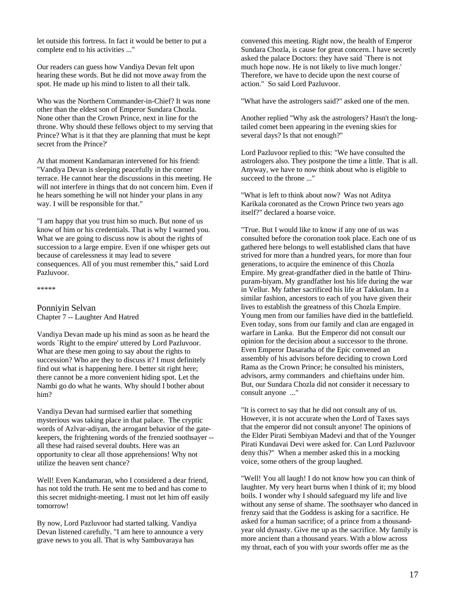let outside this fortress. In fact it would be better to put a complete end to his activities ..."

Our readers can guess how Vandiya Devan felt upon hearing these words. But he did not move away from the spot. He made up his mind to listen to all their talk.

Who was the Northern Commander-in-Chief? It was none other than the eldest son of Emperor Sundara Chozla. None other than the Crown Prince, next in line for the throne. Why should these fellows object to my serving that Prince? What is it that they are planning that must be kept secret from the Prince?'

At that moment Kandamaran intervened for his friend: "Vandiya Devan is sleeping peacefully in the corner terrace. He cannot hear the discussions in this meeting. He will not interfere in things that do not concern him. Even if he hears something he will not hinder your plans in any way. I will be responsible for that."

"I am happy that you trust him so much. But none of us know of him or his credentials. That is why I warned you. What we are going to discuss now is about the rights of succession to a large empire. Even if one whisper gets out because of carelessness it may lead to severe consequences. All of you must remember this," said Lord Pazluvoor.

\*\*\*\*\*

Ponniyin Selvan Chapter 7 -- Laughter And Hatred

Vandiya Devan made up his mind as soon as he heard the words `Right to the empire' uttered by Lord Pazluvoor. What are these men going to say about the rights to succession? Who are they to discuss it? I must definitely find out what is happening here. I better sit right here; there cannot be a more convenient hiding spot. Let the Nambi go do what he wants. Why should I bother about him?

Vandiya Devan had surmised earlier that something mysterious was taking place in that palace. The cryptic words of Azlvar-adiyan, the arrogant behavior of the gatekeepers, the frightening words of the frenzied soothsayer - all these had raised several doubts. Here was an opportunity to clear all those apprehensions! Why not utilize the heaven sent chance?

Well! Even Kandamaran, who I considered a dear friend, has not told the truth. He sent me to bed and has come to this secret midnight-meeting. I must not let him off easily tomorrow!

By now, Lord Pazluvoor had started talking. Vandiya Devan listened carefully. "I am here to announce a very grave news to you all. That is why Sambuvaraya has

convened this meeting. Right now, the health of Emperor Sundara Chozla, is cause for great concern. I have secretly asked the palace Doctors: they have said `There is not much hope now. He is not likely to live much longer.' Therefore, we have to decide upon the next course of action." So said Lord Pazluvoor.

"What have the astrologers said?" asked one of the men.

Another replied "Why ask the astrologers? Hasn't the longtailed comet been appearing in the evening skies for several days? Is that not enough?"

Lord Pazluvoor replied to this: "We have consulted the astrologers also. They postpone the time a little. That is all. Anyway, we have to now think about who is eligible to succeed to the throne ..."

"What is left to think about now? Was not Aditya Karikala coronated as the Crown Prince two years ago itself?" declared a hoarse voice.

"True. But I would like to know if any one of us was consulted before the coronation took place. Each one of us gathered here belongs to well established clans that have strived for more than a hundred years, for more than four generations, to acquire the eminence of this Chozla Empire. My great-grandfather died in the battle of Thirupuram-biyam. My grandfather lost his life during the war in Vellur. My father sacrificed his life at Takkolam. In a similar fashion, ancestors to each of you have given their lives to establish the greatness of this Chozla Empire. Young men from our families have died in the battlefield. Even today, sons from our family and clan are engaged in warfare in Lanka. But the Emperor did not consult our opinion for the decision about a successor to the throne. Even Emperor Dasaratha of the Epic convened an assembly of his advisors before deciding to crown Lord Rama as the Crown Prince; he consulted his ministers, advisors, army commanders and chieftains under him. But, our Sundara Chozla did not consider it necessary to consult anyone ..."

"It is correct to say that he did not consult any of us. However, it is not accurate when the Lord of Taxes says that the emperor did not consult anyone! The opinions of the Elder Pirati Sembiyan Madevi and that of the Younger Pirati Kundavai Devi were asked for. Can Lord Pazluvoor deny this?" When a member asked this in a mocking voice, some others of the group laughed.

"Well! You all laugh! I do not know how you can think of laughter. My very heart burns when I think of it; my blood boils. I wonder why I should safeguard my life and live without any sense of shame. The soothsayer who danced in frenzy said that the Goddess is asking for a sacrifice. He asked for a human sacrifice; of a prince from a thousandyear old dynasty. Give me up as the sacrifice. My family is more ancient than a thousand years. With a blow across my throat, each of you with your swords offer me as the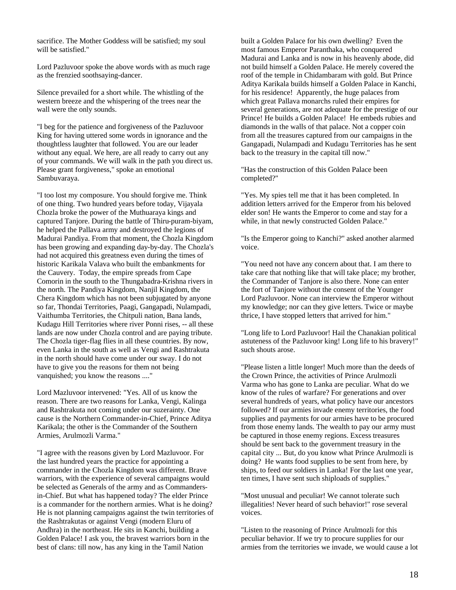sacrifice. The Mother Goddess will be satisfied; my soul will be satisfied."

Lord Pazluvoor spoke the above words with as much rage as the frenzied soothsaying-dancer.

Silence prevailed for a short while. The whistling of the western breeze and the whispering of the trees near the wall were the only sounds.

"I beg for the patience and forgiveness of the Pazluvoor King for having uttered some words in ignorance and the thoughtless laughter that followed. You are our leader without any equal. We here, are all ready to carry out any of your commands. We will walk in the path you direct us. Please grant forgiveness," spoke an emotional Sambuvaraya.

"I too lost my composure. You should forgive me. Think of one thing. Two hundred years before today, Vijayala Chozla broke the power of the Muthuaraya kings and captured Tanjore. During the battle of Thiru-puram-biyam, he helped the Pallava army and destroyed the legions of Madurai Pandiya. From that moment, the Chozla Kingdom has been growing and expanding day-by-day. The Chozla's had not acquired this greatness even during the times of historic Karikala Valava who built the embankments for the Cauvery. Today, the empire spreads from Cape Comorin in the south to the Thungabadra-Krishna rivers in the north. The Pandiya Kingdom, Nanjil Kingdom, the Chera Kingdom which has not been subjugated by anyone so far, Thondai Territories, Paagi, Gangapadi, Nulampadi, Vaithumba Territories, the Chitpuli nation, Bana lands, Kudagu Hill Territories where river Ponni rises, -- all these lands are now under Chozla control and are paying tribute. The Chozla tiger-flag flies in all these countries. By now, even Lanka in the south as well as Vengi and Rashtrakuta in the north should have come under our sway. I do not have to give you the reasons for them not being vanquished; you know the reasons ...."

Lord Mazluvoor intervened: "Yes. All of us know the reason. There are two reasons for Lanka, Vengi, Kalinga and Rashtrakuta not coming under our suzerainty. One cause is the Northern Commander-in-Chief, Prince Aditya Karikala; the other is the Commander of the Southern Armies, Arulmozli Varma."

"I agree with the reasons given by Lord Mazluvoor. For the last hundred years the practice for appointing a commander in the Chozla Kingdom was different. Brave warriors, with the experience of several campaigns would be selected as Generals of the army and as Commandersin-Chief. But what has happened today? The elder Prince is a commander for the northern armies. What is he doing? He is not planning campaigns against the twin territories of the Rashtrakutas or against Vengi (modern Eluru of Andhra) in the northeast. He sits in Kanchi, building a Golden Palace! I ask you, the bravest warriors born in the best of clans: till now, has any king in the Tamil Nation

built a Golden Palace for his own dwelling? Even the most famous Emperor Paranthaka, who conquered Madurai and Lanka and is now in his heavenly abode, did not build himself a Golden Palace. He merely covered the roof of the temple in Chidambaram with gold. But Prince Aditya Karikala builds himself a Golden Palace in Kanchi, for his residence! Apparently, the huge palaces from which great Pallava monarchs ruled their empires for several generations, are not adequate for the prestige of our Prince! He builds a Golden Palace! He embeds rubies and diamonds in the walls of that palace. Not a copper coin from all the treasures captured from our campaigns in the Gangapadi, Nulampadi and Kudagu Territories has he sent back to the treasury in the capital till now."

"Has the construction of this Golden Palace been completed?"

"Yes. My spies tell me that it has been completed. In addition letters arrived for the Emperor from his beloved elder son! He wants the Emperor to come and stay for a while, in that newly constructed Golden Palace."

"Is the Emperor going to Kanchi?" asked another alarmed voice.

"You need not have any concern about that. I am there to take care that nothing like that will take place; my brother, the Commander of Tanjore is also there. None can enter the fort of Tanjore without the consent of the Younger Lord Pazluvoor. None can interview the Emperor without my knowledge; nor can they give letters. Twice or maybe thrice, I have stopped letters that arrived for him."

"Long life to Lord Pazluvoor! Hail the Chanakian political astuteness of the Pazluvoor king! Long life to his bravery!" such shouts arose.

"Please listen a little longer! Much more than the deeds of the Crown Prince, the activities of Prince Arulmozli Varma who has gone to Lanka are peculiar. What do we know of the rules of warfare? For generations and over several hundreds of years, what policy have our ancestors followed? If our armies invade enemy territories, the food supplies and payments for our armies have to be procured from those enemy lands. The wealth to pay our army must be captured in those enemy regions. Excess treasures should be sent back to the government treasury in the capital city ... But, do you know what Prince Arulmozli is doing? He wants food supplies to be sent from here, by ships, to feed our soldiers in Lanka! For the last one year, ten times, I have sent such shiploads of supplies."

"Most unusual and peculiar! We cannot tolerate such illegalities! Never heard of such behavior!" rose several voices.

"Listen to the reasoning of Prince Arulmozli for this peculiar behavior. If we try to procure supplies for our armies from the territories we invade, we would cause a lot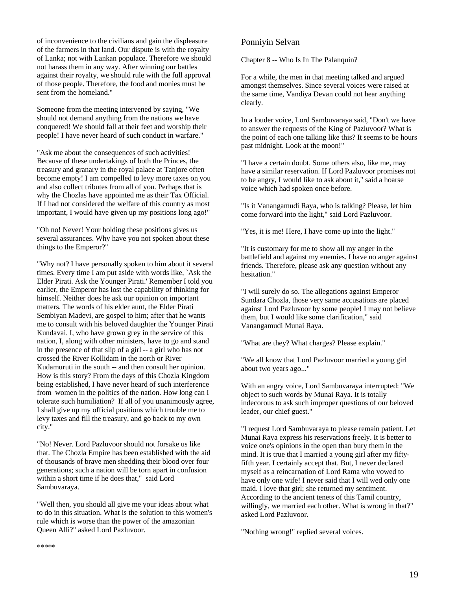of inconvenience to the civilians and gain the displeasure of the farmers in that land. Our dispute is with the royalty of Lanka; not with Lankan populace. Therefore we should not harass them in any way. After winning our battles against their royalty, we should rule with the full approval of those people. Therefore, the food and monies must be sent from the homeland."

Someone from the meeting intervened by saying, "We should not demand anything from the nations we have conquered! We should fall at their feet and worship their people! I have never heard of such conduct in warfare."

"Ask me about the consequences of such activities! Because of these undertakings of both the Princes, the treasury and granary in the royal palace at Tanjore often become empty! I am compelled to levy more taxes on you and also collect tributes from all of you. Perhaps that is why the Chozlas have appointed me as their Tax Official. If I had not considered the welfare of this country as most important, I would have given up my positions long ago!"

"Oh no! Never! Your holding these positions gives us several assurances. Why have you not spoken about these things to the Emperor?"

"Why not? I have personally spoken to him about it several times. Every time I am put aside with words like, `Ask the Elder Pirati. Ask the Younger Pirati.' Remember I told you earlier, the Emperor has lost the capability of thinking for himself. Neither does he ask our opinion on important matters. The words of his elder aunt, the Elder Pirati Sembiyan Madevi, are gospel to him; after that he wants me to consult with his beloved daughter the Younger Pirati Kundavai. I, who have grown grey in the service of this nation, I, along with other ministers, have to go and stand in the presence of that slip of a girl -- a girl who has not crossed the River Kollidam in the north or River Kudamuruti in the south -- and then consult her opinion. How is this story? From the days of this Chozla Kingdom being established, I have never heard of such interference from women in the politics of the nation. How long can I tolerate such humiliation? If all of you unanimously agree, I shall give up my official positions which trouble me to levy taxes and fill the treasury, and go back to my own city."

"No! Never. Lord Pazluvoor should not forsake us like that. The Chozla Empire has been established with the aid of thousands of brave men shedding their blood over four generations; such a nation will be torn apart in confusion within a short time if he does that," said Lord Sambuvaraya.

"Well then, you should all give me your ideas about what to do in this situation. What is the solution to this women's rule which is worse than the power of the amazonian Queen Alli?" asked Lord Pazluvoor.

# Ponniyin Selvan

Chapter 8 -- Who Is In The Palanquin?

For a while, the men in that meeting talked and argued amongst themselves. Since several voices were raised at the same time, Vandiya Devan could not hear anything clearly.

In a louder voice, Lord Sambuvaraya said, "Don't we have to answer the requests of the King of Pazluvoor? What is the point of each one talking like this? It seems to be hours past midnight. Look at the moon!"

"I have a certain doubt. Some others also, like me, may have a similar reservation. If Lord Pazluvoor promises not to be angry, I would like to ask about it," said a hoarse voice which had spoken once before.

"Is it Vanangamudi Raya, who is talking? Please, let him come forward into the light," said Lord Pazluvoor.

"Yes, it is me! Here, I have come up into the light."

"It is customary for me to show all my anger in the battlefield and against my enemies. I have no anger against friends. Therefore, please ask any question without any hesitation."

"I will surely do so. The allegations against Emperor Sundara Chozla, those very same accusations are placed against Lord Pazluvoor by some people! I may not believe them, but I would like some clarification," said Vanangamudi Munai Raya.

"What are they? What charges? Please explain."

"We all know that Lord Pazluvoor married a young girl about two years ago..."

With an angry voice, Lord Sambuvaraya interrupted: "We object to such words by Munai Raya. It is totally indecorous to ask such improper questions of our beloved leader, our chief guest."

"I request Lord Sambuvaraya to please remain patient. Let Munai Raya express his reservations freely. It is better to voice one's opinions in the open than bury them in the mind. It is true that I married a young girl after my fiftyfifth year. I certainly accept that. But, I never declared myself as a reincarnation of Lord Rama who vowed to have only one wife! I never said that I will wed only one maid. I love that girl; she returned my sentiment. According to the ancient tenets of this Tamil country, willingly, we married each other. What is wrong in that?" asked Lord Pazluvoor.

"Nothing wrong!" replied several voices.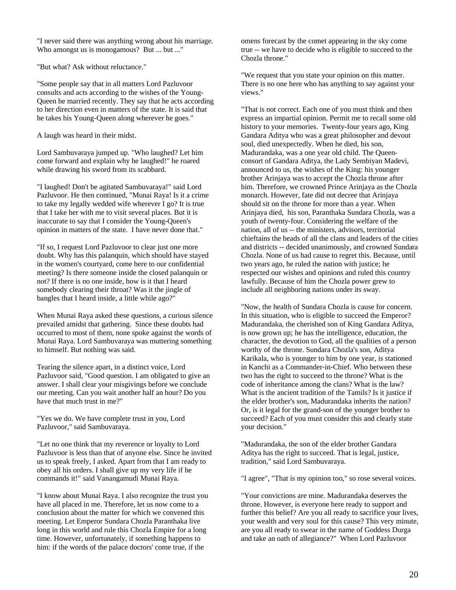"I never said there was anything wrong about his marriage. Who amongst us is monogamous? But ... but ..."

"But what? Ask without reluctance."

"Some people say that in all matters Lord Pazluvoor consults and acts according to the wishes of the Young-Queen he married recently. They say that he acts according to her direction even in matters of the state. It is said that he takes his Young-Queen along wherever he goes."

A laugh was heard in their midst.

Lord Sambuvaraya jumped up. "Who laughed? Let him come forward and explain why he laughed!" he roared while drawing his sword from its scabbard.

"I laughed! Don't be agitated Sambuvaraya!" said Lord Pazluvoor. He then continued, "Munai Raya! Is it a crime to take my legally wedded wife wherever I go? It is true that I take her with me to visit several places. But it is inaccurate to say that I consider the Young-Queen's opinion in matters of the state. I have never done that."

"If so, I request Lord Pazluvoor to clear just one more doubt. Why has this palanquin, which should have stayed in the women's courtyard, come here to our confidential meeting? Is there someone inside the closed palanquin or not? If there is no one inside, how is it that I heard somebody clearing their throat? Was it the jingle of bangles that I heard inside, a little while ago?"

When Munai Raya asked these questions, a curious silence prevailed amidst that gathering. Since these doubts had occurred to most of them, none spoke against the words of Munai Raya. Lord Sambuvaraya was muttering something to himself. But nothing was said.

Tearing the silence apart, in a distinct voice, Lord Pazluvoor said, "Good question. I am obligated to give an answer. I shall clear your misgivings before we conclude our meeting. Can you wait another half an hour? Do you have that much trust in me?"

"Yes we do. We have complete trust in you, Lord Pazluvoor," said Sambuvaraya.

"Let no one think that my reverence or loyalty to Lord Pazluvoor is less than that of anyone else. Since he invited us to speak freely, I asked. Apart from that I am ready to obey all his orders. I shall give up my very life if he commands it!" said Vanangamudi Munai Raya.

"I know about Munai Raya. I also recognize the trust you have all placed in me. Therefore, let us now come to a conclusion about the matter for which we convened this meeting. Let Emperor Sundara Chozla Paranthaka live long in this world and rule this Chozla Empire for a long time. However, unfortunately, if something happens to him: if the words of the palace doctors' come true, if the

omens forecast by the comet appearing in the sky come true -- we have to decide who is eligible to succeed to the Chozla throne."

"We request that you state your opinion on this matter. There is no one here who has anything to say against your views."

"That is not correct. Each one of you must think and then express an impartial opinion. Permit me to recall some old history to your memories. Twenty-four years ago, King Gandara Aditya who was a great philosopher and devout soul, died unexpectedly. When he died, his son, Madurandaka, was a one year old child. The Queenconsort of Gandara Aditya, the Lady Sembiyan Madevi, announced to us, the wishes of the King: his younger brother Arinjaya was to accept the Chozla throne after him. Therefore, we crowned Prince Arinjaya as the Chozla monarch. However, fate did not decree that Arinjaya should sit on the throne for more than a year. When Arinjaya died, his son, Paranthaka Sundara Chozla, was a youth of twenty-four. Considering the welfare of the nation, all of us -- the ministers, advisors, territorial chieftains the heads of all the clans and leaders of the cities and districts -- decided unanimously, and crowned Sundara Chozla. None of us had cause to regret this. Because, until two years ago, he ruled the nation with justice; he respected our wishes and opinions and ruled this country lawfully. Because of him the Chozla power grew to include all neighboring nations under its sway.

"Now, the health of Sundara Chozla is cause for concern. In this situation, who is eligible to succeed the Emperor? Madurandaka, the cherished son of King Gandara Aditya, is now grown up; he has the intelligence, education, the character, the devotion to God, all the qualities of a person worthy of the throne. Sundara Chozla's son, Aditya Karikala, who is younger to him by one year, is stationed in Kanchi as a Commander-in-Chief. Who between these two has the right to succeed to the throne? What is the code of inheritance among the clans? What is the law? What is the ancient tradition of the Tamils? Is it justice if the elder brother's son, Madurandaka inherits the nation? Or, is it legal for the grand-son of the younger brother to succeed? Each of you must consider this and clearly state your decision."

"Madurandaka, the son of the elder brother Gandara Aditya has the right to succeed. That is legal, justice, tradition," said Lord Sambuvaraya.

"I agree", "That is my opinion too," so rose several voices.

"Your convictions are mine. Madurandaka deserves the throne. However, is everyone here ready to support and further this belief? Are you all ready to sacrifice your lives, your wealth and very soul for this cause? This very minute, are you all ready to swear in the name of Goddess Durga and take an oath of allegiance?" When Lord Pazluvoor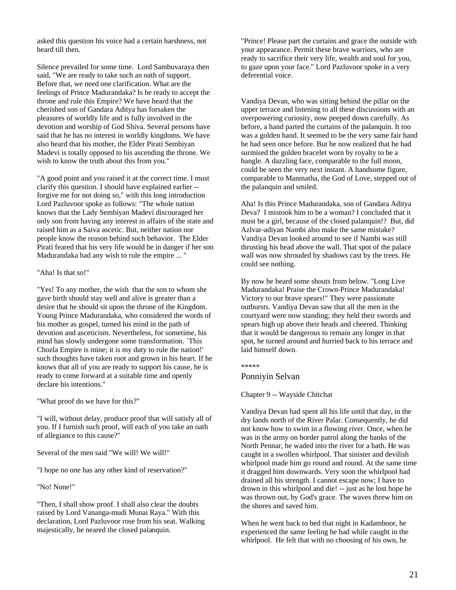asked this question his voice had a certain harshness, not heard till then.

Silence prevailed for some time. Lord Sambuvaraya then said, "We are ready to take such an oath of support. Before that, we need one clarification. What are the feelings of Prince Madurandaka? Is he ready to accept the throne and rule this Empire? We have heard that the cherished son of Gandara Aditya has forsaken the pleasures of worldly life and is fully involved in the devotion and worship of God Shiva. Several persons have said that he has no interest in worldly kingdoms. We have also heard that his mother, the Elder Pirati Sembiyan Madevi is totally opposed to his ascending the throne. We wish to know the truth about this from you."

"A good point and you raised it at the correct time. I must clarify this question. I should have explained earlier - forgive me for not doing so," with this long introduction Lord Pazluvoor spoke as follows: "The whole nation knows that the Lady Sembiyan Madevi discouraged her only son from having any interest in affairs of the state and raised him as a Saiva ascetic. But, neither nation nor people know the reason behind such behavior. The Elder Pirati feared that his very life would be in danger if her son Madurandaka had any wish to rule the empire ... "

#### "Aha! Is that so!"

"Yes! To any mother, the wish that the son to whom she gave birth should stay well and alive is greater than a desire that he should sit upon the throne of the Kingdom. Young Prince Madurandaka, who considered the words of his mother as gospel, turned his mind in the path of devotion and asceticism. Nevertheless, for sometime, his mind has slowly undergone some transformation. `This Chozla Empire is mine; it is my duty to rule the nation!' such thoughts have taken root and grown in his heart. If he knows that all of you are ready to support his cause, he is ready to come forward at a suitable time and openly declare his intentions."

"What proof do we have for this?"

"I will, without delay, produce proof that will satisfy all of you. If I furnish such proof, will each of you take an oath of allegiance to this cause?"

Several of the men said "We will! We will!"

"I hope no one has any other kind of reservation?"

"No! None!"

"Then, I shall show proof. I shall also clear the doubts raised by Lord Vananga-mudi Munai Raya." With this declaration, Lord Pazluvoor rose from his seat. Walking majestically, he neared the closed palanquin.

"Prince! Please part the curtains and grace the outside with your appearance. Permit these brave warriors, who are ready to sacrifice their very life, wealth and soul for you, to gaze upon your face." Lord Pazluvoor spoke in a very deferential voice.

Vandiya Devan, who was sitting behind the pillar on the upper terrace and listening to all these discussions with an overpowering curiosity, now peeped down carefully. As before, a hand parted the curtains of the palanquin. It too was a golden hand. It seemed to be the very same fair hand he had seen once before. But he now realized that he had surmised the golden bracelet worn by royalty to be a bangle. A dazzling face, comparable to the full moon, could be seen the very next instant. A handsome figure, comparable to Manmatha, the God of Love, stepped out of the palanquin and smiled.

Aha! Is this Prince Madurandaka, son of Gandara Aditya Deva? I mistook him to be a woman? I concluded that it must be a girl, because of the closed palanquin!? But, did Azlvar-adiyan Nambi also make the same mistake? Vandiya Devan looked around to see if Nambi was still thrusting his head above the wall. That spot of the palace wall was now shrouded by shadows cast by the trees. He could see nothing.

By now he heard some shouts from below. "Long Live Madurandaka! Praise the Crown-Prince Madurandaka! Victory to our brave spears!" They were passionate outbursts. Vandiya Devan saw that all the men in the courtyard were now standing; they held their swords and spears high up above their heads and cheered. Thinking that it would be dangerous to remain any longer in that spot, he turned around and hurried back to his terrace and laid himself down.

\*\*\*\*\*

### Ponniyin Selvan

Chapter 9 -- Wayside Chitchat

Vandiya Devan had spent all his life until that day, in the dry lands north of the River Palar. Consequently, he did not know how to swim in a flowing river. Once, when he was in the army on border patrol along the banks of the North Pennar, he waded into the river for a bath. He was caught in a swollen whirlpool. That sinister and devilish whirlpool made him go round and round. At the same time it dragged him downwards. Very soon the whirlpool had drained all his strength. I cannot escape now; I have to drown in this whirlpool and die! -- just as he lost hope he was thrown out, by God's grace. The waves threw him on the shores and saved him.

When he went back to bed that night in Kadamboor, he experienced the same feeling he had while caught in the whirlpool. He felt that with no choosing of his own, he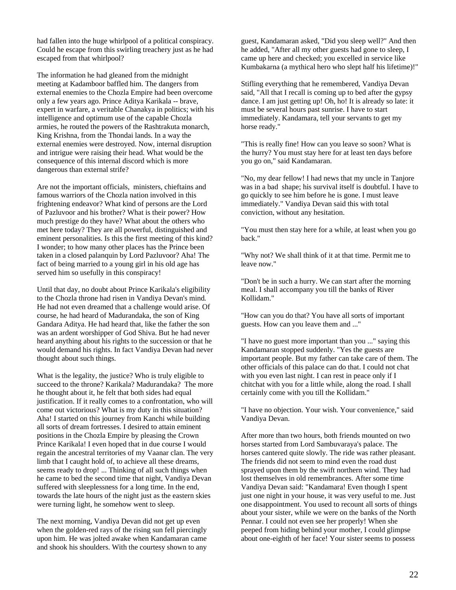had fallen into the huge whirlpool of a political conspiracy. Could he escape from this swirling treachery just as he had escaped from that whirlpool?

The information he had gleaned from the midnight meeting at Kadamboor baffled him. The dangers from external enemies to the Chozla Empire had been overcome only a few years ago. Prince Aditya Karikala -- brave, expert in warfare, a veritable Chanakya in politics; with his intelligence and optimum use of the capable Chozla armies, he routed the powers of the Rashtrakuta monarch, King Krishna, from the Thondai lands. In a way the external enemies were destroyed. Now, internal disruption and intrigue were raising their head. What would be the consequence of this internal discord which is more dangerous than external strife?

Are not the important officials, ministers, chieftains and famous warriors of the Chozla nation involved in this frightening endeavor? What kind of persons are the Lord of Pazluvoor and his brother? What is their power? How much prestige do they have? What about the others who met here today? They are all powerful, distinguished and eminent personalities. Is this the first meeting of this kind? I wonder; to how many other places has the Prince been taken in a closed palanquin by Lord Pazluvoor? Aha! The fact of being married to a young girl in his old age has served him so usefully in this conspiracy!

Until that day, no doubt about Prince Karikala's eligibility to the Chozla throne had risen in Vandiya Devan's mind. He had not even dreamed that a challenge would arise. Of course, he had heard of Madurandaka, the son of King Gandara Aditya. He had heard that, like the father the son was an ardent worshipper of God Shiva. But he had never heard anything about his rights to the succession or that he would demand his rights. In fact Vandiya Devan had never thought about such things.

What is the legality, the justice? Who is truly eligible to succeed to the throne? Karikala? Madurandaka? The more he thought about it, he felt that both sides had equal justification. If it really comes to a confrontation, who will come out victorious? What is my duty in this situation? Aha! I started on this journey from Kanchi while building all sorts of dream fortresses. I desired to attain eminent positions in the Chozla Empire by pleasing the Crown Prince Karikala! I even hoped that in due course I would regain the ancestral territories of my Vaanar clan. The very limb that I caught hold of, to achieve all these dreams, seems ready to drop! ... Thinking of all such things when he came to bed the second time that night, Vandiya Devan suffered with sleeplessness for a long time. In the end, towards the late hours of the night just as the eastern skies were turning light, he somehow went to sleep.

The next morning, Vandiya Devan did not get up even when the golden-red rays of the rising sun fell piercingly upon him. He was jolted awake when Kandamaran came and shook his shoulders. With the courtesy shown to any

guest, Kandamaran asked, "Did you sleep well?" And then he added, "After all my other guests had gone to sleep, I came up here and checked; you excelled in service like Kumbakarna (a mythical hero who slept half his lifetime)!"

Stifling everything that he remembered, Vandiya Devan said, "All that I recall is coming up to bed after the gypsy dance. I am just getting up! Oh, ho! It is already so late: it must be several hours past sunrise. I have to start immediately. Kandamara, tell your servants to get my horse ready."

"This is really fine! How can you leave so soon? What is the hurry? You must stay here for at least ten days before you go on," said Kandamaran.

"No, my dear fellow! I had news that my uncle in Tanjore was in a bad shape; his survival itself is doubtful. I have to go quickly to see him before he is gone. I must leave immediately." Vandiya Devan said this with total conviction, without any hesitation.

"You must then stay here for a while, at least when you go back."

"Why not? We shall think of it at that time. Permit me to leave now."

"Don't be in such a hurry. We can start after the morning meal. I shall accompany you till the banks of River Kollidam."

"How can you do that? You have all sorts of important guests. How can you leave them and ..."

"I have no guest more important than you ..." saying this Kandamaran stopped suddenly. "Yes the guests are important people. But my father can take care of them. The other officials of this palace can do that. I could not chat with you even last night. I can rest in peace only if I chitchat with you for a little while, along the road. I shall certainly come with you till the Kollidam."

"I have no objection. Your wish. Your convenience," said Vandiya Devan.

After more than two hours, both friends mounted on two horses started from Lord Sambuvaraya's palace. The horses cantered quite slowly. The ride was rather pleasant. The friends did not seem to mind even the road dust sprayed upon them by the swift northern wind. They had lost themselves in old remembrances. After some time Vandiya Devan said: "Kandamara! Even though I spent just one night in your house, it was very useful to me. Just one disappointment. You used to recount all sorts of things about your sister, while we were on the banks of the North Pennar. I could not even see her properly! When she peeped from hiding behind your mother, I could glimpse about one-eighth of her face! Your sister seems to possess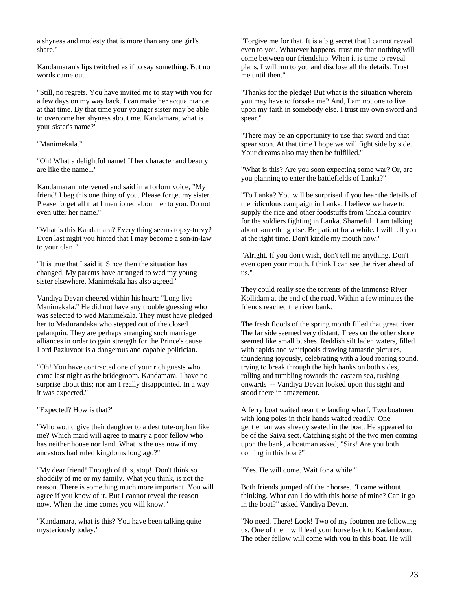a shyness and modesty that is more than any one girl's share."

Kandamaran's lips twitched as if to say something. But no words came out.

"Still, no regrets. You have invited me to stay with you for a few days on my way back. I can make her acquaintance at that time. By that time your younger sister may be able to overcome her shyness about me. Kandamara, what is your sister's name?"

#### "Manimekala."

"Oh! What a delightful name! If her character and beauty are like the name..."

Kandamaran intervened and said in a forlorn voice, "My friend! I beg this one thing of you. Please forget my sister. Please forget all that I mentioned about her to you. Do not even utter her name."

"What is this Kandamara? Every thing seems topsy-turvy? Even last night you hinted that I may become a son-in-law to your clan!"

"It is true that I said it. Since then the situation has changed. My parents have arranged to wed my young sister elsewhere. Manimekala has also agreed."

Vandiya Devan cheered within his heart: "Long live Manimekala." He did not have any trouble guessing who was selected to wed Manimekala. They must have pledged her to Madurandaka who stepped out of the closed palanquin. They are perhaps arranging such marriage alliances in order to gain strength for the Prince's cause. Lord Pazluvoor is a dangerous and capable politician.

"Oh! You have contracted one of your rich guests who came last night as the bridegroom. Kandamara, I have no surprise about this; nor am I really disappointed. In a way it was expected."

"Expected? How is that?"

"Who would give their daughter to a destitute-orphan like me? Which maid will agree to marry a poor fellow who has neither house nor land. What is the use now if my ancestors had ruled kingdoms long ago?"

"My dear friend! Enough of this, stop! Don't think so shoddily of me or my family. What you think, is not the reason. There is something much more important. You will agree if you know of it. But I cannot reveal the reason now. When the time comes you will know."

"Kandamara, what is this? You have been talking quite mysteriously today."

"Forgive me for that. It is a big secret that I cannot reveal even to you. Whatever happens, trust me that nothing will come between our friendship. When it is time to reveal plans, I will run to you and disclose all the details. Trust me until then."

"Thanks for the pledge! But what is the situation wherein you may have to forsake me? And, I am not one to live upon my faith in somebody else. I trust my own sword and spear."

"There may be an opportunity to use that sword and that spear soon. At that time I hope we will fight side by side. Your dreams also may then be fulfilled."

"What is this? Are you soon expecting some war? Or, are you planning to enter the battlefields of Lanka?"

"To Lanka? You will be surprised if you hear the details of the ridiculous campaign in Lanka. I believe we have to supply the rice and other foodstuffs from Chozla country for the soldiers fighting in Lanka. Shameful! I am talking about something else. Be patient for a while. I will tell you at the right time. Don't kindle my mouth now."

"Alright. If you don't wish, don't tell me anything. Don't even open your mouth. I think I can see the river ahead of us."

They could really see the torrents of the immense River Kollidam at the end of the road. Within a few minutes the friends reached the river bank.

The fresh floods of the spring month filled that great river. The far side seemed very distant. Trees on the other shore seemed like small bushes. Reddish silt laden waters, filled with rapids and whirlpools drawing fantastic pictures, thundering joyously, celebrating with a loud roaring sound, trying to break through the high banks on both sides, rolling and tumbling towards the eastern sea, rushing onwards -- Vandiya Devan looked upon this sight and stood there in amazement.

A ferry boat waited near the landing wharf. Two boatmen with long poles in their hands waited readily. One gentleman was already seated in the boat. He appeared to be of the Saiva sect. Catching sight of the two men coming upon the bank, a boatman asked, "Sirs! Are you both coming in this boat?"

"Yes. He will come. Wait for a while."

Both friends jumped off their horses. "I came without thinking. What can I do with this horse of mine? Can it go in the boat?" asked Vandiya Devan.

"No need. There! Look! Two of my footmen are following us. One of them will lead your horse back to Kadamboor. The other fellow will come with you in this boat. He will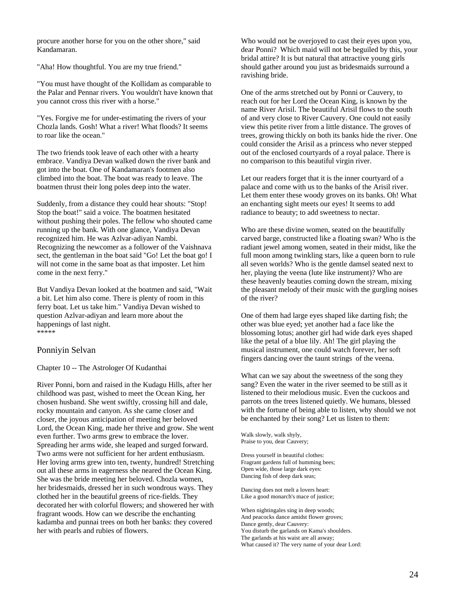procure another horse for you on the other shore," said Kandamaran.

"Aha! How thoughtful. You are my true friend."

"You must have thought of the Kollidam as comparable to the Palar and Pennar rivers. You wouldn't have known that you cannot cross this river with a horse."

"Yes. Forgive me for under-estimating the rivers of your Chozla lands. Gosh! What a river! What floods? It seems to roar like the ocean."

The two friends took leave of each other with a hearty embrace. Vandiya Devan walked down the river bank and got into the boat. One of Kandamaran's footmen also climbed into the boat. The boat was ready to leave. The boatmen thrust their long poles deep into the water.

Suddenly, from a distance they could hear shouts: "Stop! Stop the boat!" said a voice. The boatmen hesitated without pushing their poles. The fellow who shouted came running up the bank. With one glance, Vandiya Devan recognized him. He was Azlvar-adiyan Nambi. Recognizing the newcomer as a follower of the Vaishnava sect, the gentleman in the boat said "Go! Let the boat go! I will not come in the same boat as that imposter. Let him come in the next ferry."

But Vandiya Devan looked at the boatmen and said, "Wait a bit. Let him also come. There is plenty of room in this ferry boat. Let us take him." Vandiya Devan wished to question Azlvar-adiyan and learn more about the happenings of last night. \*\*\*\*\*

# Ponniyin Selvan

Chapter 10 -- The Astrologer Of Kudanthai

River Ponni, born and raised in the Kudagu Hills, after her childhood was past, wished to meet the Ocean King, her chosen husband. She went swiftly, crossing hill and dale, rocky mountain and canyon. As she came closer and closer, the joyous anticipation of meeting her beloved Lord, the Ocean King, made her thrive and grow. She went even further. Two arms grew to embrace the lover. Spreading her arms wide, she leaped and surged forward. Two arms were not sufficient for her ardent enthusiasm. Her loving arms grew into ten, twenty, hundred! Stretching out all these arms in eagerness she neared the Ocean King. She was the bride meeting her beloved. Chozla women, her bridesmaids, dressed her in such wondrous ways. They clothed her in the beautiful greens of rice-fields. They decorated her with colorful flowers; and showered her with fragrant woods. How can we describe the enchanting kadamba and punnai trees on both her banks: they covered her with pearls and rubies of flowers.

Who would not be overjoyed to cast their eyes upon you, dear Ponni? Which maid will not be beguiled by this, your bridal attire? It is but natural that attractive young girls should gather around you just as bridesmaids surround a ravishing bride.

One of the arms stretched out by Ponni or Cauvery, to reach out for her Lord the Ocean King, is known by the name River Arisil. The beautiful Arisil flows to the south of and very close to River Cauvery. One could not easily view this petite river from a little distance. The groves of trees, growing thickly on both its banks hide the river. One could consider the Arisil as a princess who never stepped out of the enclosed courtyards of a royal palace. There is no comparison to this beautiful virgin river.

Let our readers forget that it is the inner courtyard of a palace and come with us to the banks of the Arisil river. Let them enter these woody groves on its banks. Oh! What an enchanting sight meets our eyes! It seems to add radiance to beauty; to add sweetness to nectar.

Who are these divine women, seated on the beautifully carved barge, constructed like a floating swan? Who is the radiant jewel among women, seated in their midst, like the full moon among twinkling stars, like a queen born to rule all seven worlds? Who is the gentle damsel seated next to her, playing the veena (lute like instrument)? Who are these heavenly beauties coming down the stream, mixing the pleasant melody of their music with the gurgling noises of the river?

One of them had large eyes shaped like darting fish; the other was blue eyed; yet another had a face like the blossoming lotus; another girl had wide dark eyes shaped like the petal of a blue lily. Ah! The girl playing the musical instrument, one could watch forever, her soft fingers dancing over the taunt strings of the veena.

What can we say about the sweetness of the song they sang? Even the water in the river seemed to be still as it listened to their melodious music. Even the cuckoos and parrots on the trees listened quietly. We humans, blessed with the fortune of being able to listen, why should we not be enchanted by their song? Let us listen to them:

Walk slowly, walk shyly, Praise to you, dear Cauvery;

Dress yourself in beautiful clothes: Fragrant gardens full of humming bees; Open wide, those large dark eyes: Dancing fish of deep dark seas;

Dancing does not melt a lovers heart: Like a good monarch's mace of justice;

When nightingales sing in deep woods; And peacocks dance amidst flower groves; Dance gently, dear Cauvery: You disturb the garlands on Kama's shoulders. The garlands at his waist are all asway; What caused it? The very name of your dear Lord: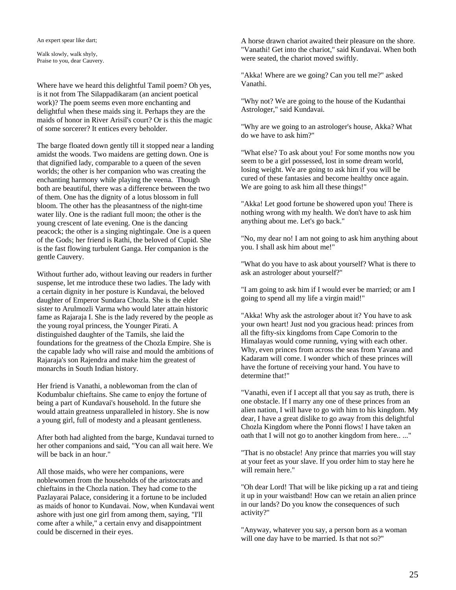An expert spear like dart;

Walk slowly, walk shyly, Praise to you, dear Cauvery.

Where have we heard this delightful Tamil poem? Oh yes, is it not from The Silappadikaram (an ancient poetical work)? The poem seems even more enchanting and delightful when these maids sing it. Perhaps they are the maids of honor in River Arisil's court? Or is this the magic of some sorcerer? It entices every beholder.

The barge floated down gently till it stopped near a landing amidst the woods. Two maidens are getting down. One is that dignified lady, comparable to a queen of the seven worlds; the other is her companion who was creating the enchanting harmony while playing the veena. Though both are beautiful, there was a difference between the two of them. One has the dignity of a lotus blossom in full bloom. The other has the pleasantness of the night-time water lily. One is the radiant full moon; the other is the young crescent of late evening. One is the dancing peacock; the other is a singing nightingale. One is a queen of the Gods; her friend is Rathi, the beloved of Cupid. She is the fast flowing turbulent Ganga. Her companion is the gentle Cauvery.

Without further ado, without leaving our readers in further suspense, let me introduce these two ladies. The lady with a certain dignity in her posture is Kundavai, the beloved daughter of Emperor Sundara Chozla. She is the elder sister to Arulmozli Varma who would later attain historic fame as Rajaraja I. She is the lady revered by the people as the young royal princess, the Younger Pirati. A distinguished daughter of the Tamils, she laid the foundations for the greatness of the Chozla Empire. She is the capable lady who will raise and mould the ambitions of Rajaraja's son Rajendra and make him the greatest of monarchs in South Indian history.

Her friend is Vanathi, a noblewoman from the clan of Kodumbalur chieftains. She came to enjoy the fortune of being a part of Kundavai's household. In the future she would attain greatness unparalleled in history. She is now a young girl, full of modesty and a pleasant gentleness.

After both had alighted from the barge, Kundavai turned to her other companions and said, "You can all wait here. We will be back in an hour."

All those maids, who were her companions, were noblewomen from the households of the aristocrats and chieftains in the Chozla nation. They had come to the Pazlayarai Palace, considering it a fortune to be included as maids of honor to Kundavai. Now, when Kundavai went ashore with just one girl from among them, saying, "I'll come after a while," a certain envy and disappointment could be discerned in their eyes.

A horse drawn chariot awaited their pleasure on the shore. "Vanathi! Get into the chariot," said Kundavai. When both were seated, the chariot moved swiftly.

"Akka! Where are we going? Can you tell me?" asked Vanathi.

"Why not? We are going to the house of the Kudanthai Astrologer," said Kundavai.

"Why are we going to an astrologer's house, Akka? What do we have to ask him?"

"What else? To ask about you! For some months now you seem to be a girl possessed, lost in some dream world, losing weight. We are going to ask him if you will be cured of these fantasies and become healthy once again. We are going to ask him all these things!"

"Akka! Let good fortune be showered upon you! There is nothing wrong with my health. We don't have to ask him anything about me. Let's go back."

"No, my dear no! I am not going to ask him anything about you. I shall ask him about me!"

"What do you have to ask about yourself? What is there to ask an astrologer about yourself?"

"I am going to ask him if I would ever be married; or am I going to spend all my life a virgin maid!"

"Akka! Why ask the astrologer about it? You have to ask your own heart! Just nod you gracious head: princes from all the fifty-six kingdoms from Cape Comorin to the Himalayas would come running, vying with each other. Why, even princes from across the seas from Yavana and Kadaram will come. I wonder which of these princes will have the fortune of receiving your hand. You have to determine that!"

"Vanathi, even if I accept all that you say as truth, there is one obstacle. If I marry any one of these princes from an alien nation, I will have to go with him to his kingdom. My dear, I have a great dislike to go away from this delightful Chozla Kingdom where the Ponni flows! I have taken an oath that I will not go to another kingdom from here.. ..."

"That is no obstacle! Any prince that marries you will stay at your feet as your slave. If you order him to stay here he will remain here."

"Oh dear Lord! That will be like picking up a rat and tieing it up in your waistband! How can we retain an alien prince in our lands? Do you know the consequences of such activity?"

"Anyway, whatever you say, a person born as a woman will one day have to be married. Is that not so?"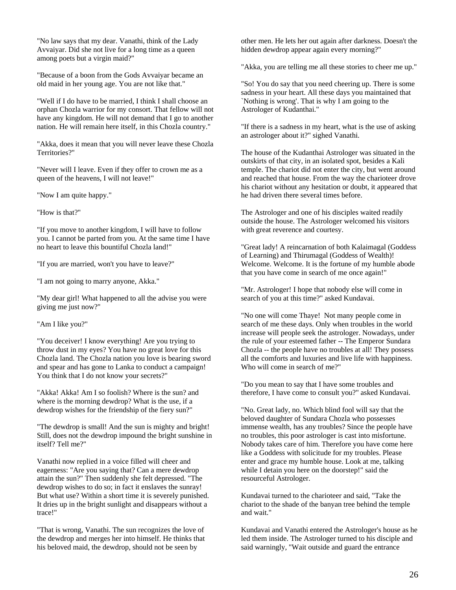"No law says that my dear. Vanathi, think of the Lady Avvaiyar. Did she not live for a long time as a queen among poets but a virgin maid?"

"Because of a boon from the Gods Avvaiyar became an old maid in her young age. You are not like that."

"Well if I do have to be married, I think I shall choose an orphan Chozla warrior for my consort. That fellow will not have any kingdom. He will not demand that I go to another nation. He will remain here itself, in this Chozla country."

"Akka, does it mean that you will never leave these Chozla Territories?"

"Never will I leave. Even if they offer to crown me as a queen of the heavens, I will not leave!"

"Now I am quite happy."

"How is that?"

"If you move to another kingdom, I will have to follow you. I cannot be parted from you. At the same time I have no heart to leave this bountiful Chozla land!"

"If you are married, won't you have to leave?"

"I am not going to marry anyone, Akka."

"My dear girl! What happened to all the advise you were giving me just now?"

"Am I like you?"

"You deceiver! I know everything! Are you trying to throw dust in my eyes? You have no great love for this Chozla land. The Chozla nation you love is bearing sword and spear and has gone to Lanka to conduct a campaign! You think that I do not know your secrets?"

"Akka! Akka! Am I so foolish? Where is the sun? and where is the morning dewdrop? What is the use, if a dewdrop wishes for the friendship of the fiery sun?"

"The dewdrop is small! And the sun is mighty and bright! Still, does not the dewdrop impound the bright sunshine in itself? Tell me?"

Vanathi now replied in a voice filled will cheer and eagerness: "Are you saying that? Can a mere dewdrop attain the sun?" Then suddenly she felt depressed. "The dewdrop wishes to do so; in fact it enslaves the sunray! But what use? Within a short time it is severely punished. It dries up in the bright sunlight and disappears without a trace!"

"That is wrong, Vanathi. The sun recognizes the love of the dewdrop and merges her into himself. He thinks that his beloved maid, the dewdrop, should not be seen by

other men. He lets her out again after darkness. Doesn't the hidden dewdrop appear again every morning?"

"Akka, you are telling me all these stories to cheer me up."

"So! You do say that you need cheering up. There is some sadness in your heart. All these days you maintained that `Nothing is wrong'. That is why I am going to the Astrologer of Kudanthai."

"If there is a sadness in my heart, what is the use of asking an astrologer about it?" sighed Vanathi.

The house of the Kudanthai Astrologer was situated in the outskirts of that city, in an isolated spot, besides a Kali temple. The chariot did not enter the city, but went around and reached that house. From the way the charioteer drove his chariot without any hesitation or doubt, it appeared that he had driven there several times before.

The Astrologer and one of his disciples waited readily outside the house. The Astrologer welcomed his visitors with great reverence and courtesy.

"Great lady! A reincarnation of both Kalaimagal (Goddess of Learning) and Thirumagal (Goddess of Wealth)! Welcome. Welcome. It is the fortune of my humble abode that you have come in search of me once again!"

"Mr. Astrologer! I hope that nobody else will come in search of you at this time?" asked Kundavai.

"No one will come Thaye! Not many people come in search of me these days. Only when troubles in the world increase will people seek the astrologer. Nowadays, under the rule of your esteemed father -- The Emperor Sundara Chozla -- the people have no troubles at all! They possess all the comforts and luxuries and live life with happiness. Who will come in search of me?"

"Do you mean to say that I have some troubles and therefore, I have come to consult you?" asked Kundavai.

"No. Great lady, no. Which blind fool will say that the beloved daughter of Sundara Chozla who possesses immense wealth, has any troubles? Since the people have no troubles, this poor astrologer is cast into misfortune. Nobody takes care of him. Therefore you have come here like a Goddess with solicitude for my troubles. Please enter and grace my humble house. Look at me, talking while I detain you here on the doorstep!" said the resourceful Astrologer.

Kundavai turned to the charioteer and said, "Take the chariot to the shade of the banyan tree behind the temple and wait."

Kundavai and Vanathi entered the Astrologer's house as he led them inside. The Astrologer turned to his disciple and said warningly, "Wait outside and guard the entrance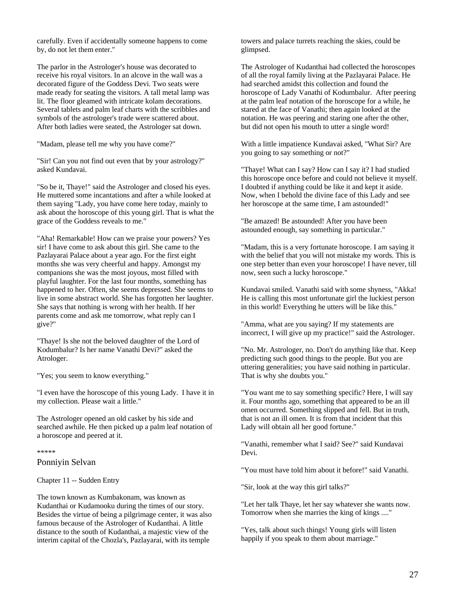carefully. Even if accidentally someone happens to come by, do not let them enter."

The parlor in the Astrologer's house was decorated to receive his royal visitors. In an alcove in the wall was a decorated figure of the Goddess Devi. Two seats were made ready for seating the visitors. A tall metal lamp was lit. The floor gleamed with intricate kolam decorations. Several tablets and palm leaf charts with the scribbles and symbols of the astrologer's trade were scattered about. After both ladies were seated, the Astrologer sat down.

"Madam, please tell me why you have come?"

"Sir! Can you not find out even that by your astrology?" asked Kundavai.

"So be it, Thaye!" said the Astrologer and closed his eyes. He muttered some incantations and after a while looked at them saying "Lady, you have come here today, mainly to ask about the horoscope of this young girl. That is what the grace of the Goddess reveals to me."

"Aha! Remarkable! How can we praise your powers? Yes sir! I have come to ask about this girl. She came to the Pazlayarai Palace about a year ago. For the first eight months she was very cheerful and happy. Amongst my companions she was the most joyous, most filled with playful laughter. For the last four months, something has happened to her. Often, she seems depressed. She seems to live in some abstract world. She has forgotten her laughter. She says that nothing is wrong with her health. If her parents come and ask me tomorrow, what reply can I give?"

"Thaye! Is she not the beloved daughter of the Lord of Kodumbalur? Is her name Vanathi Devi?" asked the Atrologer.

"Yes; you seem to know everything."

"I even have the horoscope of this young Lady. I have it in my collection. Please wait a little."

The Astrologer opened an old casket by his side and searched awhile. He then picked up a palm leaf notation of a horoscope and peered at it.

#### \*\*\*\*\*

# Ponniyin Selvan

Chapter 11 -- Sudden Entry

The town known as Kumbakonam, was known as Kudanthai or Kudamooku during the times of our story. Besides the virtue of being a pilgrimage center, it was also famous because of the Astrologer of Kudanthai. A little distance to the south of Kudanthai, a majestic view of the interim capital of the Chozla's, Pazlayarai, with its temple

towers and palace turrets reaching the skies, could be glimpsed.

The Astrologer of Kudanthai had collected the horoscopes of all the royal family living at the Pazlayarai Palace. He had searched amidst this collection and found the horoscope of Lady Vanathi of Kodumbalur. After peering at the palm leaf notation of the horoscope for a while, he stared at the face of Vanathi; then again looked at the notation. He was peering and staring one after the other, but did not open his mouth to utter a single word!

With a little impatience Kundavai asked, "What Sir? Are you going to say something or not?"

"Thaye! What can I say? How can I say it? I had studied this horoscope once before and could not believe it myself. I doubted if anything could be like it and kept it aside. Now, when I behold the divine face of this Lady and see her horoscope at the same time, I am astounded!"

"Be amazed! Be astounded! After you have been astounded enough, say something in particular."

"Madam, this is a very fortunate horoscope. I am saying it with the belief that you will not mistake my words. This is one step better than even your horoscope! I have never, till now, seen such a lucky horoscope."

Kundavai smiled. Vanathi said with some shyness, "Akka! He is calling this most unfortunate girl the luckiest person in this world! Everything he utters will be like this."

"Amma, what are you saying? If my statements are incorrect, I will give up my practice!" said the Astrologer.

"No. Mr. Astrologer, no. Don't do anything like that. Keep predicting such good things to the people. But you are uttering generalities; you have said nothing in particular. That is why she doubts you."

"You want me to say something specific? Here, I will say it. Four months ago, something that appeared to be an ill omen occurred. Something slipped and fell. But in truth, that is not an ill omen. It is from that incident that this Lady will obtain all her good fortune."

"Vanathi, remember what I said? See?" said Kundavai Devi.

"You must have told him about it before!" said Vanathi.

"Sir, look at the way this girl talks?"

"Let her talk Thaye, let her say whatever she wants now. Tomorrow when she marries the king of kings ...."

"Yes, talk about such things! Young girls will listen happily if you speak to them about marriage."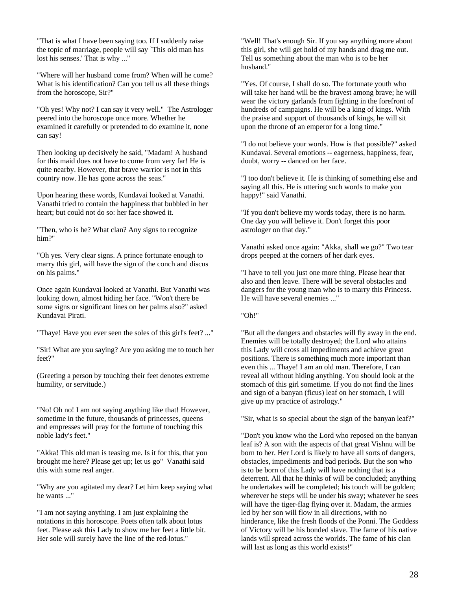"That is what I have been saying too. If I suddenly raise the topic of marriage, people will say `This old man has lost his senses.' That is why ..."

"Where will her husband come from? When will he come? What is his identification? Can you tell us all these things from the horoscope, Sir?"

"Oh yes! Why not? I can say it very well." The Astrologer peered into the horoscope once more. Whether he examined it carefully or pretended to do examine it, none can say!

Then looking up decisively he said, "Madam! A husband for this maid does not have to come from very far! He is quite nearby. However, that brave warrior is not in this country now. He has gone across the seas."

Upon hearing these words, Kundavai looked at Vanathi. Vanathi tried to contain the happiness that bubbled in her heart; but could not do so: her face showed it.

"Then, who is he? What clan? Any signs to recognize him?"

"Oh yes. Very clear signs. A prince fortunate enough to marry this girl, will have the sign of the conch and discus on his palms."

Once again Kundavai looked at Vanathi. But Vanathi was looking down, almost hiding her face. "Won't there be some signs or significant lines on her palms also?" asked Kundavai Pirati.

"Thaye! Have you ever seen the soles of this girl's feet? ..."

"Sir! What are you saying? Are you asking me to touch her feet?"

(Greeting a person by touching their feet denotes extreme humility, or servitude.)

"No! Oh no! I am not saying anything like that! However, sometime in the future, thousands of princesses, queens and empresses will pray for the fortune of touching this noble lady's feet."

"Akka! This old man is teasing me. Is it for this, that you brought me here? Please get up; let us go" Vanathi said this with some real anger.

"Why are you agitated my dear? Let him keep saying what he wants ..."

"I am not saying anything. I am just explaining the notations in this horoscope. Poets often talk about lotus feet. Please ask this Lady to show me her feet a little bit. Her sole will surely have the line of the red-lotus."

"Well! That's enough Sir. If you say anything more about this girl, she will get hold of my hands and drag me out. Tell us something about the man who is to be her husband."

"Yes. Of course, I shall do so. The fortunate youth who will take her hand will be the bravest among brave; he will wear the victory garlands from fighting in the forefront of hundreds of campaigns. He will be a king of kings. With the praise and support of thousands of kings, he will sit upon the throne of an emperor for a long time."

"I do not believe your words. How is that possible?" asked Kundavai. Several emotions -- eagerness, happiness, fear, doubt, worry -- danced on her face.

"I too don't believe it. He is thinking of something else and saying all this. He is uttering such words to make you happy!" said Vanathi.

"If you don't believe my words today, there is no harm. One day you will believe it. Don't forget this poor astrologer on that day."

Vanathi asked once again: "Akka, shall we go?" Two tear drops peeped at the corners of her dark eyes.

"I have to tell you just one more thing. Please hear that also and then leave. There will be several obstacles and dangers for the young man who is to marry this Princess. He will have several enemies ..."

"Oh!"

"But all the dangers and obstacles will fly away in the end. Enemies will be totally destroyed; the Lord who attains this Lady will cross all impediments and achieve great positions. There is something much more important than even this ... Thaye! I am an old man. Therefore, I can reveal all without hiding anything. You should look at the stomach of this girl sometime. If you do not find the lines and sign of a banyan (ficus) leaf on her stomach, I will give up my practice of astrology."

"Sir, what is so special about the sign of the banyan leaf?"

"Don't you know who the Lord who reposed on the banyan leaf is? A son with the aspects of that great Vishnu will be born to her. Her Lord is likely to have all sorts of dangers, obstacles, impediments and bad periods. But the son who is to be born of this Lady will have nothing that is a deterrent. All that he thinks of will be concluded; anything he undertakes will be completed; his touch will be golden; wherever he steps will be under his sway; whatever he sees will have the tiger-flag flying over it. Madam, the armies led by her son will flow in all directions, with no hinderance, like the fresh floods of the Ponni. The Goddess of Victory will be his bonded slave. The fame of his native lands will spread across the worlds. The fame of his clan will last as long as this world exists!"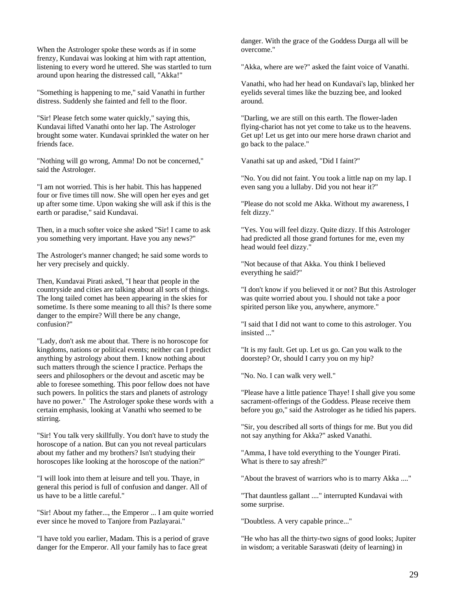When the Astrologer spoke these words as if in some frenzy, Kundavai was looking at him with rapt attention, listening to every word he uttered. She was startled to turn around upon hearing the distressed call, "Akka!"

"Something is happening to me," said Vanathi in further distress. Suddenly she fainted and fell to the floor.

"Sir! Please fetch some water quickly," saying this, Kundavai lifted Vanathi onto her lap. The Astrologer brought some water. Kundavai sprinkled the water on her friends face.

"Nothing will go wrong, Amma! Do not be concerned," said the Astrologer.

"I am not worried. This is her habit. This has happened four or five times till now. She will open her eyes and get up after some time. Upon waking she will ask if this is the earth or paradise," said Kundavai.

Then, in a much softer voice she asked "Sir! I came to ask you something very important. Have you any news?"

The Astrologer's manner changed; he said some words to her very precisely and quickly.

Then, Kundavai Pirati asked, "I hear that people in the countryside and cities are talking about all sorts of things. The long tailed comet has been appearing in the skies for sometime. Is there some meaning to all this? Is there some danger to the empire? Will there be any change, confusion?"

"Lady, don't ask me about that. There is no horoscope for kingdoms, nations or political events; neither can I predict anything by astrology about them. I know nothing about such matters through the science I practice. Perhaps the seers and philosophers or the devout and ascetic may be able to foresee something. This poor fellow does not have such powers. In politics the stars and planets of astrology have no power." The Astrologer spoke these words with a certain emphasis, looking at Vanathi who seemed to be stirring.

"Sir! You talk very skillfully. You don't have to study the horoscope of a nation. But can you not reveal particulars about my father and my brothers? Isn't studying their horoscopes like looking at the horoscope of the nation?"

"I will look into them at leisure and tell you. Thaye, in general this period is full of confusion and danger. All of us have to be a little careful."

"Sir! About my father..., the Emperor ... I am quite worried ever since he moved to Tanjore from Pazlayarai."

"I have told you earlier, Madam. This is a period of grave danger for the Emperor. All your family has to face great

danger. With the grace of the Goddess Durga all will be overcome."

"Akka, where are we?" asked the faint voice of Vanathi.

Vanathi, who had her head on Kundavai's lap, blinked her eyelids several times like the buzzing bee, and looked around.

"Darling, we are still on this earth. The flower-laden flying-chariot has not yet come to take us to the heavens. Get up! Let us get into our mere horse drawn chariot and go back to the palace."

Vanathi sat up and asked, "Did I faint?"

"No. You did not faint. You took a little nap on my lap. I even sang you a lullaby. Did you not hear it?"

"Please do not scold me Akka. Without my awareness, I felt dizzy."

"Yes. You will feel dizzy. Quite dizzy. If this Astrologer had predicted all those grand fortunes for me, even my head would feel dizzy."

"Not because of that Akka. You think I believed everything he said?"

"I don't know if you believed it or not? But this Astrologer was quite worried about you. I should not take a poor spirited person like you, anywhere, anymore."

"I said that I did not want to come to this astrologer. You insisted ..."

"It is my fault. Get up. Let us go. Can you walk to the doorstep? Or, should I carry you on my hip?

"No. No. I can walk very well."

"Please have a little patience Thaye! I shall give you some sacrament-offerings of the Goddess. Please receive them before you go," said the Astrologer as he tidied his papers.

"Sir, you described all sorts of things for me. But you did not say anything for Akka?" asked Vanathi.

"Amma, I have told everything to the Younger Pirati. What is there to say afresh?"

"About the bravest of warriors who is to marry Akka ...."

"That dauntless gallant ...." interrupted Kundavai with some surprise.

"Doubtless. A very capable prince..."

"He who has all the thirty-two signs of good looks; Jupiter in wisdom; a veritable Saraswati (deity of learning) in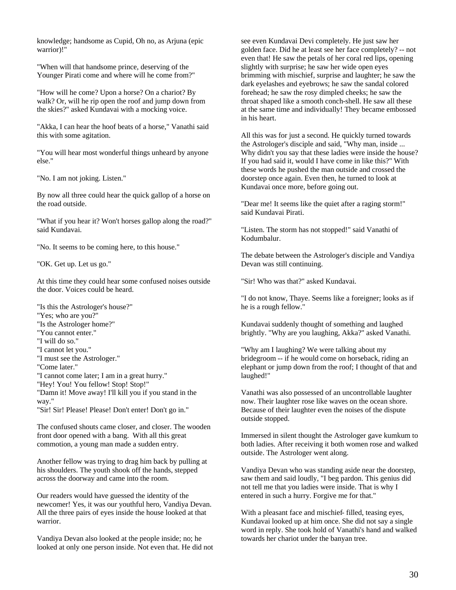knowledge; handsome as Cupid, Oh no, as Arjuna (epic warrior)!"

"When will that handsome prince, deserving of the Younger Pirati come and where will he come from?"

"How will he come? Upon a horse? On a chariot? By walk? Or, will he rip open the roof and jump down from the skies?" asked Kundavai with a mocking voice.

"Akka, I can hear the hoof beats of a horse," Vanathi said this with some agitation.

"You will hear most wonderful things unheard by anyone else."

"No. I am not joking. Listen."

By now all three could hear the quick gallop of a horse on the road outside.

"What if you hear it? Won't horses gallop along the road?" said Kundavai.

"No. It seems to be coming here, to this house."

"OK. Get up. Let us go."

At this time they could hear some confused noises outside the door. Voices could be heard.

"Is this the Astrologer's house?" "Yes; who are you?" "Is the Astrologer home?" "You cannot enter." "I will do so." "I cannot let you." "I must see the Astrologer." "Come later." "I cannot come later; I am in a great hurry." "Hey! You! You fellow! Stop! Stop!" "Damn it! Move away! I'll kill you if you stand in the way." "Sir! Sir! Please! Please! Don't enter! Don't go in."

The confused shouts came closer, and closer. The wooden front door opened with a bang. With all this great commotion, a young man made a sudden entry.

Another fellow was trying to drag him back by pulling at his shoulders. The youth shook off the hands, stepped across the doorway and came into the room.

Our readers would have guessed the identity of the newcomer! Yes, it was our youthful hero, Vandiya Devan. All the three pairs of eyes inside the house looked at that warrior.

Vandiya Devan also looked at the people inside; no; he looked at only one person inside. Not even that. He did not

see even Kundavai Devi completely. He just saw her golden face. Did he at least see her face completely? -- not even that! He saw the petals of her coral red lips, opening slightly with surprise; he saw her wide open eyes brimming with mischief, surprise and laughter; he saw the dark eyelashes and eyebrows; he saw the sandal colored forehead; he saw the rosy dimpled cheeks; he saw the throat shaped like a smooth conch-shell. He saw all these at the same time and individually! They became embossed in his heart.

All this was for just a second. He quickly turned towards the Astrologer's disciple and said, "Why man, inside ... Why didn't you say that these ladies were inside the house? If you had said it, would I have come in like this?" With these words he pushed the man outside and crossed the doorstep once again. Even then, he turned to look at Kundavai once more, before going out.

"Dear me! It seems like the quiet after a raging storm!" said Kundavai Pirati.

"Listen. The storm has not stopped!" said Vanathi of Kodumbalur.

The debate between the Astrologer's disciple and Vandiya Devan was still continuing.

"Sir! Who was that?" asked Kundavai.

"I do not know, Thaye. Seems like a foreigner; looks as if he is a rough fellow."

Kundavai suddenly thought of something and laughed brightly. "Why are you laughing, Akka?" asked Vanathi.

"Why am I laughing? We were talking about my bridegroom -- if he would come on horseback, riding an elephant or jump down from the roof; I thought of that and laughed!"

Vanathi was also possessed of an uncontrollable laughter now. Their laughter rose like waves on the ocean shore. Because of their laughter even the noises of the dispute outside stopped.

Immersed in silent thought the Astrologer gave kumkum to both ladies. After receiving it both women rose and walked outside. The Astrologer went along.

Vandiya Devan who was standing aside near the doorstep, saw them and said loudly, "I beg pardon. This genius did not tell me that you ladies were inside. That is why I entered in such a hurry. Forgive me for that."

With a pleasant face and mischief- filled, teasing eyes, Kundavai looked up at him once. She did not say a single word in reply. She took hold of Vanathi's hand and walked towards her chariot under the banyan tree.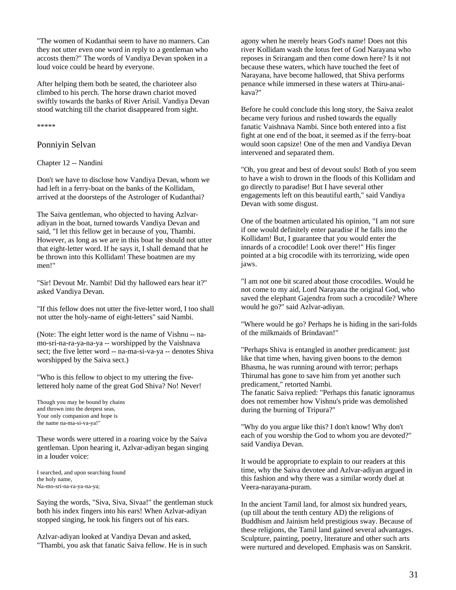"The women of Kudanthai seem to have no manners. Can they not utter even one word in reply to a gentleman who accosts them?" The words of Vandiya Devan spoken in a loud voice could be heard by everyone.

After helping them both be seated, the charioteer also climbed to his perch. The horse drawn chariot moved swiftly towards the banks of River Arisil. Vandiya Devan stood watching till the chariot disappeared from sight.

\*\*\*\*\*

## Ponniyin Selvan

Chapter 12 -- Nandini

Don't we have to disclose how Vandiya Devan, whom we had left in a ferry-boat on the banks of the Kollidam, arrived at the doorsteps of the Astrologer of Kudanthai?

The Saiva gentleman, who objected to having Azlvaradiyan in the boat, turned towards Vandiya Devan and said, "I let this fellow get in because of you, Thambi. However, as long as we are in this boat he should not utter that eight-letter word. If he says it, I shall demand that he be thrown into this Kollidam! These boatmen are my men!"

"Sir! Devout Mr. Nambi! Did thy hallowed ears hear it?" asked Vandiya Devan.

"If this fellow does not utter the five-letter word, I too shall not utter the holy-name of eight-letters" said Nambi.

(Note: The eight letter word is the name of Vishnu -- namo-sri-na-ra-ya-na-ya -- worshipped by the Vaishnava sect; the five letter word -- na-ma-si-va-ya -- denotes Shiva worshipped by the Saiva sect.)

"Who is this fellow to object to my uttering the fivelettered holy name of the great God Shiva? No! Never!

Though you may be bound by chains and thrown into the deepest seas, Your only companion and hope is the name na-ma-si-va-ya!"

These words were uttered in a roaring voice by the Saiva gentleman. Upon hearing it, Azlvar-adiyan began singing in a louder voice:

I searched, and upon searching found the holy name, Na-mo-sri-na-ra-ya-na-ya;

Saying the words, "Siva, Siva, Sivaa!" the gentleman stuck both his index fingers into his ears! When Azlvar-adiyan stopped singing, he took his fingers out of his ears.

Azlvar-adiyan looked at Vandiya Devan and asked, "Thambi, you ask that fanatic Saiva fellow. He is in such

agony when he merely hears God's name! Does not this river Kollidam wash the lotus feet of God Narayana who reposes in Srirangam and then come down here? Is it not because these waters, which have touched the feet of Narayana, have become hallowed, that Shiva performs penance while immersed in these waters at Thiru-anaikava?"

Before he could conclude this long story, the Saiva zealot became very furious and rushed towards the equally fanatic Vaishnava Nambi. Since both entered into a fist fight at one end of the boat, it seemed as if the ferry-boat would soon capsize! One of the men and Vandiya Devan intervened and separated them.

"Oh, you great and best of devout souls! Both of you seem to have a wish to drown in the floods of this Kollidam and go directly to paradise! But I have several other engagements left on this beautiful earth," said Vandiya Devan with some disgust.

One of the boatmen articulated his opinion, "I am not sure if one would definitely enter paradise if he falls into the Kollidam! But, I guarantee that you would enter the innards of a crocodile! Look over there!" His finger pointed at a big crocodile with its terrorizing, wide open jaws.

"I am not one bit scared about those crocodiles. Would he not come to my aid, Lord Narayana the original God, who saved the elephant Gajendra from such a crocodile? Where would he go?" said Azlvar-adiyan.

"Where would he go? Perhaps he is hiding in the sari-folds of the milkmaids of Brindavan!"

"Perhaps Shiva is entangled in another predicament: just like that time when, having given boons to the demon Bhasma, he was running around with terror; perhaps Thirumal has gone to save him from yet another such predicament," retorted Nambi.

The fanatic Saiva replied: "Perhaps this fanatic ignoramus does not remember how Vishnu's pride was demolished during the burning of Tripura?"

"Why do you argue like this? I don't know! Why don't each of you worship the God to whom you are devoted?" said Vandiya Devan.

It would be appropriate to explain to our readers at this time, why the Saiva devotee and Azlvar-adiyan argued in this fashion and why there was a similar wordy duel at Veera-narayana-puram.

In the ancient Tamil land, for almost six hundred years, (up till about the tenth century AD) the religions of Buddhism and Jainism held prestigious sway. Because of these religions, the Tamil land gained several advantages. Sculpture, painting, poetry, literature and other such arts were nurtured and developed. Emphasis was on Sanskrit.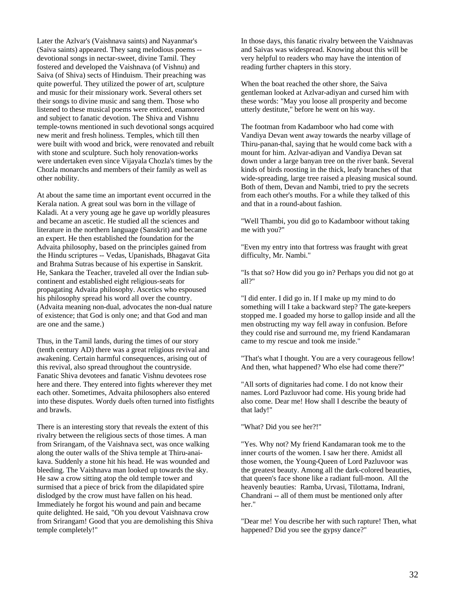Later the Azlvar's (Vaishnava saints) and Nayanmar's (Saiva saints) appeared. They sang melodious poems - devotional songs in nectar-sweet, divine Tamil. They fostered and developed the Vaishnava (of Vishnu) and Saiva (of Shiva) sects of Hinduism. Their preaching was quite powerful. They utilized the power of art, sculpture and music for their missionary work. Several others set their songs to divine music and sang them. Those who listened to these musical poems were enticed, enamored and subject to fanatic devotion. The Shiva and Vishnu temple-towns mentioned in such devotional songs acquired new merit and fresh holiness. Temples, which till then were built with wood and brick, were renovated and rebuilt with stone and sculpture. Such holy renovation-works were undertaken even since Vijayala Chozla's times by the Chozla monarchs and members of their family as well as other nobility.

At about the same time an important event occurred in the Kerala nation. A great soul was born in the village of Kaladi. At a very young age he gave up worldly pleasures and became an ascetic. He studied all the sciences and literature in the northern language (Sanskrit) and became an expert. He then established the foundation for the Advaita philosophy, based on the principles gained from the Hindu scriptures -- Vedas, Upanishads, Bhagavat Gita and Brahma Sutras because of his expertise in Sanskrit. He, Sankara the Teacher, traveled all over the Indian subcontinent and established eight religious-seats for propagating Advaita philosophy. Ascetics who espoused his philosophy spread his word all over the country. (Advaita meaning non-dual, advocates the non-dual nature of existence; that God is only one; and that God and man are one and the same.)

Thus, in the Tamil lands, during the times of our story (tenth century AD) there was a great religious revival and awakening. Certain harmful consequences, arising out of this revival, also spread throughout the countryside. Fanatic Shiva devotees and fanatic Vishnu devotees rose here and there. They entered into fights wherever they met each other. Sometimes, Advaita philosophers also entered into these disputes. Wordy duels often turned into fistfights and brawls.

There is an interesting story that reveals the extent of this rivalry between the religious sects of those times. A man from Srirangam, of the Vaishnava sect, was once walking along the outer walls of the Shiva temple at Thiru-anaikava. Suddenly a stone hit his head. He was wounded and bleeding. The Vaishnava man looked up towards the sky. He saw a crow sitting atop the old temple tower and surmised that a piece of brick from the dilapidated spire dislodged by the crow must have fallen on his head. Immediately he forgot his wound and pain and became quite delighted. He said, "Oh you devout Vaishnava crow from Srirangam! Good that you are demolishing this Shiva temple completely!"

In those days, this fanatic rivalry between the Vaishnavas and Saivas was widespread. Knowing about this will be very helpful to readers who may have the intention of reading further chapters in this story.

When the boat reached the other shore, the Saiva gentleman looked at Azlvar-adiyan and cursed him with these words: "May you loose all prosperity and become utterly destitute," before he went on his way.

The footman from Kadamboor who had come with Vandiya Devan went away towards the nearby village of Thiru-panan-thal, saying that he would come back with a mount for him. Azlvar-adiyan and Vandiya Devan sat down under a large banyan tree on the river bank. Several kinds of birds roosting in the thick, leafy branches of that wide-spreading, large tree raised a pleasing musical sound. Both of them, Devan and Nambi, tried to pry the secrets from each other's mouths. For a while they talked of this and that in a round-about fashion.

"Well Thambi, you did go to Kadamboor without taking me with you?"

"Even my entry into that fortress was fraught with great difficulty, Mr. Nambi."

"Is that so? How did you go in? Perhaps you did not go at all?"

"I did enter. I did go in. If I make up my mind to do something will I take a backward step? The gate-keepers stopped me. I goaded my horse to gallop inside and all the men obstructing my way fell away in confusion. Before they could rise and surround me, my friend Kandamaran came to my rescue and took me inside."

"That's what I thought. You are a very courageous fellow! And then, what happened? Who else had come there?"

"All sorts of dignitaries had come. I do not know their names. Lord Pazluvoor had come. His young bride had also come. Dear me! How shall I describe the beauty of that lady!"

"What? Did you see her?!"

"Yes. Why not? My friend Kandamaran took me to the inner courts of the women. I saw her there. Amidst all those women, the Young-Queen of Lord Pazluvoor was the greatest beauty. Among all the dark-colored beauties, that queen's face shone like a radiant full-moon. All the heavenly beauties: Ramba, Urvasi, Tilottama, Indrani, Chandrani -- all of them must be mentioned only after her."

"Dear me! You describe her with such rapture! Then, what happened? Did you see the gypsy dance?"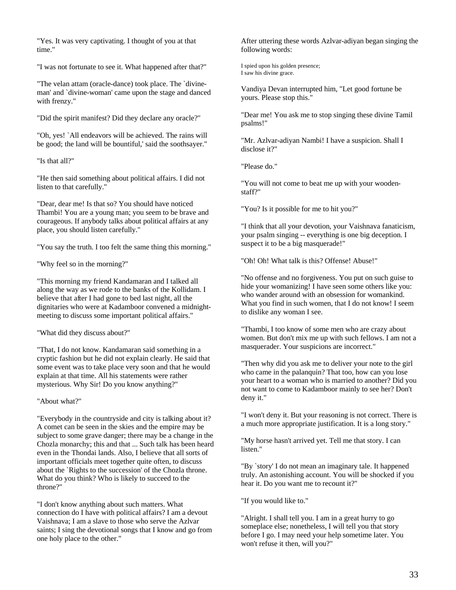"Yes. It was very captivating. I thought of you at that time."

"I was not fortunate to see it. What happened after that?"

"The velan attam (oracle-dance) took place. The `divineman' and `divine-woman' came upon the stage and danced with frenzy."

"Did the spirit manifest? Did they declare any oracle?"

"Oh, yes! `All endeavors will be achieved. The rains will be good; the land will be bountiful,' said the soothsayer."

"Is that all?"

"He then said something about political affairs. I did not listen to that carefully."

"Dear, dear me! Is that so? You should have noticed Thambi! You are a young man; you seem to be brave and courageous. If anybody talks about political affairs at any place, you should listen carefully."

"You say the truth. I too felt the same thing this morning."

"Why feel so in the morning?"

"This morning my friend Kandamaran and I talked all along the way as we rode to the banks of the Kollidam. I believe that after I had gone to bed last night, all the dignitaries who were at Kadamboor convened a midnightmeeting to discuss some important political affairs."

"What did they discuss about?"

"That, I do not know. Kandamaran said something in a cryptic fashion but he did not explain clearly. He said that some event was to take place very soon and that he would explain at that time. All his statements were rather mysterious. Why Sir! Do you know anything?"

"About what?"

"Everybody in the countryside and city is talking about it? A comet can be seen in the skies and the empire may be subject to some grave danger; there may be a change in the Chozla monarchy; this and that ... Such talk has been heard even in the Thondai lands. Also, I believe that all sorts of important officials meet together quite often, to discuss about the `Rights to the succession' of the Chozla throne. What do you think? Who is likely to succeed to the throne?"

"I don't know anything about such matters. What connection do I have with political affairs? I am a devout Vaishnava; I am a slave to those who serve the Azlvar saints; I sing the devotional songs that I know and go from one holy place to the other."

After uttering these words Azlvar-adiyan began singing the following words:

I spied upon his golden presence; I saw his divine grace.

Vandiya Devan interrupted him, "Let good fortune be yours. Please stop this."

"Dear me! You ask me to stop singing these divine Tamil psalms!"

"Mr. Azlvar-adiyan Nambi! I have a suspicion. Shall I disclose it?"

"Please do."

"You will not come to beat me up with your woodenstaff?"

"You? Is it possible for me to hit you?"

"I think that all your devotion, your Vaishnava fanaticism, your psalm singing -- everything is one big deception. I suspect it to be a big masquerade!"

"Oh! Oh! What talk is this? Offense! Abuse!"

"No offense and no forgiveness. You put on such guise to hide your womanizing! I have seen some others like you: who wander around with an obsession for womankind. What you find in such women, that I do not know! I seem to dislike any woman I see.

"Thambi, I too know of some men who are crazy about women. But don't mix me up with such fellows. I am not a masquerader. Your suspicions are incorrect."

"Then why did you ask me to deliver your note to the girl who came in the palanquin? That too, how can you lose your heart to a woman who is married to another? Did you not want to come to Kadamboor mainly to see her? Don't deny it."

"I won't deny it. But your reasoning is not correct. There is a much more appropriate justification. It is a long story."

"My horse hasn't arrived yet. Tell me that story. I can listen."

"By `story' I do not mean an imaginary tale. It happened truly. An astonishing account. You will be shocked if you hear it. Do you want me to recount it?"

"If you would like to."

"Alright. I shall tell you. I am in a great hurry to go someplace else; nonetheless, I will tell you that story before I go. I may need your help sometime later. You won't refuse it then, will you?"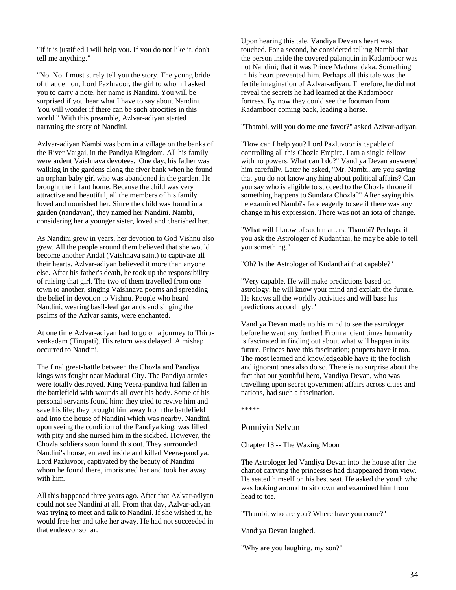"If it is justified I will help you. If you do not like it, don't tell me anything."

"No. No. I must surely tell you the story. The young bride of that demon, Lord Pazluvoor, the girl to whom I asked you to carry a note, her name is Nandini. You will be surprised if you hear what I have to say about Nandini. You will wonder if there can be such atrocities in this world." With this preamble, Azlvar-adiyan started narrating the story of Nandini.

Azlvar-adiyan Nambi was born in a village on the banks of the River Vaigai, in the Pandiya Kingdom. All his family were ardent Vaishnava devotees. One day, his father was walking in the gardens along the river bank when he found an orphan baby girl who was abandoned in the garden. He brought the infant home. Because the child was very attractive and beautiful, all the members of his family loved and nourished her. Since the child was found in a garden (nandavan), they named her Nandini. Nambi, considering her a younger sister, loved and cherished her.

As Nandini grew in years, her devotion to God Vishnu also grew. All the people around them believed that she would become another Andal (Vaishnava saint) to captivate all their hearts. Azlvar-adiyan believed it more than anyone else. After his father's death, he took up the responsibility of raising that girl. The two of them travelled from one town to another, singing Vaishnava poems and spreading the belief in devotion to Vishnu. People who heard Nandini, wearing basil-leaf garlands and singing the psalms of the Azlvar saints, were enchanted.

At one time Azlvar-adiyan had to go on a journey to Thiruvenkadam (Tirupati). His return was delayed. A mishap occurred to Nandini.

The final great-battle between the Chozla and Pandiya kings was fought near Madurai City. The Pandiya armies were totally destroyed. King Veera-pandiya had fallen in the battlefield with wounds all over his body. Some of his personal servants found him: they tried to revive him and save his life; they brought him away from the battlefield and into the house of Nandini which was nearby. Nandini, upon seeing the condition of the Pandiya king, was filled with pity and she nursed him in the sickbed. However, the Chozla soldiers soon found this out. They surrounded Nandini's house, entered inside and killed Veera-pandiya. Lord Pazluvoor, captivated by the beauty of Nandini whom he found there, imprisoned her and took her away with him.

All this happened three years ago. After that Azlvar-adiyan could not see Nandini at all. From that day, Azlvar-adiyan was trying to meet and talk to Nandini. If she wished it, he would free her and take her away. He had not succeeded in that endeavor so far.

Upon hearing this tale, Vandiya Devan's heart was touched. For a second, he considered telling Nambi that the person inside the covered palanquin in Kadamboor was not Nandini; that it was Prince Madurandaka. Something in his heart prevented him. Perhaps all this tale was the fertile imagination of Azlvar-adiyan. Therefore, he did not reveal the secrets he had learned at the Kadamboor fortress. By now they could see the footman from Kadamboor coming back, leading a horse.

"Thambi, will you do me one favor?" asked Azlvar-adiyan.

"How can I help you? Lord Pazluvoor is capable of controlling all this Chozla Empire. I am a single fellow with no powers. What can I do?" Vandiya Devan answered him carefully. Later he asked, "Mr. Nambi, are you saying that you do not know anything about political affairs? Can you say who is eligible to succeed to the Chozla throne if something happens to Sundara Chozla?" After saying this he examined Nambi's face eagerly to see if there was any change in his expression. There was not an iota of change.

"What will I know of such matters, Thambi? Perhaps, if you ask the Astrologer of Kudanthai, he may be able to tell you something."

"Oh? Is the Astrologer of Kudanthai that capable?"

"Very capable. He will make predictions based on astrology; he will know your mind and explain the future. He knows all the worldly activities and will base his predictions accordingly."

Vandiya Devan made up his mind to see the astrologer before he went any further! From ancient times humanity is fascinated in finding out about what will happen in its future. Princes have this fascination; paupers have it too. The most learned and knowledgeable have it; the foolish and ignorant ones also do so. There is no surprise about the fact that our youthful hero, Vandiya Devan, who was travelling upon secret government affairs across cities and nations, had such a fascination.

\*\*\*\*\*

## Ponniyin Selvan

Chapter 13 -- The Waxing Moon

The Astrologer led Vandiya Devan into the house after the chariot carrying the princesses had disappeared from view. He seated himself on his best seat. He asked the youth who was looking around to sit down and examined him from head to toe.

"Thambi, who are you? Where have you come?"

Vandiya Devan laughed.

"Why are you laughing, my son?"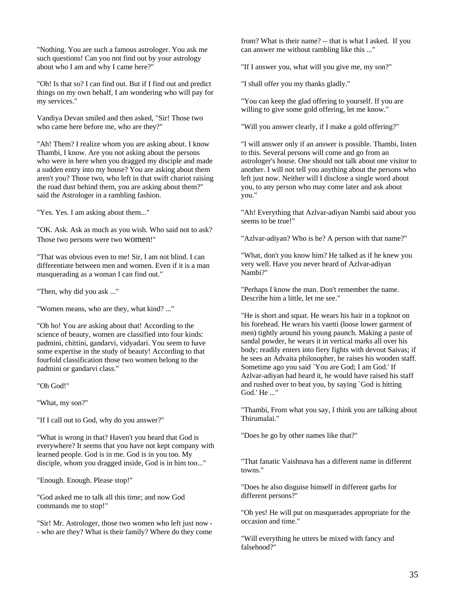"Nothing. You are such a famous astrologer. You ask me such questions! Can you not find out by your astrology about who I am and why I came here?"

"Oh! Is that so? I can find out. But if I find out and predict things on my own behalf, I am wondering who will pay for my services."

Vandiya Devan smiled and then asked, "Sir! Those two who came here before me, who are they?"

"Ah! Them? I realize whom you are asking about. I know Thambi, I know. Are you not asking about the persons who were in here when you dragged my disciple and made a sudden entry into my house? You are asking about them aren't you? Those two, who left in that swift chariot raising the road dust behind them, you are asking about them?" said the Astrologer in a rambling fashion.

"Yes. Yes. I am asking about them..."

"OK. Ask. Ask as much as you wish. Who said not to ask? Those two persons were two women!"

"That was obvious even to me! Sir, I am not blind. I can differentiate between men and women. Even if it is a man masquerading as a woman I can find out."

"Then, why did you ask ..."

"Women means, who are they, what kind? ..."

"Oh ho! You are asking about that! According to the science of beauty, women are classified into four kinds: padmini, chittini, gandarvi, vidyadari. You seem to have some expertise in the study of beauty! According to that fourfold classification those two women belong to the padmini or gandarvi class."

"Oh God!"

"What, my son?"

"If I call out to God, why do you answer?"

"What is wrong in that? Haven't you heard that God is everywhere? It seems that you have not kept company with learned people. God is in me. God is in you too. My disciple, whom you dragged inside, God is in him too..."

"Enough. Enough. Please stop!"

"God asked me to talk all this time; and now God commands me to stop!"

"Sir! Mr. Astrologer, those two women who left just now - - who are they? What is their family? Where do they come from? What is their name? -- that is what I asked. If you can answer me without rambling like this ..."

"If I answer you, what will you give me, my son?"

"I shall offer you my thanks gladly."

"You can keep the glad offering to yourself. If you are willing to give some gold offering, let me know."

"Will you answer clearly, if I make a gold offering?"

"I will answer only if an answer is possible. Thambi, listen to this. Several persons will come and go from an astrologer's house. One should not talk about one visitor to another. I will not tell you anything about the persons who left just now. Neither will I disclose a single word about you, to any person who may come later and ask about you."

"Ah! Everything that Azlvar-adiyan Nambi said about you seems to be true!"

"Azlvar-adiyan? Who is he? A person with that name?"

"What, don't you know him? He talked as if he knew you very well. Have you never heard of Azlvar-adiyan Nambi?"

"Perhaps I know the man. Don't remember the name. Describe him a little, let me see."

"He is short and squat. He wears his hair in a topknot on his forehead. He wears his vaetti (loose lower garment of men) tightly around his young paunch. Making a paste of sandal powder, he wears it in vertical marks all over his body; readily enters into fiery fights with devout Saivas; if he sees an Advaita philosopher, he raises his wooden staff. Sometime ago you said `You are God; I am God.' If Azlvar-adiyan had heard it, he would have raised his staff and rushed over to beat you, by saying `God is hitting God.' He ..."

"Thambi, From what you say, I think you are talking about Thirumalai."

"Does he go by other names like that?"

"That fanatic Vaishnava has a different name in different towns."

"Does he also disguise himself in different garbs for different persons?"

"Oh yes! He will put on masquerades appropriate for the occasion and time."

"Will everything he utters be mixed with fancy and falsehood?"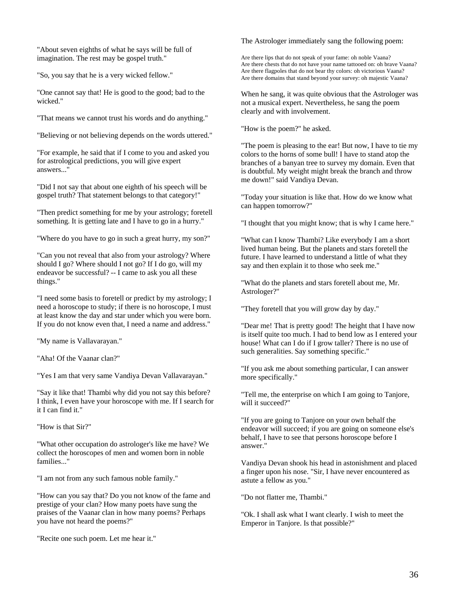"About seven eighths of what he says will be full of imagination. The rest may be gospel truth."

"So, you say that he is a very wicked fellow."

"One cannot say that! He is good to the good; bad to the wicked."

"That means we cannot trust his words and do anything."

"Believing or not believing depends on the words uttered."

"For example, he said that if I come to you and asked you for astrological predictions, you will give expert answers..."

"Did I not say that about one eighth of his speech will be gospel truth? That statement belongs to that category!"

"Then predict something for me by your astrology; foretell something. It is getting late and I have to go in a hurry."

"Where do you have to go in such a great hurry, my son?"

"Can you not reveal that also from your astrology? Where should I go? Where should I not go? If I do go, will my endeavor be successful? -- I came to ask you all these things."

"I need some basis to foretell or predict by my astrology; I need a horoscope to study; if there is no horoscope, I must at least know the day and star under which you were born. If you do not know even that, I need a name and address."

"My name is Vallavarayan."

"Aha! Of the Vaanar clan?"

"Yes I am that very same Vandiya Devan Vallavarayan."

"Say it like that! Thambi why did you not say this before? I think, I even have your horoscope with me. If I search for it I can find it."

"How is that Sir?"

"What other occupation do astrologer's like me have? We collect the horoscopes of men and women born in noble families..."

"I am not from any such famous noble family."

"How can you say that? Do you not know of the fame and prestige of your clan? How many poets have sung the praises of the Vaanar clan in how many poems? Perhaps you have not heard the poems?"

"Recite one such poem. Let me hear it."

### The Astrologer immediately sang the following poem:

Are there lips that do not speak of your fame: oh noble Vaana? Are there chests that do not have your name tattooed on: oh brave Vaana? Are there flagpoles that do not bear thy colors: oh victorious Vaana? Are there domains that stand beyond your survey: oh majestic Vaana?

When he sang, it was quite obvious that the Astrologer was not a musical expert. Nevertheless, he sang the poem clearly and with involvement.

"How is the poem?" he asked.

"The poem is pleasing to the ear! But now, I have to tie my colors to the horns of some bull! I have to stand atop the branches of a banyan tree to survey my domain. Even that is doubtful. My weight might break the branch and throw me down!" said Vandiya Devan.

"Today your situation is like that. How do we know what can happen tomorrow?"

"I thought that you might know; that is why I came here."

"What can I know Thambi? Like everybody I am a short lived human being. But the planets and stars foretell the future. I have learned to understand a little of what they say and then explain it to those who seek me."

"What do the planets and stars foretell about me, Mr. Astrologer?"

"They foretell that you will grow day by day."

"Dear me! That is pretty good! The height that I have now is itself quite too much. I had to bend low as I entered your house! What can I do if I grow taller? There is no use of such generalities. Say something specific."

"If you ask me about something particular, I can answer more specifically."

"Tell me, the enterprise on which I am going to Tanjore, will it succeed?"

"If you are going to Tanjore on your own behalf the endeavor will succeed; if you are going on someone else's behalf, I have to see that persons horoscope before I answer."

Vandiya Devan shook his head in astonishment and placed a finger upon his nose. "Sir, I have never encountered as astute a fellow as you."

"Do not flatter me, Thambi."

"Ok. I shall ask what I want clearly. I wish to meet the Emperor in Tanjore. Is that possible?"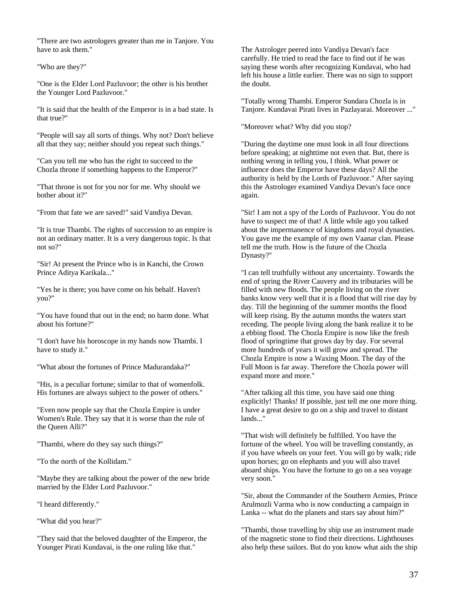"There are two astrologers greater than me in Tanjore. You have to ask them."

"Who are they?"

"One is the Elder Lord Pazluvoor; the other is his brother the Younger Lord Pazluvoor."

"It is said that the health of the Emperor is in a bad state. Is that true?"

"People will say all sorts of things. Why not? Don't believe all that they say; neither should you repeat such things."

"Can you tell me who has the right to succeed to the Chozla throne if something happens to the Emperor?"

"That throne is not for you nor for me. Why should we bother about it?"

"From that fate we are saved!" said Vandiya Devan.

"It is true Thambi. The rights of succession to an empire is not an ordinary matter. It is a very dangerous topic. Is that not so?"

"Sir! At present the Prince who is in Kanchi, the Crown Prince Aditya Karikala..."

"Yes he is there; you have come on his behalf. Haven't you?"

"You have found that out in the end; no harm done. What about his fortune?"

"I don't have his horoscope in my hands now Thambi. I have to study it."

"What about the fortunes of Prince Madurandaka?"

"His, is a peculiar fortune; similar to that of womenfolk. His fortunes are always subject to the power of others."

"Even now people say that the Chozla Empire is under Women's Rule. They say that it is worse than the rule of the Queen Alli?"

"Thambi, where do they say such things?"

"To the north of the Kollidam."

"Maybe they are talking about the power of the new bride married by the Elder Lord Pazluvoor."

"I heard differently."

"What did you hear?"

"They said that the beloved daughter of the Emperor, the Younger Pirati Kundavai, is the one ruling like that."

The Astrologer peered into Vandiya Devan's face carefully. He tried to read the face to find out if he was saying these words after recognizing Kundavai, who had left his house a little earlier. There was no sign to support the doubt.

"Totally wrong Thambi. Emperor Sundara Chozla is in Tanjore. Kundavai Pirati lives in Pazlayarai. Moreover ..."

"Moreover what? Why did you stop?

"During the daytime one must look in all four directions before speaking; at nighttime not even that. But, there is nothing wrong in telling you, I think. What power or influence does the Emperor have these days? All the authority is held by the Lords of Pazluvoor." After saying this the Astrologer examined Vandiya Devan's face once again.

"Sir! I am not a spy of the Lords of Pazluvoor. You do not have to suspect me of that! A little while ago you talked about the impermanence of kingdoms and royal dynasties. You gave me the example of my own Vaanar clan. Please tell me the truth. How is the future of the Chozla Dynasty?"

"I can tell truthfully without any uncertainty. Towards the end of spring the River Cauvery and its tributaries will be filled with new floods. The people living on the river banks know very well that it is a flood that will rise day by day. Till the beginning of the summer months the flood will keep rising. By the autumn months the waters start receding. The people living along the bank realize it to be a ebbing flood. The Chozla Empire is now like the fresh flood of springtime that grows day by day. For several more hundreds of years it will grow and spread. The Chozla Empire is now a Waxing Moon. The day of the Full Moon is far away. Therefore the Chozla power will expand more and more."

"After talking all this time, you have said one thing explicitly! Thanks! If possible, just tell me one more thing. I have a great desire to go on a ship and travel to distant lands..."

"That wish will definitely be fulfilled. You have the fortune of the wheel. You will be travelling constantly, as if you have wheels on your feet. You will go by walk; ride upon horses; go on elephants and you will also travel aboard ships. You have the fortune to go on a sea voyage very soon."

"Sir, about the Commander of the Southern Armies, Prince Arulmozli Varma who is now conducting a campaign in Lanka -- what do the planets and stars say about him?"

"Thambi, those travelling by ship use an instrument made of the magnetic stone to find their directions. Lighthouses also help these sailors. But do you know what aids the ship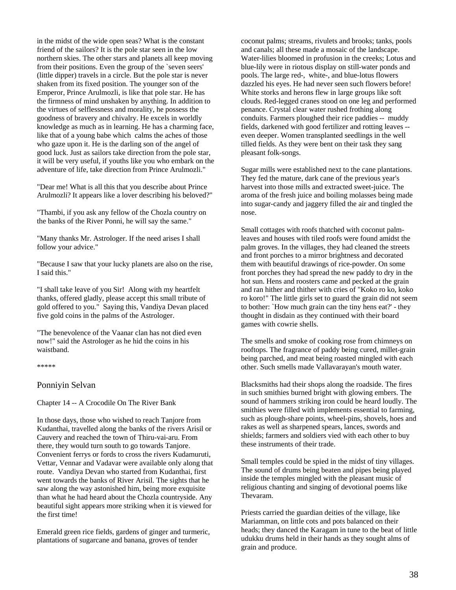in the midst of the wide open seas? What is the constant friend of the sailors? It is the pole star seen in the low northern skies. The other stars and planets all keep moving from their positions. Even the group of the `seven seers' (little dipper) travels in a circle. But the pole star is never shaken from its fixed position. The younger son of the Emperor, Prince Arulmozli, is like that pole star. He has the firmness of mind unshaken by anything. In addition to the virtues of selflessness and morality, he possess the goodness of bravery and chivalry. He excels in worldly knowledge as much as in learning. He has a charming face, like that of a young babe which calms the aches of those who gaze upon it. He is the darling son of the angel of good luck. Just as sailors take direction from the pole star, it will be very useful, if youths like you who embark on the adventure of life, take direction from Prince Arulmozli."

"Dear me! What is all this that you describe about Prince Arulmozli? It appears like a lover describing his beloved?"

"Thambi, if you ask any fellow of the Chozla country on the banks of the River Ponni, he will say the same."

"Many thanks Mr. Astrologer. If the need arises I shall follow your advice."

"Because I saw that your lucky planets are also on the rise, I said this."

"I shall take leave of you Sir! Along with my heartfelt thanks, offered gladly, please accept this small tribute of gold offered to you." Saying this, Vandiya Devan placed five gold coins in the palms of the Astrologer.

"The benevolence of the Vaanar clan has not died even now!" said the Astrologer as he hid the coins in his waistband.

\*\*\*\*\*

## Ponniyin Selvan

Chapter 14 -- A Crocodile On The River Bank

In those days, those who wished to reach Tanjore from Kudanthai, travelled along the banks of the rivers Arisil or Cauvery and reached the town of Thiru-vai-aru. From there, they would turn south to go towards Tanjore. Convenient ferrys or fords to cross the rivers Kudamuruti, Vettar, Vennar and Vadavar were available only along that route. Vandiya Devan who started from Kudanthai, first went towards the banks of River Arisil. The sights that he saw along the way astonished him, being more exquisite than what he had heard about the Chozla countryside. Any beautiful sight appears more striking when it is viewed for the first time!

Emerald green rice fields, gardens of ginger and turmeric, plantations of sugarcane and banana, groves of tender

coconut palms; streams, rivulets and brooks; tanks, pools and canals; all these made a mosaic of the landscape. Water-lilies bloomed in profusion in the creeks; Lotus and blue-lily were in riotous display on still-water ponds and pools. The large red-, white-, and blue-lotus flowers dazzled his eyes. He had never seen such flowers before! White storks and herons flew in large groups like soft clouds. Red-legged cranes stood on one leg and performed penance. Crystal clear water rushed frothing along conduits. Farmers ploughed their rice paddies -- muddy fields, darkened with good fertilizer and rotting leaves - even deeper. Women transplanted seedlings in the well tilled fields. As they were bent on their task they sang pleasant folk-songs.

Sugar mills were established next to the cane plantations. They fed the mature, dark cane of the previous year's harvest into those mills and extracted sweet-juice. The aroma of the fresh juice and boiling molasses being made into sugar-candy and jaggery filled the air and tingled the nose.

Small cottages with roofs thatched with coconut palmleaves and houses with tiled roofs were found amidst the palm groves. In the villages, they had cleaned the streets and front porches to a mirror brightness and decorated them with beautiful drawings of rice-powder. On some front porches they had spread the new paddy to dry in the hot sun. Hens and roosters came and pecked at the grain and ran hither and thither with cries of "Koko ro ko, koko ro koro!" The little girls set to guard the grain did not seem to bother: `How much grain can the tiny hens eat?' - they thought in disdain as they continued with their board games with cowrie shells.

The smells and smoke of cooking rose from chimneys on rooftops. The fragrance of paddy being cured, millet-grain being parched, and meat being roasted mingled with each other. Such smells made Vallavarayan's mouth water.

Blacksmiths had their shops along the roadside. The fires in such smithies burned bright with glowing embers. The sound of hammers striking iron could be heard loudly. The smithies were filled with implements essential to farming, such as plough-share points, wheel-pins, shovels, hoes and rakes as well as sharpened spears, lances, swords and shields; farmers and soldiers vied with each other to buy these instruments of their trade.

Small temples could be spied in the midst of tiny villages. The sound of drums being beaten and pipes being played inside the temples mingled with the pleasant music of religious chanting and singing of devotional poems like Thevaram.

Priests carried the guardian deities of the village, like Mariamman, on little cots and pots balanced on their heads; they danced the Karagam in tune to the beat of little udukku drums held in their hands as they sought alms of grain and produce.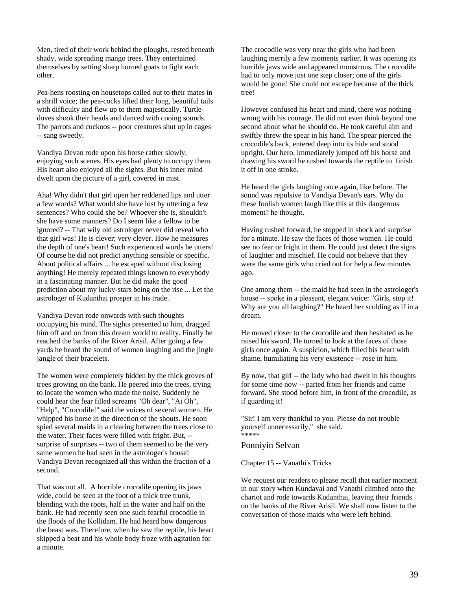Men, tired of their work behind the ploughs, rested beneath shady, wide spreading mango trees. They entertained themselves by setting sharp horned goats to fight each other.

Pea-hens roosting on housetops called out to their mates in a shrill voice; the pea-cocks lifted their long, beautiful tails with difficulty and flew up to them majestically. Turtledoves shook their heads and danced with cooing sounds. The parrots and cuckoos -- poor creatures shut up in cages -- sang sweetly.

Vandiya Devan rode upon his horse rather slowly, enjoying such scenes. His eyes had plenty to occupy them. His heart also enjoyed all the sights. But his inner mind dwelt upon the picture of a girl, covered in mist.

Aha! Why didn't that girl open her reddened lips and utter a few words? What would she have lost by uttering a few sentences? Who could she be? Whoever she is, shouldn't she have some manners? Do I seem like a fellow to be ignored? -- That wily old astrologer never did reveal who that girl was! He is clever; very clever. How he measures the depth of one's heart! Such experienced words he utters! Of course he did not predict anything sensible or specific. About political affairs ... he escaped without disclosing anything! He merely repeated things known to everybody in a fascinating manner. But he did make the good prediction about my lucky-stars being on the rise ... Let the astrologer of Kudanthai prosper in his trade.

Vandiya Devan rode onwards with such thoughts occupying his mind. The sights presented to him, dragged him off and on from this dream world to reality. Finally he reached the banks of the River Arisil. After going a few yards he heard the sound of women laughing and the jingle jangle of their bracelets.

The women were completely hidden by the thick groves of trees growing on the bank. He peered into the trees, trying to locate the women who made the noise. Suddenly he could hear the fear filled screams "Oh dear", "Ai Oh", "Help", "Crocodile!" said the voices of several women. He whipped his horse in the direction of the shouts. He soon spied several maids in a clearing between the trees close to the water. Their faces were filled with fright. But, - surprise of surprises -- two of them seemed to be the very same women he had seen in the astrologer's house! Vandiya Devan recognized all this within the fraction of a second.

That was not all. A horrible crocodile opening its jaws wide, could be seen at the foot of a thick tree trunk, blending with the roots, half in the water and half on the bank. He had recently seen one such fearful crocodile in the floods of the Kollidam. He had heard how dangerous the beast was. Therefore, when he saw the reptile, his heart skipped a beat and his whole body froze with agitation for a minute.

The crocodile was very near the girls who had been laughing merrily a few moments earlier. It was opening its horrible jaws wide and appeared monstrous. The crocodile had to only move just one step closer; one of the girls would be gone! She could not escape because of the thick tree!

However confused his heart and mind, there was nothing wrong with his courage. He did not even think beyond one second about what he should do. He took careful aim and swiftly threw the spear in his hand. The spear pierced the crocodile's back, entered deep into its hide and stood upright. Our hero, immediately jumped off his horse and drawing his sword he rushed towards the reptile to finish it off in one stroke.

He heard the girls laughing once again, like before. The sound was repulsive to Vandiya Devan's ears. Why do these foolish women laugh like this at this dangerous moment? he thought.

Having rushed forward, he stopped in shock and surprise for a minute. He saw the faces of those women. He could see no fear or fright in them. He could just detect the signs of laughter and mischief. He could not believe that they were the same girls who cried out for help a few minutes ago.

One among them -- the maid he had seen in the astrologer's house -- spoke in a pleasant, elegant voice: "Girls, stop it! Why are you all laughing?" He heard her scolding as if in a dream.

He moved closer to the crocodile and then hesitated as he raised his sword. He turned to look at the faces of those girls once again. A suspicion, which filled his heart with shame, humiliating his very existence -- rose in him.

By now, that girl -- the lady who had dwelt in his thoughts for some time now -- parted from her friends and came forward. She stood before him, in front of the crocodile, as if guarding it!

"Sir! I am very thankful to you. Please do not trouble yourself unnecessarily," she said. \*\*\*\*\*

## Ponniyin Selvan

Chapter 15 -- Vanathi's Tricks

We request our readers to please recall that earlier moment in our story when Kundavai and Vanathi climbed onto the chariot and rode towards Kudanthai, leaving their friends on the banks of the River Arisil. We shall now listen to the conversation of those maids who were left behind.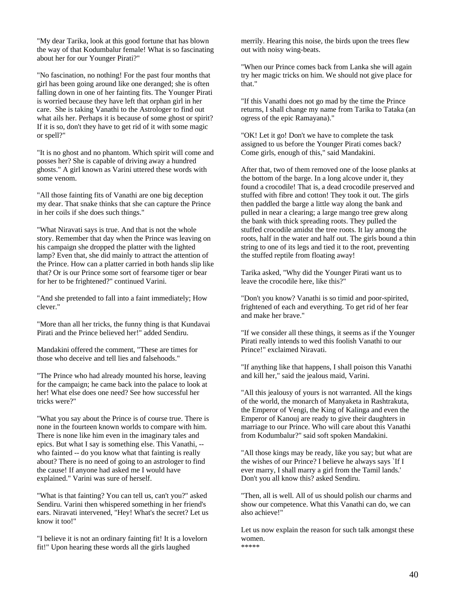"My dear Tarika, look at this good fortune that has blown the way of that Kodumbalur female! What is so fascinating about her for our Younger Pirati?"

"No fascination, no nothing! For the past four months that girl has been going around like one deranged; she is often falling down in one of her fainting fits. The Younger Pirati is worried because they have left that orphan girl in her care. She is taking Vanathi to the Astrologer to find out what ails her. Perhaps it is because of some ghost or spirit? If it is so, don't they have to get rid of it with some magic or spell?"

"It is no ghost and no phantom. Which spirit will come and posses her? She is capable of driving away a hundred ghosts." A girl known as Varini uttered these words with some venom.

"All those fainting fits of Vanathi are one big deception my dear. That snake thinks that she can capture the Prince in her coils if she does such things."

"What Niravati says is true. And that is not the whole story. Remember that day when the Prince was leaving on his campaign she dropped the platter with the lighted lamp? Even that, she did mainly to attract the attention of the Prince. How can a platter carried in both hands slip like that? Or is our Prince some sort of fearsome tiger or bear for her to be frightened?" continued Varini.

"And she pretended to fall into a faint immediately; How clever."

"More than all her tricks, the funny thing is that Kundavai Pirati and the Prince believed her!" added Sendiru.

Mandakini offered the comment, "These are times for those who deceive and tell lies and falsehoods."

"The Prince who had already mounted his horse, leaving for the campaign; he came back into the palace to look at her! What else does one need? See how successful her tricks were?"

"What you say about the Prince is of course true. There is none in the fourteen known worlds to compare with him. There is none like him even in the imaginary tales and epics. But what I say is something else. This Vanathi, - who fainted -- do you know what that fainting is really about? There is no need of going to an astrologer to find the cause! If anyone had asked me I would have explained." Varini was sure of herself.

"What is that fainting? You can tell us, can't you?" asked Sendiru. Varini then whispered something in her friend's ears. Niravati intervened, "Hey! What's the secret? Let us know it too!"

"I believe it is not an ordinary fainting fit! It is a lovelorn fit!" Upon hearing these words all the girls laughed

merrily. Hearing this noise, the birds upon the trees flew out with noisy wing-beats.

"When our Prince comes back from Lanka she will again try her magic tricks on him. We should not give place for that."

"If this Vanathi does not go mad by the time the Prince returns, I shall change my name from Tarika to Tataka (an ogress of the epic Ramayana)."

"OK! Let it go! Don't we have to complete the task assigned to us before the Younger Pirati comes back? Come girls, enough of this," said Mandakini.

After that, two of them removed one of the loose planks at the bottom of the barge. In a long alcove under it, they found a crocodile! That is, a dead crocodile preserved and stuffed with fibre and cotton! They took it out. The girls then paddled the barge a little way along the bank and pulled in near a clearing; a large mango tree grew along the bank with thick spreading roots. They pulled the stuffed crocodile amidst the tree roots. It lay among the roots, half in the water and half out. The girls bound a thin string to one of its legs and tied it to the root, preventing the stuffed reptile from floating away!

Tarika asked, "Why did the Younger Pirati want us to leave the crocodile here, like this?"

"Don't you know? Vanathi is so timid and poor-spirited, frightened of each and everything. To get rid of her fear and make her brave."

"If we consider all these things, it seems as if the Younger Pirati really intends to wed this foolish Vanathi to our Prince!" exclaimed Niravati.

"If anything like that happens, I shall poison this Vanathi and kill her," said the jealous maid, Varini.

"All this jealousy of yours is not warranted. All the kings of the world, the monarch of Manyaketa in Rashtrakuta, the Emperor of Vengi, the King of Kalinga and even the Emperor of Kanouj are ready to give their daughters in marriage to our Prince. Who will care about this Vanathi from Kodumbalur?" said soft spoken Mandakini.

"All those kings may be ready, like you say; but what are the wishes of our Prince? I believe he always says `If I ever marry, I shall marry a girl from the Tamil lands.' Don't you all know this? asked Sendiru.

"Then, all is well. All of us should polish our charms and show our competence. What this Vanathi can do, we can also achieve!"

Let us now explain the reason for such talk amongst these women. \*\*\*\*\*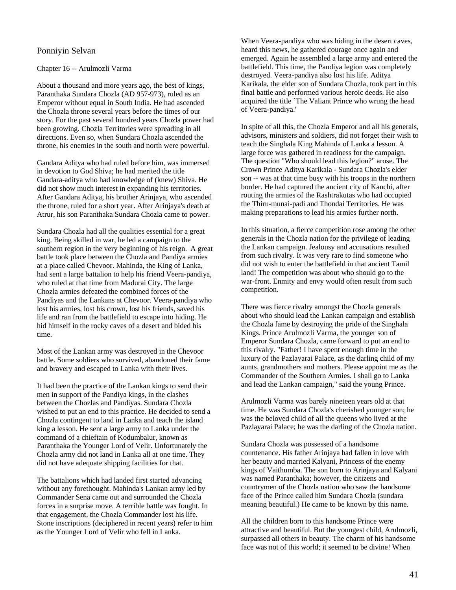# Ponniyin Selvan

## Chapter 16 -- Arulmozli Varma

About a thousand and more years ago, the best of kings, Paranthaka Sundara Chozla (AD 957-973), ruled as an Emperor without equal in South India. He had ascended the Chozla throne several years before the times of our story. For the past several hundred years Chozla power had been growing. Chozla Territories were spreading in all directions. Even so, when Sundara Chozla ascended the throne, his enemies in the south and north were powerful.

Gandara Aditya who had ruled before him, was immersed in devotion to God Shiva; he had merited the title Gandara-aditya who had knowledge of (knew) Shiva. He did not show much interest in expanding his territories. After Gandara Aditya, his brother Arinjaya, who ascended the throne, ruled for a short year. After Arinjaya's death at Atrur, his son Paranthaka Sundara Chozla came to power.

Sundara Chozla had all the qualities essential for a great king. Being skilled in war, he led a campaign to the southern region in the very beginning of his reign. A great battle took place between the Chozla and Pandiya armies at a place called Chevoor. Mahinda, the King of Lanka, had sent a large battalion to help his friend Veera-pandiya, who ruled at that time from Madurai City. The large Chozla armies defeated the combined forces of the Pandiyas and the Lankans at Chevoor. Veera-pandiya who lost his armies, lost his crown, lost his friends, saved his life and ran from the battlefield to escape into hiding. He hid himself in the rocky caves of a desert and bided his time.

Most of the Lankan army was destroyed in the Chevoor battle. Some soldiers who survived, abandoned their fame and bravery and escaped to Lanka with their lives.

It had been the practice of the Lankan kings to send their men in support of the Pandiya kings, in the clashes between the Chozlas and Pandiyas. Sundara Chozla wished to put an end to this practice. He decided to send a Chozla contingent to land in Lanka and teach the island king a lesson. He sent a large army to Lanka under the command of a chieftain of Kodumbalur, known as Paranthaka the Younger Lord of Velir. Unfortunately the Chozla army did not land in Lanka all at one time. They did not have adequate shipping facilities for that.

The battalions which had landed first started advancing without any forethought. Mahinda's Lankan army led by Commander Sena came out and surrounded the Chozla forces in a surprise move. A terrible battle was fought. In that engagement, the Chozla Commander lost his life. Stone inscriptions (deciphered in recent years) refer to him as the Younger Lord of Velir who fell in Lanka.

When Veera-pandiya who was hiding in the desert caves, heard this news, he gathered courage once again and emerged. Again he assembled a large army and entered the battlefield. This time, the Pandiya legion was completely destroyed. Veera-pandiya also lost his life. Aditya Karikala, the elder son of Sundara Chozla, took part in this final battle and performed various heroic deeds. He also acquired the title `The Valiant Prince who wrung the head of Veera-pandiya.'

In spite of all this, the Chozla Emperor and all his generals, advisors, ministers and soldiers, did not forget their wish to teach the Singhala King Mahinda of Lanka a lesson. A large force was gathered in readiness for the campaign. The question "Who should lead this legion?" arose. The Crown Prince Aditya Karikala - Sundara Chozla's elder son -- was at that time busy with his troops in the northern border. He had captured the ancient city of Kanchi, after routing the armies of the Rashtrakutas who had occupied the Thiru-munai-padi and Thondai Territories. He was making preparations to lead his armies further north.

In this situation, a fierce competition rose among the other generals in the Chozla nation for the privilege of leading the Lankan campaign. Jealousy and accusations resulted from such rivalry. It was very rare to find someone who did not wish to enter the battlefield in that ancient Tamil land! The competition was about who should go to the war-front. Enmity and envy would often result from such competition.

There was fierce rivalry amongst the Chozla generals about who should lead the Lankan campaign and establish the Chozla fame by destroying the pride of the Singhala Kings. Prince Arulmozli Varma, the younger son of Emperor Sundara Chozla, came forward to put an end to this rivalry. "Father! I have spent enough time in the luxury of the Pazlayarai Palace, as the darling child of my aunts, grandmothers and mothers. Please appoint me as the Commander of the Southern Armies. I shall go to Lanka and lead the Lankan campaign," said the young Prince.

Arulmozli Varma was barely nineteen years old at that time. He was Sundara Chozla's cherished younger son; he was the beloved child of all the queens who lived at the Pazlayarai Palace; he was the darling of the Chozla nation.

Sundara Chozla was possessed of a handsome countenance. His father Arinjaya had fallen in love with her beauty and married Kalyani, Princess of the enemy kings of Vaithumba. The son born to Arinjaya and Kalyani was named Paranthaka; however, the citizens and countrymen of the Chozla nation who saw the handsome face of the Prince called him Sundara Chozla (sundara meaning beautiful.) He came to be known by this name.

All the children born to this handsome Prince were attractive and beautiful. But the youngest child, Arulmozli, surpassed all others in beauty. The charm of his handsome face was not of this world; it seemed to be divine! When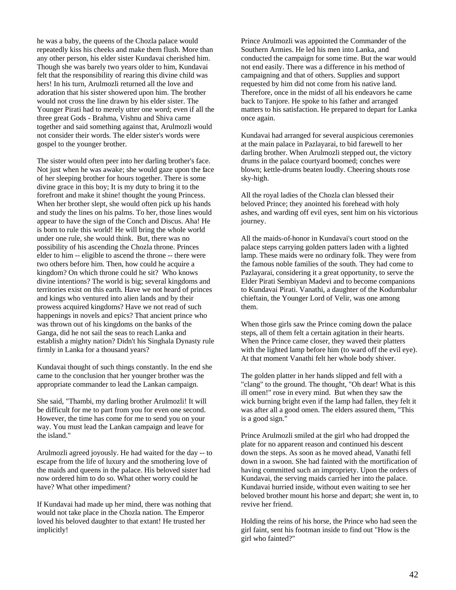he was a baby, the queens of the Chozla palace would repeatedly kiss his cheeks and make them flush. More than any other person, his elder sister Kundavai cherished him. Though she was barely two years older to him, Kundavai felt that the responsibility of rearing this divine child was hers! In his turn, Arulmozli returned all the love and adoration that his sister showered upon him. The brother would not cross the line drawn by his elder sister. The Younger Pirati had to merely utter one word; even if all the three great Gods - Brahma, Vishnu and Shiva came together and said something against that, Arulmozli would not consider their words. The elder sister's words were gospel to the younger brother.

The sister would often peer into her darling brother's face. Not just when he was awake; she would gaze upon the face of her sleeping brother for hours together. There is some divine grace in this boy; It is my duty to bring it to the forefront and make it shine! thought the young Princess. When her brother slept, she would often pick up his hands and study the lines on his palms. To her, those lines would appear to have the sign of the Conch and Discus. Aha! He is born to rule this world! He will bring the whole world under one rule, she would think. But, there was no possibility of his ascending the Chozla throne. Princes elder to him -- eligible to ascend the throne -- there were two others before him. Then, how could he acquire a kingdom? On which throne could he sit? Who knows divine intentions? The world is big; several kingdoms and territories exist on this earth. Have we not heard of princes and kings who ventured into alien lands and by their prowess acquired kingdoms? Have we not read of such happenings in novels and epics? That ancient prince who was thrown out of his kingdoms on the banks of the Ganga, did he not sail the seas to reach Lanka and establish a mighty nation? Didn't his Singhala Dynasty rule firmly in Lanka for a thousand years?

Kundavai thought of such things constantly. In the end she came to the conclusion that her younger brother was the appropriate commander to lead the Lankan campaign.

She said, "Thambi, my darling brother Arulmozli! It will be difficult for me to part from you for even one second. However, the time has come for me to send you on your way. You must lead the Lankan campaign and leave for the island."

Arulmozli agreed joyously. He had waited for the day -- to escape from the life of luxury and the smothering love of the maids and queens in the palace. His beloved sister had now ordered him to do so. What other worry could he have? What other impediment?

If Kundavai had made up her mind, there was nothing that would not take place in the Chozla nation. The Emperor loved his beloved daughter to that extant! He trusted her implicitly!

Prince Arulmozli was appointed the Commander of the Southern Armies. He led his men into Lanka, and conducted the campaign for some time. But the war would not end easily. There was a difference in his method of campaigning and that of others. Supplies and support requested by him did not come from his native land. Therefore, once in the midst of all his endeavors he came back to Tanjore. He spoke to his father and arranged matters to his satisfaction. He prepared to depart for Lanka once again.

Kundavai had arranged for several auspicious ceremonies at the main palace in Pazlayarai, to bid farewell to her darling brother. When Arulmozli stepped out, the victory drums in the palace courtyard boomed; conches were blown; kettle-drums beaten loudly. Cheering shouts rose sky-high.

All the royal ladies of the Chozla clan blessed their beloved Prince; they anointed his forehead with holy ashes, and warding off evil eyes, sent him on his victorious journey.

All the maids-of-honor in Kundavai's court stood on the palace steps carrying golden patters laden with a lighted lamp. These maids were no ordinary folk. They were from the famous noble families of the south. They had come to Pazlayarai, considering it a great opportunity, to serve the Elder Pirati Sembiyan Madevi and to become companions to Kundavai Pirati. Vanathi, a daughter of the Kodumbalur chieftain, the Younger Lord of Velir, was one among them.

When those girls saw the Prince coming down the palace steps, all of them felt a certain agitation in their hearts. When the Prince came closer, they waved their platters with the lighted lamp before him (to ward off the evil eye). At that moment Vanathi felt her whole body shiver.

The golden platter in her hands slipped and fell with a "clang" to the ground. The thought, "Oh dear! What is this ill omen!" rose in every mind. But when they saw the wick burning bright even if the lamp had fallen, they felt it was after all a good omen. The elders assured them, "This is a good sign."

Prince Arulmozli smiled at the girl who had dropped the plate for no apparent reason and continued his descent down the steps. As soon as he moved ahead, Vanathi fell down in a swoon. She had fainted with the mortification of having committed such an impropriety. Upon the orders of Kundavai, the serving maids carried her into the palace. Kundavai hurried inside, without even waiting to see her beloved brother mount his horse and depart; she went in, to revive her friend.

Holding the reins of his horse, the Prince who had seen the girl faint, sent his footman inside to find out "How is the girl who fainted?"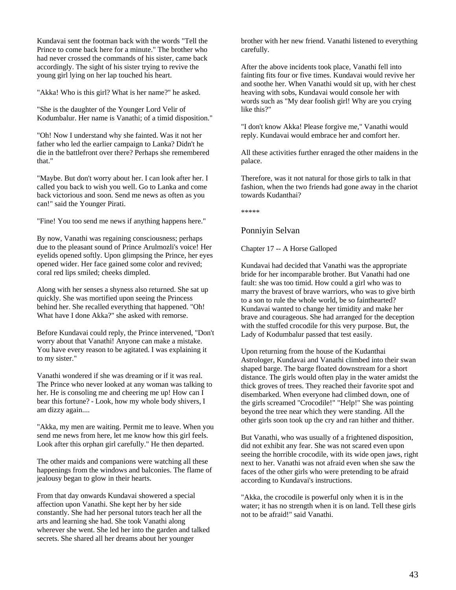Kundavai sent the footman back with the words "Tell the Prince to come back here for a minute." The brother who had never crossed the commands of his sister, came back accordingly. The sight of his sister trying to revive the young girl lying on her lap touched his heart.

"Akka! Who is this girl? What is her name?" he asked.

"She is the daughter of the Younger Lord Velir of Kodumbalur. Her name is Vanathi; of a timid disposition."

"Oh! Now I understand why she fainted. Was it not her father who led the earlier campaign to Lanka? Didn't he die in the battlefront over there? Perhaps she remembered that."

"Maybe. But don't worry about her. I can look after her. I called you back to wish you well. Go to Lanka and come back victorious and soon. Send me news as often as you can!" said the Younger Pirati.

"Fine! You too send me news if anything happens here."

By now, Vanathi was regaining consciousness; perhaps due to the pleasant sound of Prince Arulmozli's voice! Her eyelids opened softly. Upon glimpsing the Prince, her eyes opened wider. Her face gained some color and revived; coral red lips smiled; cheeks dimpled.

Along with her senses a shyness also returned. She sat up quickly. She was mortified upon seeing the Princess behind her. She recalled everything that happened. "Oh! What have I done Akka?" she asked with remorse.

Before Kundavai could reply, the Prince intervened, "Don't worry about that Vanathi! Anyone can make a mistake. You have every reason to be agitated. I was explaining it to my sister."

Vanathi wondered if she was dreaming or if it was real. The Prince who never looked at any woman was talking to her. He is consoling me and cheering me up! How can I bear this fortune? - Look, how my whole body shivers, I am dizzy again....

"Akka, my men are waiting. Permit me to leave. When you send me news from here, let me know how this girl feels. Look after this orphan girl carefully." He then departed.

The other maids and companions were watching all these happenings from the windows and balconies. The flame of jealousy began to glow in their hearts.

From that day onwards Kundavai showered a special affection upon Vanathi. She kept her by her side constantly. She had her personal tutors teach her all the arts and learning she had. She took Vanathi along wherever she went. She led her into the garden and talked secrets. She shared all her dreams about her younger

brother with her new friend. Vanathi listened to everything carefully.

After the above incidents took place, Vanathi fell into fainting fits four or five times. Kundavai would revive her and soothe her. When Vanathi would sit up, with her chest heaving with sobs, Kundavai would console her with words such as "My dear foolish girl! Why are you crying like this?"

"I don't know Akka! Please forgive me," Vanathi would reply. Kundavai would embrace her and comfort her.

All these activities further enraged the other maidens in the palace.

Therefore, was it not natural for those girls to talk in that fashion, when the two friends had gone away in the chariot towards Kudanthai?

\*\*\*\*\*

# Ponniyin Selvan

Chapter 17 -- A Horse Galloped

Kundavai had decided that Vanathi was the appropriate bride for her incomparable brother. But Vanathi had one fault: she was too timid. How could a girl who was to marry the bravest of brave warriors, who was to give birth to a son to rule the whole world, be so fainthearted? Kundavai wanted to change her timidity and make her brave and courageous. She had arranged for the deception with the stuffed crocodile for this very purpose. But, the Lady of Kodumbalur passed that test easily.

Upon returning from the house of the Kudanthai Astrologer, Kundavai and Vanathi climbed into their swan shaped barge. The barge floated downstream for a short distance. The girls would often play in the water amidst the thick groves of trees. They reached their favorite spot and disembarked. When everyone had climbed down, one of the girls screamed "Crocodile!" "Help!" She was pointing beyond the tree near which they were standing. All the other girls soon took up the cry and ran hither and thither.

But Vanathi, who was usually of a frightened disposition, did not exhibit any fear. She was not scared even upon seeing the horrible crocodile, with its wide open jaws, right next to her. Vanathi was not afraid even when she saw the faces of the other girls who were pretending to be afraid according to Kundavai's instructions.

"Akka, the crocodile is powerful only when it is in the water; it has no strength when it is on land. Tell these girls not to be afraid!" said Vanathi.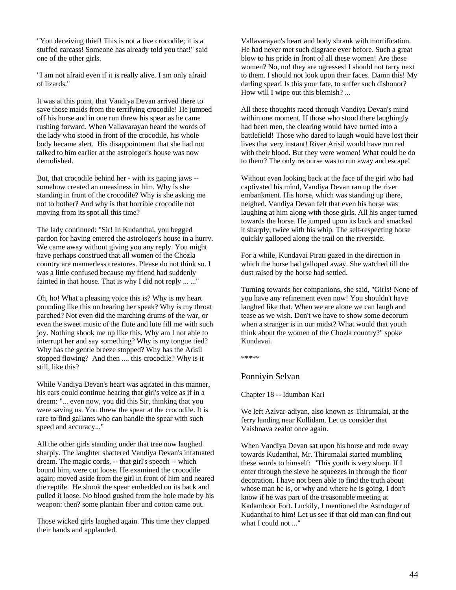"You deceiving thief! This is not a live crocodile; it is a stuffed carcass! Someone has already told you that!" said one of the other girls.

"I am not afraid even if it is really alive. I am only afraid of lizards."

It was at this point, that Vandiya Devan arrived there to save those maids from the terrifying crocodile! He jumped off his horse and in one run threw his spear as he came rushing forward. When Vallavarayan heard the words of the lady who stood in front of the crocodile, his whole body became alert. His disappointment that she had not talked to him earlier at the astrologer's house was now demolished.

But, that crocodile behind her - with its gaping jaws - somehow created an uneasiness in him. Why is she standing in front of the crocodile? Why is she asking me not to bother? And why is that horrible crocodile not moving from its spot all this time?

The lady continued: "Sir! In Kudanthai, you begged pardon for having entered the astrologer's house in a hurry. We came away without giving you any reply. You might have perhaps construed that all women of the Chozla country are mannerless creatures. Please do not think so. I was a little confused because my friend had suddenly fainted in that house. That is why I did not reply ... ..."

Oh, ho! What a pleasing voice this is? Why is my heart pounding like this on hearing her speak? Why is my throat parched? Not even did the marching drums of the war, or even the sweet music of the flute and lute fill me with such joy. Nothing shook me up like this. Why am I not able to interrupt her and say something? Why is my tongue tied? Why has the gentle breeze stopped? Why has the Arisil stopped flowing? And then .... this crocodile? Why is it still, like this?

While Vandiya Devan's heart was agitated in this manner, his ears could continue hearing that girl's voice as if in a dream: "... even now, you did this Sir, thinking that you were saving us. You threw the spear at the crocodile. It is rare to find gallants who can handle the spear with such speed and accuracy..."

All the other girls standing under that tree now laughed sharply. The laughter shattered Vandiya Devan's infatuated dream. The magic cords, -- that girl's speech -- which bound him, were cut loose. He examined the crocodile again; moved aside from the girl in front of him and neared the reptile. He shook the spear embedded on its back and pulled it loose. No blood gushed from the hole made by his weapon: then? some plantain fiber and cotton came out.

Those wicked girls laughed again. This time they clapped their hands and applauded.

Vallavarayan's heart and body shrank with mortification. He had never met such disgrace ever before. Such a great blow to his pride in front of all these women! Are these women? No, no! they are ogresses! I should not tarry next to them. I should not look upon their faces. Damn this! My darling spear! Is this your fate, to suffer such dishonor? How will I wipe out this blemish? ...

All these thoughts raced through Vandiya Devan's mind within one moment. If those who stood there laughingly had been men, the clearing would have turned into a battlefield! Those who dared to laugh would have lost their lives that very instant! River Arisil would have run red with their blood. But they were women! What could he do to them? The only recourse was to run away and escape!

Without even looking back at the face of the girl who had captivated his mind, Vandiya Devan ran up the river embankment. His horse, which was standing up there, neighed. Vandiya Devan felt that even his horse was laughing at him along with those girls. All his anger turned towards the horse. He jumped upon its back and smacked it sharply, twice with his whip. The self-respecting horse quickly galloped along the trail on the riverside.

For a while, Kundavai Pirati gazed in the direction in which the horse had galloped away. She watched till the dust raised by the horse had settled.

Turning towards her companions, she said, "Girls! None of you have any refinement even now! You shouldn't have laughed like that. When we are alone we can laugh and tease as we wish. Don't we have to show some decorum when a stranger is in our midst? What would that youth think about the women of the Chozla country?" spoke Kundavai.

\*\*\*\*\*

Ponniyin Selvan

Chapter 18 -- Idumban Kari

We left Azlvar-adiyan, also known as Thirumalai, at the ferry landing near Kollidam. Let us consider that Vaishnava zealot once again.

When Vandiya Devan sat upon his horse and rode away towards Kudanthai, Mr. Thirumalai started mumbling these words to himself: "This youth is very sharp. If I enter through the sieve he squeezes in through the floor decoration. I have not been able to find the truth about whose man he is, or why and where he is going. I don't know if he was part of the treasonable meeting at Kadamboor Fort. Luckily, I mentioned the Astrologer of Kudanthai to him! Let us see if that old man can find out what I could not ..."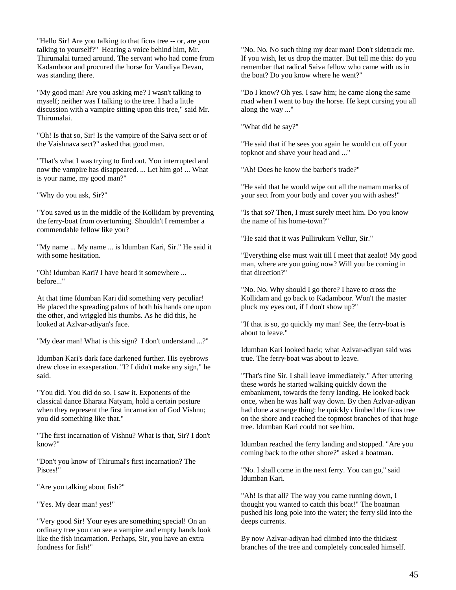"Hello Sir! Are you talking to that ficus tree -- or, are you talking to yourself?" Hearing a voice behind him, Mr. Thirumalai turned around. The servant who had come from Kadamboor and procured the horse for Vandiya Devan, was standing there.

"My good man! Are you asking me? I wasn't talking to myself; neither was I talking to the tree. I had a little discussion with a vampire sitting upon this tree," said Mr. Thirumalai.

"Oh! Is that so, Sir! Is the vampire of the Saiva sect or of the Vaishnava sect?" asked that good man.

"That's what I was trying to find out. You interrupted and now the vampire has disappeared. ... Let him go! ... What is your name, my good man?"

"Why do you ask, Sir?"

"You saved us in the middle of the Kollidam by preventing the ferry-boat from overturning. Shouldn't I remember a commendable fellow like you?

"My name ... My name ... is Idumban Kari, Sir." He said it with some hesitation.

"Oh! Idumban Kari? I have heard it somewhere ... before..."

At that time Idumban Kari did something very peculiar! He placed the spreading palms of both his hands one upon the other, and wriggled his thumbs. As he did this, he looked at Azlvar-adiyan's face.

"My dear man! What is this sign? I don't understand ...?"

Idumban Kari's dark face darkened further. His eyebrows drew close in exasperation. "I? I didn't make any sign," he said.

"You did. You did do so. I saw it. Exponents of the classical dance Bharata Natyam, hold a certain posture when they represent the first incarnation of God Vishnu; you did something like that."

"The first incarnation of Vishnu? What is that, Sir? I don't know?"

"Don't you know of Thirumal's first incarnation? The Pisces!"

"Are you talking about fish?"

"Yes. My dear man! yes!"

"Very good Sir! Your eyes are something special! On an ordinary tree you can see a vampire and empty hands look like the fish incarnation. Perhaps, Sir, you have an extra fondness for fish!"

"No. No. No such thing my dear man! Don't sidetrack me. If you wish, let us drop the matter. But tell me this: do you remember that radical Saiva fellow who came with us in the boat? Do you know where he went?"

"Do I know? Oh yes. I saw him; he came along the same road when I went to buy the horse. He kept cursing you all along the way ..."

"What did he say?"

"He said that if he sees you again he would cut off your topknot and shave your head and ..."

"Ah! Does he know the barber's trade?"

"He said that he would wipe out all the namam marks of your sect from your body and cover you with ashes!"

"Is that so? Then, I must surely meet him. Do you know the name of his home-town?"

"He said that it was Pullirukum Vellur, Sir."

"Everything else must wait till I meet that zealot! My good man, where are you going now? Will you be coming in that direction?"

"No. No. Why should I go there? I have to cross the Kollidam and go back to Kadamboor. Won't the master pluck my eyes out, if I don't show up?"

"If that is so, go quickly my man! See, the ferry-boat is about to leave."

Idumban Kari looked back; what Azlvar-adiyan said was true. The ferry-boat was about to leave.

"That's fine Sir. I shall leave immediately." After uttering these words he started walking quickly down the embankment, towards the ferry landing. He looked back once, when he was half way down. By then Azlvar-adiyan had done a strange thing: he quickly climbed the ficus tree on the shore and reached the topmost branches of that huge tree. Idumban Kari could not see him.

Idumban reached the ferry landing and stopped. "Are you coming back to the other shore?" asked a boatman.

"No. I shall come in the next ferry. You can go," said Idumban Kari.

"Ah! Is that all? The way you came running down, I thought you wanted to catch this boat!" The boatman pushed his long pole into the water; the ferry slid into the deeps currents.

By now Azlvar-adiyan had climbed into the thickest branches of the tree and completely concealed himself.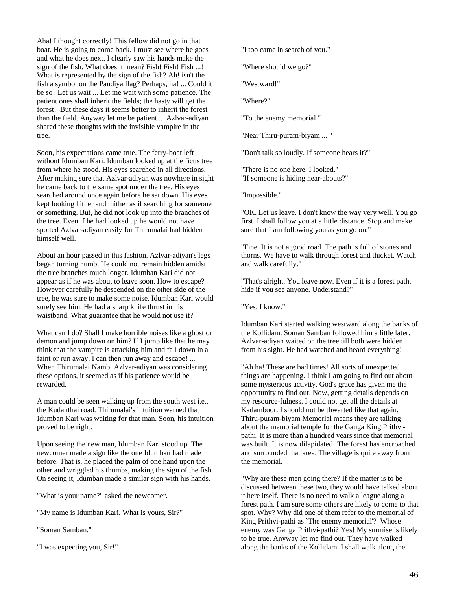Aha! I thought correctly! This fellow did not go in that boat. He is going to come back. I must see where he goes and what he does next. I clearly saw his hands make the sign of the fish. What does it mean? Fish! Fish! Fish ...! What is represented by the sign of the fish? Ah! isn't the fish a symbol on the Pandiya flag? Perhaps, ha! ... Could it be so? Let us wait ... Let me wait with some patience. The patient ones shall inherit the fields; the hasty will get the forest! But these days it seems better to inherit the forest than the field. Anyway let me be patient... Azlvar-adiyan shared these thoughts with the invisible vampire in the tree.

Soon, his expectations came true. The ferry-boat left without Idumban Kari. Idumban looked up at the ficus tree from where he stood. His eyes searched in all directions. After making sure that Azlvar-adiyan was nowhere in sight he came back to the same spot under the tree. His eyes searched around once again before he sat down. His eyes kept looking hither and thither as if searching for someone or something. But, he did not look up into the branches of the tree. Even if he had looked up he would not have spotted Azlvar-adiyan easily for Thirumalai had hidden himself well.

About an hour passed in this fashion. Azlvar-adiyan's legs began turning numb. He could not remain hidden amidst the tree branches much longer. Idumban Kari did not appear as if he was about to leave soon. How to escape? However carefully he descended on the other side of the tree, he was sure to make some noise. Idumban Kari would surely see him. He had a sharp knife thrust in his waistband. What guarantee that he would not use it?

What can I do? Shall I make horrible noises like a ghost or demon and jump down on him? If I jump like that he may think that the vampire is attacking him and fall down in a faint or run away. I can then run away and escape! ... When Thirumalai Nambi Azlvar-adiyan was considering these options, it seemed as if his patience would be rewarded.

A man could be seen walking up from the south west i.e., the Kudanthai road. Thirumalai's intuition warned that Idumban Kari was waiting for that man. Soon, his intuition proved to be right.

Upon seeing the new man, Idumban Kari stood up. The newcomer made a sign like the one Idumban had made before. That is, he placed the palm of one hand upon the other and wriggled his thumbs, making the sign of the fish. On seeing it, Idumban made a similar sign with his hands.

"What is your name?" asked the newcomer.

"My name is Idumban Kari. What is yours, Sir?"

"Soman Samban."

"I was expecting you, Sir!"

"I too came in search of you."

"Where should we go?"

"Westward!"

"Where?"

"To the enemy memorial."

"Near Thiru-puram-biyam ... "

"Don't talk so loudly. If someone hears it?"

"There is no one here. I looked." "If someone is hiding near-abouts?"

"Impossible."

"OK. Let us leave. I don't know the way very well. You go first. I shall follow you at a little distance. Stop and make sure that I am following you as you go on."

"Fine. It is not a good road. The path is full of stones and thorns. We have to walk through forest and thicket. Watch and walk carefully."

"That's alright. You leave now. Even if it is a forest path, hide if you see anyone. Understand?"

"Yes. I know."

Idumban Kari started walking westward along the banks of the Kollidam. Soman Samban followed him a little later. Azlvar-adiyan waited on the tree till both were hidden from his sight. He had watched and heard everything!

"Ah ha! These are bad times! All sorts of unexpected things are happening. I think I am going to find out about some mysterious activity. God's grace has given me the opportunity to find out. Now, getting details depends on my resource-fulness. I could not get all the details at Kadamboor. I should not be thwarted like that again. Thiru-puram-biyam Memorial means they are talking about the memorial temple for the Ganga King Prithvipathi. It is more than a hundred years since that memorial was built. It is now dilapidated! The forest has encroached and surrounded that area. The village is quite away from the memorial.

"Why are these men going there? If the matter is to be discussed between these two, they would have talked about it here itself. There is no need to walk a league along a forest path. I am sure some others are likely to come to that spot. Why? Why did one of them refer to the memorial of King Prithvi-pathi as `The enemy memorial'? Whose enemy was Ganga Prithvi-pathi? Yes! My surmise is likely to be true. Anyway let me find out. They have walked along the banks of the Kollidam. I shall walk along the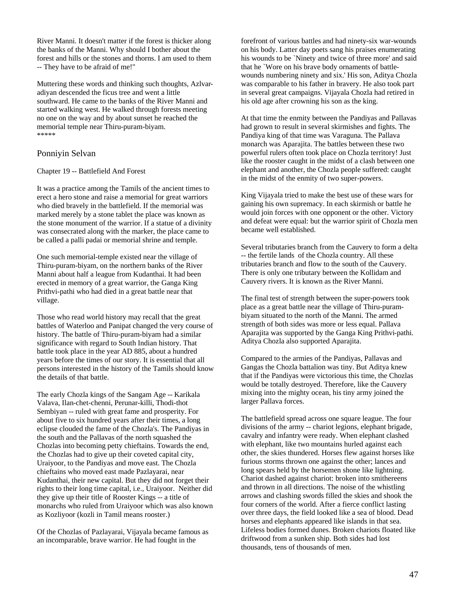River Manni. It doesn't matter if the forest is thicker along the banks of the Manni. Why should I bother about the forest and hills or the stones and thorns. I am used to them -- They have to be afraid of me!"

Muttering these words and thinking such thoughts, Azlvaradiyan descended the ficus tree and went a little southward. He came to the banks of the River Manni and started walking west. He walked through forests meeting no one on the way and by about sunset he reached the memorial temple near Thiru-puram-biyam. \*\*\*\*\*

# Ponniyin Selvan

## Chapter 19 -- Battlefield And Forest

It was a practice among the Tamils of the ancient times to erect a hero stone and raise a memorial for great warriors who died bravely in the battlefield. If the memorial was marked merely by a stone tablet the place was known as the stone monument of the warrior. If a statue of a divinity was consecrated along with the marker, the place came to be called a palli padai or memorial shrine and temple.

One such memorial-temple existed near the village of Thiru-puram-biyam, on the northern banks of the River Manni about half a league from Kudanthai. It had been erected in memory of a great warrior, the Ganga King Prithvi-pathi who had died in a great battle near that village.

Those who read world history may recall that the great battles of Waterloo and Panipat changed the very course of history. The battle of Thiru-puram-biyam had a similar significance with regard to South Indian history. That battle took place in the year AD 885, about a hundred years before the times of our story. It is essential that all persons interested in the history of the Tamils should know the details of that battle.

The early Chozla kings of the Sangam Age -- Karikala Valava, Ilan-chet-chenni, Perunar-killi, Thodi-thot Sembiyan -- ruled with great fame and prosperity. For about five to six hundred years after their times, a long eclipse clouded the fame of the Chozla's. The Pandiyas in the south and the Pallavas of the north squashed the Chozlas into becoming petty chieftains. Towards the end, the Chozlas had to give up their coveted capital city, Uraiyoor, to the Pandiyas and move east. The Chozla chieftains who moved east made Pazlayarai, near Kudanthai, their new capital. But they did not forget their rights to their long time capital, i.e., Uraiyoor. Neither did they give up their title of Rooster Kings -- a title of monarchs who ruled from Uraiyoor which was also known as Kozliyoor (kozli in Tamil means rooster.)

Of the Chozlas of Pazlayarai, Vijayala became famous as an incomparable, brave warrior. He had fought in the

forefront of various battles and had ninety-six war-wounds on his body. Latter day poets sang his praises enumerating his wounds to be `Ninety and twice of three more' and said that he `Wore on his brave body ornaments of battlewounds numbering ninety and six.' His son, Aditya Chozla was comparable to his father in bravery. He also took part in several great campaigns. Vijayala Chozla had retired in his old age after crowning his son as the king.

At that time the enmity between the Pandiyas and Pallavas had grown to result in several skirmishes and fights. The Pandiya king of that time was Varaguna. The Pallava monarch was Aparajita. The battles between these two powerful rulers often took place on Chozla territory! Just like the rooster caught in the midst of a clash between one elephant and another, the Chozla people suffered: caught in the midst of the enmity of two super-powers.

King Vijayala tried to make the best use of these wars for gaining his own supremacy. In each skirmish or battle he would join forces with one opponent or the other. Victory and defeat were equal: but the warrior spirit of Chozla men became well established.

Several tributaries branch from the Cauvery to form a delta -- the fertile lands of the Chozla country. All these tributaries branch and flow to the south of the Cauvery. There is only one tributary between the Kollidam and Cauvery rivers. It is known as the River Manni.

The final test of strength between the super-powers took place as a great battle near the village of Thiru-purambiyam situated to the north of the Manni. The armed strength of both sides was more or less equal. Pallava Aparajita was supported by the Ganga King Prithvi-pathi. Aditya Chozla also supported Aparajita.

Compared to the armies of the Pandiyas, Pallavas and Gangas the Chozla battalion was tiny. But Aditya knew that if the Pandiyas were victorious this time, the Chozlas would be totally destroyed. Therefore, like the Cauvery mixing into the mighty ocean, his tiny army joined the larger Pallava forces.

The battlefield spread across one square league. The four divisions of the army -- chariot legions, elephant brigade, cavalry and infantry were ready. When elephant clashed with elephant, like two mountains hurled against each other, the skies thundered. Horses flew against horses like furious storms thrown one against the other; lances and long spears held by the horsemen shone like lightning. Chariot dashed against chariot: broken into smithereens and thrown in all directions. The noise of the whistling arrows and clashing swords filled the skies and shook the four corners of the world. After a fierce conflict lasting over three days, the field looked like a sea of blood. Dead horses and elephants appeared like islands in that sea. Lifeless bodies formed dunes. Broken chariots floated like driftwood from a sunken ship. Both sides had lost thousands, tens of thousands of men.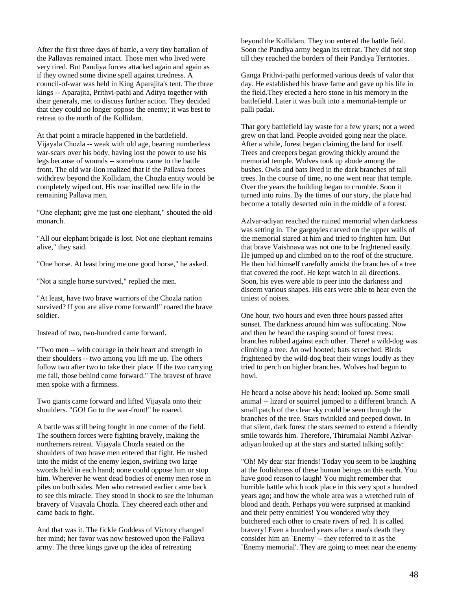After the first three days of battle, a very tiny battalion of the Pallavas remained intact. Those men who lived were very tired. But Pandiya forces attacked again and again as if they owned some divine spell against tiredness. A council-of-war was held in King Aparajita's tent. The three kings -- Aparajita, Prithvi-pathi and Aditya together with their generals, met to discuss further action. They decided that they could no longer oppose the enemy; it was best to retreat to the north of the Kollidam.

At that point a miracle happened in the battlefield. Vijayala Chozla -- weak with old age, bearing numberless war-scars over his body, having lost the power to use his legs because of wounds -- somehow came to the battle front. The old war-lion realized that if the Pallava forces withdrew beyond the Kollidam, the Chozla entity would be completely wiped out. His roar instilled new life in the remaining Pallava men.

"One elephant; give me just one elephant," shouted the old monarch.

"All our elephant brigade is lost. Not one elephant remains alive," they said.

"One horse. At least bring me one good horse," he asked.

"Not a single horse survived," replied the men.

"At least, have two brave warriors of the Chozla nation survived? If you are alive come forward!" roared the brave soldier.

Instead of two, two-hundred came forward.

"Two men -- with courage in their heart and strength in their shoulders -- two among you lift me up. The others follow two after two to take their place. If the two carrying me fall, those behind come forward." The bravest of brave men spoke with a firmness.

Two giants came forward and lifted Vijayala onto their shoulders. "GO! Go to the war-front!" he roared.

A battle was still being fought in one corner of the field. The southern forces were fighting bravely, making the northerners retreat. Vijayala Chozla seated on the shoulders of two brave men entered that fight. He rushed into the midst of the enemy legion, swirling two large swords held in each hand; none could oppose him or stop him. Wherever he went dead bodies of enemy men rose in piles on both sides. Men who retreated earlier came back to see this miracle. They stood in shock to see the inhuman bravery of Vijayala Chozla. They cheered each other and came back to fight.

And that was it. The fickle Goddess of Victory changed her mind; her favor was now bestowed upon the Pallava army. The three kings gave up the idea of retreating

beyond the Kollidam. They too entered the battle field. Soon the Pandiya army began its retreat. They did not stop till they reached the borders of their Pandiya Territories.

Ganga Prithvi-pathi performed various deeds of valor that day. He established his brave fame and gave up his life in the field.They erected a hero stone in his memory in the battlefield. Later it was built into a memorial-temple or palli padai.

That gory battlefield lay waste for a few years; not a weed grew on that land. People avoided going near the place. After a while, forest began claiming the land for itself. Trees and creepers began growing thickly around the memorial temple. Wolves took up abode among the bushes. Owls and bats lived in the dark branches of tall trees. In the course of time, no one went near that temple. Over the years the building began to crumble. Soon it turned into ruins. By the times of our story, the place had become a totally deserted ruin in the middle of a forest.

Azlvar-adiyan reached the ruined memorial when darkness was setting in. The gargoyles carved on the upper walls of the memorial stared at him and tried to frighten him. But that brave Vaishnava was not one to be frightened easily. He jumped up and climbed on to the roof of the structure. He then hid himself carefully amidst the branches of a tree that covered the roof. He kept watch in all directions. Soon, his eyes were able to peer into the darkness and discern various shapes. His ears were able to hear even the tiniest of noises.

One hour, two hours and even three hours passed after sunset. The darkness around him was suffocating. Now and then he heard the rasping sound of forest trees: branches rubbed against each other. There! a wild-dog was climbing a tree. An owl hooted; bats screeched. Birds frightened by the wild-dog beat their wings loudly as they tried to perch on higher branches. Wolves had begun to howl.

He heard a noise above his head: looked up. Some small animal -- lizard or squirrel jumped to a different branch. A small patch of the clear sky could be seen through the branches of the tree. Stars twinkled and peeped down. In that silent, dark forest the stars seemed to extend a friendly smile towards him. Therefore, Thirumalai Nambi Azlvaradiyan looked up at the stars and started talking softly:

"Oh! My dear star friends! Today you seem to be laughing at the foolishness of these human beings on this earth. You have good reason to laugh! You might remember that horrible battle which took place in this very spot a hundred years ago; and how the whole area was a wretched ruin of blood and death. Perhaps you were surprised at mankind and their petty enmities! You wondered why they butchered each other to create rivers of red. It is called bravery! Even a hundred years after a man's death they consider him an `Enemy' -- they referred to it as the `Enemy memorial'. They are going to meet near the enemy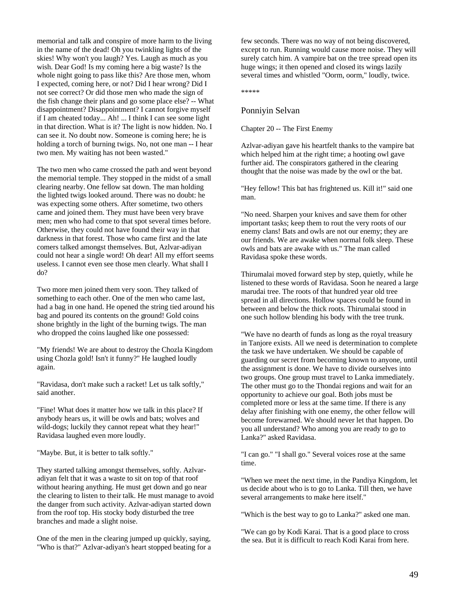memorial and talk and conspire of more harm to the living in the name of the dead! Oh you twinkling lights of the skies! Why won't you laugh? Yes. Laugh as much as you wish. Dear God! Is my coming here a big waste? Is the whole night going to pass like this? Are those men, whom I expected, coming here, or not? Did I hear wrong? Did I not see correct? Or did those men who made the sign of the fish change their plans and go some place else? -- What disappointment? Disappointment? I cannot forgive myself if I am cheated today... Ah! ... I think I can see some light in that direction. What is it? The light is now hidden. No. I can see it. No doubt now. Someone is coming here; he is holding a torch of burning twigs. No, not one man -- I hear two men. My waiting has not been wasted."

The two men who came crossed the path and went beyond the memorial temple. They stopped in the midst of a small clearing nearby. One fellow sat down. The man holding the lighted twigs looked around. There was no doubt: he was expecting some others. After sometime, two others came and joined them. They must have been very brave men; men who had come to that spot several times before. Otherwise, they could not have found their way in that darkness in that forest. Those who came first and the late comers talked amongst themselves. But, Azlvar-adiyan could not hear a single word! Oh dear! All my effort seems useless. I cannot even see those men clearly. What shall I do?

Two more men joined them very soon. They talked of something to each other. One of the men who came last, had a bag in one hand. He opened the string tied around his bag and poured its contents on the ground! Gold coins shone brightly in the light of the burning twigs. The man who dropped the coins laughed like one possessed:

"My friends! We are about to destroy the Chozla Kingdom using Chozla gold! Isn't it funny?" He laughed loudly again.

"Ravidasa, don't make such a racket! Let us talk softly," said another.

"Fine! What does it matter how we talk in this place? If anybody hears us, it will be owls and bats; wolves and wild-dogs; luckily they cannot repeat what they hear!" Ravidasa laughed even more loudly.

"Maybe. But, it is better to talk softly."

They started talking amongst themselves, softly. Azlvaradiyan felt that it was a waste to sit on top of that roof without hearing anything. He must get down and go near the clearing to listen to their talk. He must manage to avoid the danger from such activity. Azlvar-adiyan started down from the roof top. His stocky body disturbed the tree branches and made a slight noise.

One of the men in the clearing jumped up quickly, saying, "Who is that?" Azlvar-adiyan's heart stopped beating for a

few seconds. There was no way of not being discovered, except to run. Running would cause more noise. They will surely catch him. A vampire bat on the tree spread open its huge wings; it then opened and closed its wings lazily several times and whistled "Oorm, oorm," loudly, twice.

\*\*\*\*\*

Ponniyin Selvan

Chapter 20 -- The First Enemy

Azlvar-adiyan gave his heartfelt thanks to the vampire bat which helped him at the right time; a hooting owl gave further aid. The conspirators gathered in the clearing thought that the noise was made by the owl or the bat.

"Hey fellow! This bat has frightened us. Kill it!" said one man.

"No need. Sharpen your knives and save them for other important tasks; keep them to rout the very roots of our enemy clans! Bats and owls are not our enemy; they are our friends. We are awake when normal folk sleep. These owls and bats are awake with us." The man called Ravidasa spoke these words.

Thirumalai moved forward step by step, quietly, while he listened to these words of Ravidasa. Soon he neared a large marudai tree. The roots of that hundred year old tree spread in all directions. Hollow spaces could be found in between and below the thick roots. Thirumalai stood in one such hollow blending his body with the tree trunk.

"We have no dearth of funds as long as the royal treasury in Tanjore exists. All we need is determination to complete the task we have undertaken. We should be capable of guarding our secret from becoming known to anyone, until the assignment is done. We have to divide ourselves into two groups. One group must travel to Lanka immediately. The other must go to the Thondai regions and wait for an opportunity to achieve our goal. Both jobs must be completed more or less at the same time. If there is any delay after finishing with one enemy, the other fellow will become forewarned. We should never let that happen. Do you all understand? Who among you are ready to go to Lanka?" asked Ravidasa.

"I can go." "I shall go." Several voices rose at the same time.

"When we meet the next time, in the Pandiya Kingdom, let us decide about who is to go to Lanka. Till then, we have several arrangements to make here itself."

"Which is the best way to go to Lanka?" asked one man.

"We can go by Kodi Karai. That is a good place to cross the sea. But it is difficult to reach Kodi Karai from here.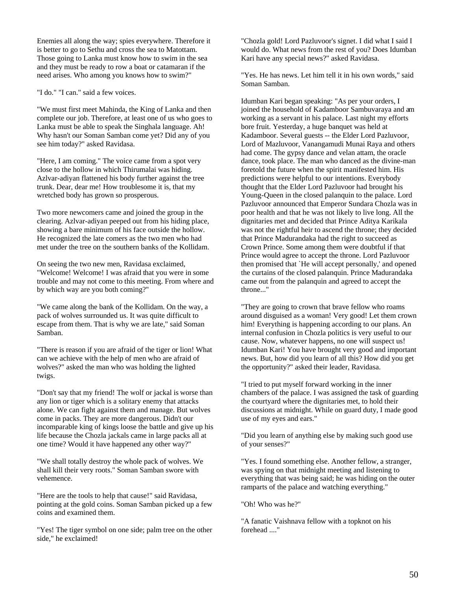Enemies all along the way; spies everywhere. Therefore it is better to go to Sethu and cross the sea to Matottam. Those going to Lanka must know how to swim in the sea and they must be ready to row a boat or catamaran if the need arises. Who among you knows how to swim?"

"I do." "I can." said a few voices.

"We must first meet Mahinda, the King of Lanka and then complete our job. Therefore, at least one of us who goes to Lanka must be able to speak the Singhala language. Ah! Why hasn't our Soman Samban come yet? Did any of you see him today?" asked Ravidasa.

"Here, I am coming." The voice came from a spot very close to the hollow in which Thirumalai was hiding. Azlvar-adiyan flattened his body further against the tree trunk. Dear, dear me! How troublesome it is, that my wretched body has grown so prosperous.

Two more newcomers came and joined the group in the clearing. Azlvar-adiyan peeped out from his hiding place, showing a bare minimum of his face outside the hollow. He recognized the late comers as the two men who had met under the tree on the southern banks of the Kollidam.

On seeing the two new men, Ravidasa exclaimed, "Welcome! Welcome! I was afraid that you were in some trouble and may not come to this meeting. From where and by which way are you both coming?"

"We came along the bank of the Kollidam. On the way, a pack of wolves surrounded us. It was quite difficult to escape from them. That is why we are late," said Soman Samban.

"There is reason if you are afraid of the tiger or lion! What can we achieve with the help of men who are afraid of wolves?" asked the man who was holding the lighted twigs.

"Don't say that my friend! The wolf or jackal is worse than any lion or tiger which is a solitary enemy that attacks alone. We can fight against them and manage. But wolves come in packs. They are more dangerous. Didn't our incomparable king of kings loose the battle and give up his life because the Chozla jackals came in large packs all at one time? Would it have happened any other way?"

"We shall totally destroy the whole pack of wolves. We shall kill their very roots." Soman Samban swore with vehemence.

"Here are the tools to help that cause!" said Ravidasa, pointing at the gold coins. Soman Samban picked up a few coins and examined them.

"Yes! The tiger symbol on one side; palm tree on the other side," he exclaimed!

"Chozla gold! Lord Pazluvoor's signet. I did what I said I would do. What news from the rest of you? Does Idumban Kari have any special news?" asked Ravidasa.

"Yes. He has news. Let him tell it in his own words," said Soman Samban.

Idumban Kari began speaking: "As per your orders, I joined the household of Kadamboor Sambuvaraya and am working as a servant in his palace. Last night my efforts bore fruit. Yesterday, a huge banquet was held at Kadamboor. Several guests -- the Elder Lord Pazluvoor, Lord of Mazluvoor, Vanangamudi Munai Raya and others had come. The gypsy dance and velan attam, the oracle dance, took place. The man who danced as the divine-man foretold the future when the spirit manifested him. His predictions were helpful to our intentions. Everybody thought that the Elder Lord Pazluvoor had brought his Young-Queen in the closed palanquin to the palace. Lord Pazluvoor announced that Emperor Sundara Chozla was in poor health and that he was not likely to live long. All the dignitaries met and decided that Prince Aditya Karikala was not the rightful heir to ascend the throne; they decided that Prince Madurandaka had the right to succeed as Crown Prince. Some among them were doubtful if that Prince would agree to accept the throne. Lord Pazluvoor then promised that `He will accept personally,' and opened the curtains of the closed palanquin. Prince Madurandaka came out from the palanquin and agreed to accept the throne..."

"They are going to crown that brave fellow who roams around disguised as a woman! Very good! Let them crown him! Everything is happening according to our plans. An internal confusion in Chozla politics is very useful to our cause. Now, whatever happens, no one will suspect us! Idumban Kari! You have brought very good and important news. But, how did you learn of all this? How did you get the opportunity?" asked their leader, Ravidasa.

"I tried to put myself forward working in the inner chambers of the palace. I was assigned the task of guarding the courtyard where the dignitaries met, to hold their discussions at midnight. While on guard duty, I made good use of my eyes and ears."

"Did you learn of anything else by making such good use of your senses?"

"Yes. I found something else. Another fellow, a stranger, was spying on that midnight meeting and listening to everything that was being said; he was hiding on the outer ramparts of the palace and watching everything."

"Oh! Who was he?"

"A fanatic Vaishnava fellow with a topknot on his forehead ...."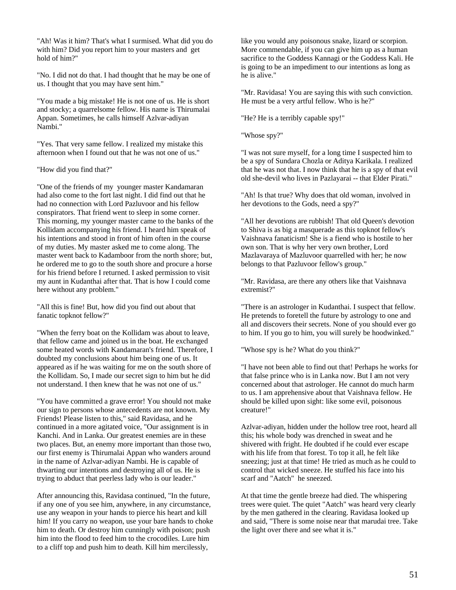"Ah! Was it him? That's what I surmised. What did you do with him? Did you report him to your masters and get hold of him?"

"No. I did not do that. I had thought that he may be one of us. I thought that you may have sent him."

"You made a big mistake! He is not one of us. He is short and stocky; a quarrelsome fellow. His name is Thirumalai Appan. Sometimes, he calls himself Azlvar-adiyan Nambi."

"Yes. That very same fellow. I realized my mistake this afternoon when I found out that he was not one of us."

"How did you find that?"

"One of the friends of my younger master Kandamaran had also come to the fort last night. I did find out that he had no connection with Lord Pazluvoor and his fellow conspirators. That friend went to sleep in some corner. This morning, my younger master came to the banks of the Kollidam accompanying his friend. I heard him speak of his intentions and stood in front of him often in the course of my duties. My master asked me to come along. The master went back to Kadamboor from the north shore; but, he ordered me to go to the south shore and procure a horse for his friend before I returned. I asked permission to visit my aunt in Kudanthai after that. That is how I could come here without any problem."

"All this is fine! But, how did you find out about that fanatic topknot fellow?"

"When the ferry boat on the Kollidam was about to leave, that fellow came and joined us in the boat. He exchanged some heated words with Kandamaran's friend. Therefore, I doubted my conclusions about him being one of us. It appeared as if he was waiting for me on the south shore of the Kollidam. So, I made our secret sign to him but he did not understand. I then knew that he was not one of us."

"You have committed a grave error! You should not make our sign to persons whose antecedents are not known. My Friends! Please listen to this," said Ravidasa, and he continued in a more agitated voice, "Our assignment is in Kanchi. And in Lanka. Our greatest enemies are in these two places. But, an enemy more important than those two, our first enemy is Thirumalai Appan who wanders around in the name of Azlvar-adiyan Nambi. He is capable of thwarting our intentions and destroying all of us. He is trying to abduct that peerless lady who is our leader."

After announcing this, Ravidasa continued, "In the future, if any one of you see him, anywhere, in any circumstance, use any weapon in your hands to pierce his heart and kill him! If you carry no weapon, use your bare hands to choke him to death. Or destroy him cunningly with poison; push him into the flood to feed him to the crocodiles. Lure him to a cliff top and push him to death. Kill him mercilessly,

like you would any poisonous snake, lizard or scorpion. More commendable, if you can give him up as a human sacrifice to the Goddess Kannagi or the Goddess Kali. He is going to be an impediment to our intentions as long as he is alive."

"Mr. Ravidasa! You are saying this with such conviction. He must be a very artful fellow. Who is he?"

"He? He is a terribly capable spy!"

"Whose spy?"

"I was not sure myself, for a long time I suspected him to be a spy of Sundara Chozla or Aditya Karikala. I realized that he was not that. I now think that he is a spy of that evil old she-devil who lives in Pazlayarai -- that Elder Pirati."

"Ah! Is that true? Why does that old woman, involved in her devotions to the Gods, need a spy?"

"All her devotions are rubbish! That old Queen's devotion to Shiva is as big a masquerade as this topknot fellow's Vaishnava fanaticism! She is a fiend who is hostile to her own son. That is why her very own brother, Lord Mazlavaraya of Mazluvoor quarrelled with her; he now belongs to that Pazluvoor fellow's group."

"Mr. Ravidasa, are there any others like that Vaishnava extremist?"

"There is an astrologer in Kudanthai. I suspect that fellow. He pretends to foretell the future by astrology to one and all and discovers their secrets. None of you should ever go to him. If you go to him, you will surely be hoodwinked."

"Whose spy is he? What do you think?"

"I have not been able to find out that! Perhaps he works for that false prince who is in Lanka now. But I am not very concerned about that astrologer. He cannot do much harm to us. I am apprehensive about that Vaishnava fellow. He should be killed upon sight: like some evil, poisonous creature!"

Azlvar-adiyan, hidden under the hollow tree root, heard all this; his whole body was drenched in sweat and he shivered with fright. He doubted if he could ever escape with his life from that forest. To top it all, he felt like sneezing; just at that time! He tried as much as he could to control that wicked sneeze. He stuffed his face into his scarf and "Aatch" he sneezed.

At that time the gentle breeze had died. The whispering trees were quiet. The quiet "Aatch" was heard very clearly by the men gathered in the clearing. Ravidasa looked up and said, "There is some noise near that marudai tree. Take the light over there and see what it is."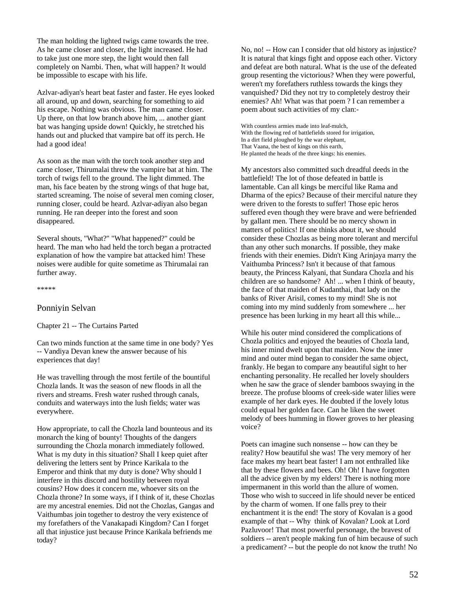The man holding the lighted twigs came towards the tree. As he came closer and closer, the light increased. He had to take just one more step, the light would then fall completely on Nambi. Then, what will happen? It would be impossible to escape with his life.

Azlvar-adiyan's heart beat faster and faster. He eyes looked all around, up and down, searching for something to aid his escape. Nothing was obvious. The man came closer. Up there, on that low branch above him, ... another giant bat was hanging upside down! Quickly, he stretched his hands out and plucked that vampire bat off its perch. He had a good idea!

As soon as the man with the torch took another step and came closer, Thirumalai threw the vampire bat at him. The torch of twigs fell to the ground. The light dimmed. The man, his face beaten by the strong wings of that huge bat, started screaming. The noise of several men coming closer, running closer, could be heard. Azlvar-adiyan also began running. He ran deeper into the forest and soon disappeared.

Several shouts, "What?" "What happened?" could be heard. The man who had held the torch began a protracted explanation of how the vampire bat attacked him! These noises were audible for quite sometime as Thirumalai ran further away.

\*\*\*\*\*

## Ponniyin Selvan

Chapter 21 -- The Curtains Parted

Can two minds function at the same time in one body? Yes -- Vandiya Devan knew the answer because of his experiences that day!

He was travelling through the most fertile of the bountiful Chozla lands. It was the season of new floods in all the rivers and streams. Fresh water rushed through canals, conduits and waterways into the lush fields; water was everywhere.

How appropriate, to call the Chozla land bounteous and its monarch the king of bounty! Thoughts of the dangers surrounding the Chozla monarch immediately followed. What is my duty in this situation? Shall I keep quiet after delivering the letters sent by Prince Karikala to the Emperor and think that my duty is done? Why should I interfere in this discord and hostility between royal cousins? How does it concern me, whoever sits on the Chozla throne? In some ways, if I think of it, these Chozlas are my ancestral enemies. Did not the Chozlas, Gangas and Vaithumbas join together to destroy the very existence of my forefathers of the Vanakapadi Kingdom? Can I forget all that injustice just because Prince Karikala befriends me today?

No, no! -- How can I consider that old history as injustice? It is natural that kings fight and oppose each other. Victory and defeat are both natural. What is the use of the defeated group resenting the victorious? When they were powerful, weren't my forefathers ruthless towards the kings they vanquished? Did they not try to completely destroy their enemies? Ah! What was that poem ? I can remember a poem about such activities of my clan:-

With countless armies made into leaf-mulch, With the flowing red of battlefields stored for irrigation, In a dirt field ploughed by the war elephant, That Vaana, the best of kings on this earth, He planted the heads of the three kings: his enemies.

My ancestors also committed such dreadful deeds in the battlefield! The lot of those defeated in battle is lamentable. Can all kings be merciful like Rama and Dharma of the epics? Because of their merciful nature they were driven to the forests to suffer! Those epic heros suffered even though they were brave and were befriended by gallant men. There should be no mercy shown in matters of politics! If one thinks about it, we should consider these Chozlas as being more tolerant and merciful than any other such monarchs. If possible, they make friends with their enemies. Didn't King Arinjaya marry the Vaithumba Princess? Isn't it because of that famous beauty, the Princess Kalyani, that Sundara Chozla and his children are so handsome? Ah! ... when I think of beauty, the face of that maiden of Kudanthai, that lady on the banks of River Arisil, comes to my mind! She is not coming into my mind suddenly from somewhere ... her presence has been lurking in my heart all this while...

While his outer mind considered the complications of Chozla politics and enjoyed the beauties of Chozla land, his inner mind dwelt upon that maiden. Now the inner mind and outer mind began to consider the same object, frankly. He began to compare any beautiful sight to her enchanting personality. He recalled her lovely shoulders when he saw the grace of slender bamboos swaying in the breeze. The profuse blooms of creek-side water lilies were example of her dark eyes. He doubted if the lovely lotus could equal her golden face. Can he liken the sweet melody of bees humming in flower groves to her pleasing voice?

Poets can imagine such nonsense -- how can they be reality? How beautiful she was! The very memory of her face makes my heart beat faster! I am not enthralled like that by these flowers and bees. Oh! Oh! I have forgotten all the advice given by my elders! There is nothing more impermanent in this world than the allure of women. Those who wish to succeed in life should never be enticed by the charm of women. If one falls prey to their enchantment it is the end! The story of Kovalan is a good example of that -- Why think of Kovalan? Look at Lord Pazluvoor! That most powerful personage, the bravest of soldiers -- aren't people making fun of him because of such a predicament? -- but the people do not know the truth! No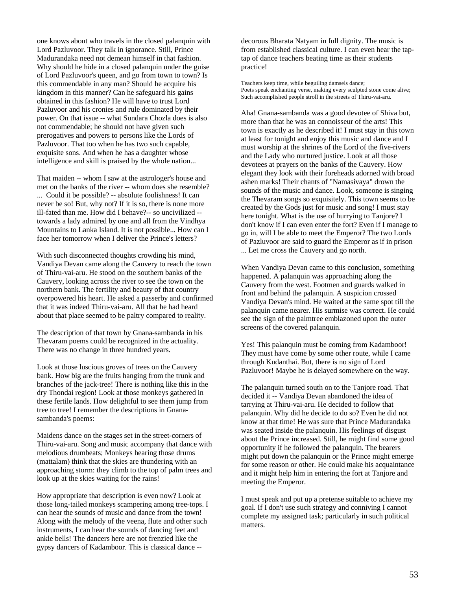one knows about who travels in the closed palanquin with Lord Pazluvoor. They talk in ignorance. Still, Prince Madurandaka need not demean himself in that fashion. Why should he hide in a closed palanquin under the guise of Lord Pazluvoor's queen, and go from town to town? Is this commendable in any man? Should he acquire his kingdom in this manner? Can he safeguard his gains obtained in this fashion? He will have to trust Lord Pazluvoor and his cronies and rule dominated by their power. On that issue -- what Sundara Chozla does is also not commendable; he should not have given such prerogatives and powers to persons like the Lords of Pazluvoor. That too when he has two such capable, exquisite sons. And when he has a daughter whose intelligence and skill is praised by the whole nation...

That maiden -- whom I saw at the astrologer's house and met on the banks of the river -- whom does she resemble? ... Could it be possible? -- absolute foolishness! It can never be so! But, why not? If it is so, there is none more ill-fated than me. How did I behave?-- so uncivilized - towards a lady admired by one and all from the Vindhya Mountains to Lanka Island. It is not possible... How can I face her tomorrow when I deliver the Prince's letters?

With such disconnected thoughts crowding his mind. Vandiya Devan came along the Cauvery to reach the town of Thiru-vai-aru. He stood on the southern banks of the Cauvery, looking across the river to see the town on the northern bank. The fertility and beauty of that country overpowered his heart. He asked a passerby and confirmed that it was indeed Thiru-vai-aru. All that he had heard about that place seemed to be paltry compared to reality.

The description of that town by Gnana-sambanda in his Thevaram poems could be recognized in the actuality. There was no change in three hundred years.

Look at those luscious groves of trees on the Cauvery bank. How big are the fruits hanging from the trunk and branches of the jack-tree! There is nothing like this in the dry Thondai region! Look at those monkeys gathered in these fertile lands. How delightful to see them jump from tree to tree! I remember the descriptions in Gnanasambanda's poems:

Maidens dance on the stages set in the street-corners of Thiru-vai-aru. Song and music accompany that dance with melodious drumbeats; Monkeys hearing those drums (mattalam) think that the skies are thundering with an approaching storm: they climb to the top of palm trees and look up at the skies waiting for the rains!

How appropriate that description is even now? Look at those long-tailed monkeys scampering among tree-tops. I can hear the sounds of music and dance from the town! Along with the melody of the veena, flute and other such instruments, I can hear the sounds of dancing feet and ankle bells! The dancers here are not frenzied like the gypsy dancers of Kadamboor. This is classical dance --

decorous Bharata Natyam in full dignity. The music is from established classical culture. I can even hear the taptap of dance teachers beating time as their students practice!

Teachers keep time, while beguiling damsels dance; Poets speak enchanting verse, making every sculpted stone come alive; Such accomplished people stroll in the streets of Thiru-vai-aru.

Aha! Gnana-sambanda was a good devotee of Shiva but, more than that he was an connoisseur of the arts! This town is exactly as he described it! I must stay in this town at least for tonight and enjoy this music and dance and I must worship at the shrines of the Lord of the five-rivers and the Lady who nurtured justice. Look at all those devotees at prayers on the banks of the Cauvery. How elegant they look with their foreheads adorned with broad ashen marks! Their chants of "Namasivaya" drown the sounds of the music and dance. Look, someone is singing the Thevaram songs so exquisitely. This town seems to be created by the Gods just for music and song! I must stay here tonight. What is the use of hurrying to Tanjore? I don't know if I can even enter the fort? Even if I manage to go in, will I be able to meet the Emperor? The two Lords of Pazluvoor are said to guard the Emperor as if in prison ... Let me cross the Cauvery and go north.

When Vandiya Devan came to this conclusion, something happened. A palanquin was approaching along the Cauvery from the west. Footmen and guards walked in front and behind the palanquin. A suspicion crossed Vandiya Devan's mind. He waited at the same spot till the palanquin came nearer. His surmise was correct. He could see the sign of the palmtree emblazoned upon the outer screens of the covered palanquin.

Yes! This palanquin must be coming from Kadamboor! They must have come by some other route, while I came through Kudanthai. But, there is no sign of Lord Pazluvoor! Maybe he is delayed somewhere on the way.

The palanquin turned south on to the Tanjore road. That decided it -- Vandiya Devan abandoned the idea of tarrying at Thiru-vai-aru. He decided to follow that palanquin. Why did he decide to do so? Even he did not know at that time! He was sure that Prince Madurandaka was seated inside the palanquin. His feelings of disgust about the Prince increased. Still, he might find some good opportunity if he followed the palanquin. The bearers might put down the palanquin or the Prince might emerge for some reason or other. He could make his acquaintance and it might help him in entering the fort at Tanjore and meeting the Emperor.

I must speak and put up a pretense suitable to achieve my goal. If I don't use such strategy and conniving I cannot complete my assigned task; particularly in such political matters.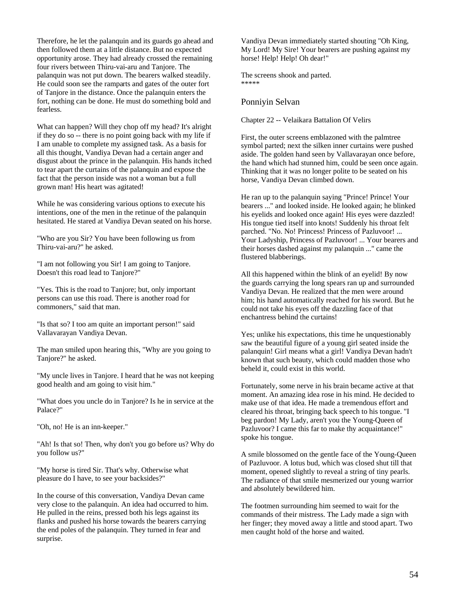Therefore, he let the palanquin and its guards go ahead and then followed them at a little distance. But no expected opportunity arose. They had already crossed the remaining four rivers between Thiru-vai-aru and Tanjore. The palanquin was not put down. The bearers walked steadily. He could soon see the ramparts and gates of the outer fort of Tanjore in the distance. Once the palanquin enters the fort, nothing can be done. He must do something bold and fearless.

What can happen? Will they chop off my head? It's alright if they do so -- there is no point going back with my life if I am unable to complete my assigned task. As a basis for all this thought, Vandiya Devan had a certain anger and disgust about the prince in the palanquin. His hands itched to tear apart the curtains of the palanquin and expose the fact that the person inside was not a woman but a full grown man! His heart was agitated!

While he was considering various options to execute his intentions, one of the men in the retinue of the palanquin hesitated. He stared at Vandiya Devan seated on his horse.

"Who are you Sir? You have been following us from Thiru-vai-aru?" he asked.

"I am not following you Sir! I am going to Tanjore. Doesn't this road lead to Tanjore?"

"Yes. This is the road to Tanjore; but, only important persons can use this road. There is another road for commoners," said that man.

"Is that so? I too am quite an important person!" said Vallavarayan Vandiya Devan.

The man smiled upon hearing this, "Why are you going to Tanjore?" he asked.

"My uncle lives in Tanjore. I heard that he was not keeping good health and am going to visit him."

"What does you uncle do in Tanjore? Is he in service at the Palace?"

"Oh, no! He is an inn-keeper."

"Ah! Is that so! Then, why don't you go before us? Why do you follow us?"

"My horse is tired Sir. That's why. Otherwise what pleasure do I have, to see your backsides?"

In the course of this conversation, Vandiya Devan came very close to the palanquin. An idea had occurred to him. He pulled in the reins, pressed both his legs against its flanks and pushed his horse towards the bearers carrying the end poles of the palanquin. They turned in fear and surprise.

Vandiya Devan immediately started shouting "Oh King, My Lord! My Sire! Your bearers are pushing against my horse! Help! Help! Oh dear!"

The screens shook and parted. \*\*\*\*\*

## Ponniyin Selvan

Chapter 22 -- Velaikara Battalion Of Velirs

First, the outer screens emblazoned with the palmtree symbol parted; next the silken inner curtains were pushed aside. The golden hand seen by Vallavarayan once before, the hand which had stunned him, could be seen once again. Thinking that it was no longer polite to be seated on his horse, Vandiya Devan climbed down.

He ran up to the palanquin saying "Prince! Prince! Your bearers ..." and looked inside. He looked again; he blinked his eyelids and looked once again! His eyes were dazzled! His tongue tied itself into knots! Suddenly his throat felt parched. "No. No! Princess! Princess of Pazluvoor! ... Your Ladyship, Princess of Pazluvoor! ... Your bearers and their horses dashed against my palanquin ..." came the flustered blabberings.

All this happened within the blink of an eyelid! By now the guards carrying the long spears ran up and surrounded Vandiya Devan. He realized that the men were around him; his hand automatically reached for his sword. But he could not take his eyes off the dazzling face of that enchantress behind the curtains!

Yes; unlike his expectations, this time he unquestionably saw the beautiful figure of a young girl seated inside the palanquin! Girl means what a girl! Vandiya Devan hadn't known that such beauty, which could madden those who beheld it, could exist in this world.

Fortunately, some nerve in his brain became active at that moment. An amazing idea rose in his mind. He decided to make use of that idea. He made a tremendous effort and cleared his throat, bringing back speech to his tongue. "I beg pardon! My Lady, aren't you the Young-Queen of Pazluvoor? I came this far to make thy acquaintance!" spoke his tongue.

A smile blossomed on the gentle face of the Young-Queen of Pazluvoor. A lotus bud, which was closed shut till that moment, opened slightly to reveal a string of tiny pearls. The radiance of that smile mesmerized our young warrior and absolutely bewildered him.

The footmen surrounding him seemed to wait for the commands of their mistress. The Lady made a sign with her finger; they moved away a little and stood apart. Two men caught hold of the horse and waited.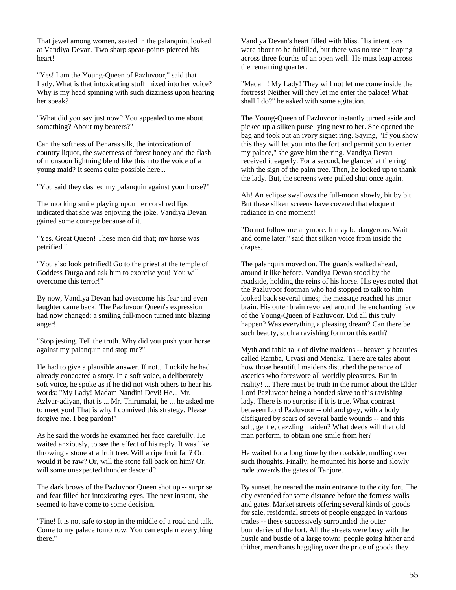That jewel among women, seated in the palanquin, looked at Vandiya Devan. Two sharp spear-points pierced his heart!

"Yes! I am the Young-Queen of Pazluvoor," said that Lady. What is that intoxicating stuff mixed into her voice? Why is my head spinning with such dizziness upon hearing her speak?

"What did you say just now? You appealed to me about something? About my bearers?"

Can the softness of Benaras silk, the intoxication of country liquor, the sweetness of forest honey and the flash of monsoon lightning blend like this into the voice of a young maid? It seems quite possible here...

"You said they dashed my palanquin against your horse?"

The mocking smile playing upon her coral red lips indicated that she was enjoying the joke. Vandiya Devan gained some courage because of it.

"Yes. Great Queen! These men did that; my horse was petrified."

"You also look petrified! Go to the priest at the temple of Goddess Durga and ask him to exorcise you! You will overcome this terror!"

By now, Vandiya Devan had overcome his fear and even laughter came back! The Pazluvoor Queen's expression had now changed: a smiling full-moon turned into blazing anger!

"Stop jesting. Tell the truth. Why did you push your horse against my palanquin and stop me?"

He had to give a plausible answer. If not... Luckily he had already concocted a story. In a soft voice, a deliberately soft voice, he spoke as if he did not wish others to hear his words: "My Lady! Madam Nandini Devi! He... Mr. Azlvar-adiyan, that is ... Mr. Thirumalai, he ... he asked me to meet you! That is why I connived this strategy. Please forgive me. I beg pardon!"

As he said the words he examined her face carefully. He waited anxiously, to see the effect of his reply. It was like throwing a stone at a fruit tree. Will a ripe fruit fall? Or, would it be raw? Or, will the stone fall back on him? Or, will some unexpected thunder descend?

The dark brows of the Pazluvoor Queen shot up -- surprise and fear filled her intoxicating eyes. The next instant, she seemed to have come to some decision.

"Fine! It is not safe to stop in the middle of a road and talk. Come to my palace tomorrow. You can explain everything there."

Vandiya Devan's heart filled with bliss. His intentions were about to be fulfilled, but there was no use in leaping across three fourths of an open well! He must leap across the remaining quarter.

"Madam! My Lady! They will not let me come inside the fortress! Neither will they let me enter the palace! What shall I do?" he asked with some agitation.

The Young-Queen of Pazluvoor instantly turned aside and picked up a silken purse lying next to her. She opened the bag and took out an ivory signet ring. Saying, "If you show this they will let you into the fort and permit you to enter my palace," she gave him the ring. Vandiya Devan received it eagerly. For a second, he glanced at the ring with the sign of the palm tree. Then, he looked up to thank the lady. But, the screens were pulled shut once again.

Ah! An eclipse swallows the full-moon slowly, bit by bit. But these silken screens have covered that eloquent radiance in one moment!

"Do not follow me anymore. It may be dangerous. Wait and come later," said that silken voice from inside the drapes.

The palanquin moved on. The guards walked ahead, around it like before. Vandiya Devan stood by the roadside, holding the reins of his horse. His eyes noted that the Pazluvoor footman who had stopped to talk to him looked back several times; the message reached his inner brain. His outer brain revolved around the enchanting face of the Young-Queen of Pazluvoor. Did all this truly happen? Was everything a pleasing dream? Can there be such beauty, such a ravishing form on this earth?

Myth and fable talk of divine maidens -- heavenly beauties called Ramba, Urvasi and Menaka. There are tales about how those beautiful maidens disturbed the penance of ascetics who foreswore all worldly pleasures. But in reality! ... There must be truth in the rumor about the Elder Lord Pazluvoor being a bonded slave to this ravishing lady. There is no surprise if it is true. What contrast between Lord Pazluvoor -- old and grey, with a body disfigured by scars of several battle wounds -- and this soft, gentle, dazzling maiden? What deeds will that old man perform, to obtain one smile from her?

He waited for a long time by the roadside, mulling over such thoughts. Finally, he mounted his horse and slowly rode towards the gates of Tanjore.

By sunset, he neared the main entrance to the city fort. The city extended for some distance before the fortress walls and gates. Market streets offering several kinds of goods for sale, residential streets of people engaged in various trades -- these successively surrounded the outer boundaries of the fort. All the streets were busy with the hustle and bustle of a large town: people going hither and thither, merchants haggling over the price of goods they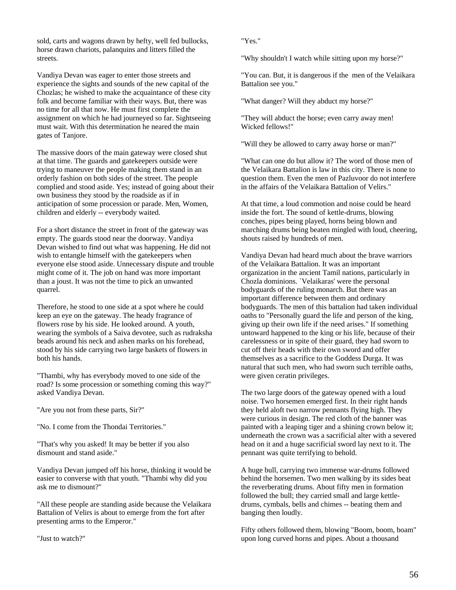sold, carts and wagons drawn by hefty, well fed bullocks, horse drawn chariots, palanquins and litters filled the streets.

Vandiya Devan was eager to enter those streets and experience the sights and sounds of the new capital of the Chozlas; he wished to make the acquaintance of these city folk and become familiar with their ways. But, there was no time for all that now. He must first complete the assignment on which he had journeyed so far. Sightseeing must wait. With this determination he neared the main gates of Tanjore.

The massive doors of the main gateway were closed shut at that time. The guards and gatekeepers outside were trying to maneuver the people making them stand in an orderly fashion on both sides of the street. The people complied and stood aside. Yes; instead of going about their own business they stood by the roadside as if in anticipation of some procession or parade. Men, Women, children and elderly -- everybody waited.

For a short distance the street in front of the gateway was empty. The guards stood near the doorway. Vandiya Devan wished to find out what was happening. He did not wish to entangle himself with the gatekeepers when everyone else stood aside. Unnecessary dispute and trouble might come of it. The job on hand was more important than a joust. It was not the time to pick an unwanted quarrel.

Therefore, he stood to one side at a spot where he could keep an eye on the gateway. The heady fragrance of flowers rose by his side. He looked around. A youth, wearing the symbols of a Saiva devotee, such as rudraksha beads around his neck and ashen marks on his forehead, stood by his side carrying two large baskets of flowers in both his hands.

"Thambi, why has everybody moved to one side of the road? Is some procession or something coming this way?" asked Vandiya Devan.

"Are you not from these parts, Sir?"

"No. I come from the Thondai Territories."

"That's why you asked! It may be better if you also dismount and stand aside."

Vandiya Devan jumped off his horse, thinking it would be easier to converse with that youth. "Thambi why did you ask me to dismount?"

"All these people are standing aside because the Velaikara Battalion of Velirs is about to emerge from the fort after presenting arms to the Emperor."

"Just to watch?"

"Yes."

"Why shouldn't I watch while sitting upon my horse?"

"You can. But, it is dangerous if the men of the Velaikara Battalion see you."

"What danger? Will they abduct my horse?"

"They will abduct the horse; even carry away men! Wicked fellows!"

"Will they be allowed to carry away horse or man?"

"What can one do but allow it? The word of those men of the Velaikara Battalion is law in this city. There is none to question them. Even the men of Pazluvoor do not interfere in the affairs of the Velaikara Battalion of Velirs."

At that time, a loud commotion and noise could be heard inside the fort. The sound of kettle-drums, blowing conches, pipes being played, horns being blown and marching drums being beaten mingled with loud, cheering, shouts raised by hundreds of men.

Vandiya Devan had heard much about the brave warriors of the Velaikara Battalion. It was an important organization in the ancient Tamil nations, particularly in Chozla dominions. `Velaikaras' were the personal bodyguards of the ruling monarch. But there was an important difference between them and ordinary bodyguards. The men of this battalion had taken individual oaths to "Personally guard the life and person of the king, giving up their own life if the need arises." If something untoward happened to the king or his life, because of their carelessness or in spite of their guard, they had sworn to cut off their heads with their own sword and offer themselves as a sacrifice to the Goddess Durga. It was natural that such men, who had sworn such terrible oaths, were given ceratin privileges.

The two large doors of the gateway opened with a loud noise. Two horsemen emerged first. In their right hands they held aloft two narrow pennants flying high. They were curious in design. The red cloth of the banner was painted with a leaping tiger and a shining crown below it; underneath the crown was a sacrificial alter with a severed head on it and a huge sacrificial sword lay next to it. The pennant was quite terrifying to behold.

A huge bull, carrying two immense war-drums followed behind the horsemen. Two men walking by its sides beat the reverberating drums. About fifty men in formation followed the bull; they carried small and large kettledrums, cymbals, bells and chimes -- beating them and banging then loudly.

Fifty others followed them, blowing "Boom, boom, boam" upon long curved horns and pipes. About a thousand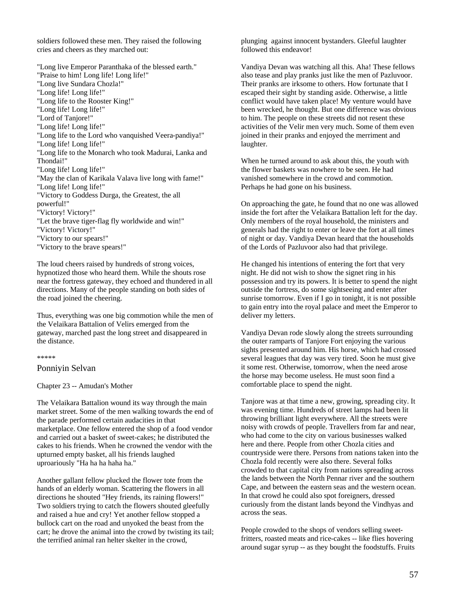soldiers followed these men. They raised the following cries and cheers as they marched out:

"Long live Emperor Paranthaka of the blessed earth." "Praise to him! Long life! Long life!" "Long live Sundara Chozla!" "Long life! Long life!" "Long life to the Rooster King!" "Long life! Long life!" "Lord of Tanjore!" "Long life! Long life!" "Long life to the Lord who vanquished Veera-pandiya!" "Long life! Long life!" "Long life to the Monarch who took Madurai, Lanka and Thondai!" "Long life! Long life!" "May the clan of Karikala Valava live long with fame!" "Long life! Long life!" "Victory to Goddess Durga, the Greatest, the all powerful!" "Victory! Victory!" "Let the brave tiger-flag fly worldwide and win!" "Victory! Victory!" "Victory to our spears!" "Victory to the brave spears!"

The loud cheers raised by hundreds of strong voices, hypnotized those who heard them. While the shouts rose near the fortress gateway, they echoed and thundered in all directions. Many of the people standing on both sides of the road joined the cheering.

Thus, everything was one big commotion while the men of the Velaikara Battalion of Velirs emerged from the gateway, marched past the long street and disappeared in the distance.

#### \*\*\*\*\*

Ponniyin Selvan

Chapter 23 -- Amudan's Mother

The Velaikara Battalion wound its way through the main market street. Some of the men walking towards the end of the parade performed certain audacities in that marketplace. One fellow entered the shop of a food vendor and carried out a basket of sweet-cakes; he distributed the cakes to his friends. When he crowned the vendor with the upturned empty basket, all his friends laughed uproariously "Ha ha ha haha ha."

Another gallant fellow plucked the flower tote from the hands of an elderly woman. Scattering the flowers in all directions he shouted "Hey friends, its raining flowers!" Two soldiers trying to catch the flowers shouted gleefully and raised a hue and cry! Yet another fellow stopped a bullock cart on the road and unyoked the beast from the cart; he drove the animal into the crowd by twisting its tail; the terrified animal ran helter skelter in the crowd,

plunging against innocent bystanders. Gleeful laughter followed this endeavor!

Vandiya Devan was watching all this. Aha! These fellows also tease and play pranks just like the men of Pazluvoor. Their pranks are irksome to others. How fortunate that I escaped their sight by standing aside. Otherwise, a little conflict would have taken place! My venture would have been wrecked, he thought. But one difference was obvious to him. The people on these streets did not resent these activities of the Velir men very much. Some of them even joined in their pranks and enjoyed the merriment and laughter.

When he turned around to ask about this, the youth with the flower baskets was nowhere to be seen. He had vanished somewhere in the crowd and commotion. Perhaps he had gone on his business.

On approaching the gate, he found that no one was allowed inside the fort after the Velaikara Battalion left for the day. Only members of the royal household, the ministers and generals had the right to enter or leave the fort at all times of night or day. Vandiya Devan heard that the households of the Lords of Pazluvoor also had that privilege.

He changed his intentions of entering the fort that very night. He did not wish to show the signet ring in his possession and try its powers. It is better to spend the night outside the fortress, do some sightseeing and enter after sunrise tomorrow. Even if I go in tonight, it is not possible to gain entry into the royal palace and meet the Emperor to deliver my letters.

Vandiya Devan rode slowly along the streets surrounding the outer ramparts of Tanjore Fort enjoying the various sights presented around him. His horse, which had crossed several leagues that day was very tired. Soon he must give it some rest. Otherwise, tomorrow, when the need arose the horse may become useless. He must soon find a comfortable place to spend the night.

Tanjore was at that time a new, growing, spreading city. It was evening time. Hundreds of street lamps had been lit throwing brilliant light everywhere. All the streets were noisy with crowds of people. Travellers from far and near, who had come to the city on various businesses walked here and there. People from other Chozla cities and countryside were there. Persons from nations taken into the Chozla fold recently were also there. Several folks crowded to that capital city from nations spreading across the lands between the North Pennar river and the southern Cape, and between the eastern seas and the western ocean. In that crowd he could also spot foreigners, dressed curiously from the distant lands beyond the Vindhyas and across the seas.

People crowded to the shops of vendors selling sweetfritters, roasted meats and rice-cakes -- like flies hovering around sugar syrup -- as they bought the foodstuffs. Fruits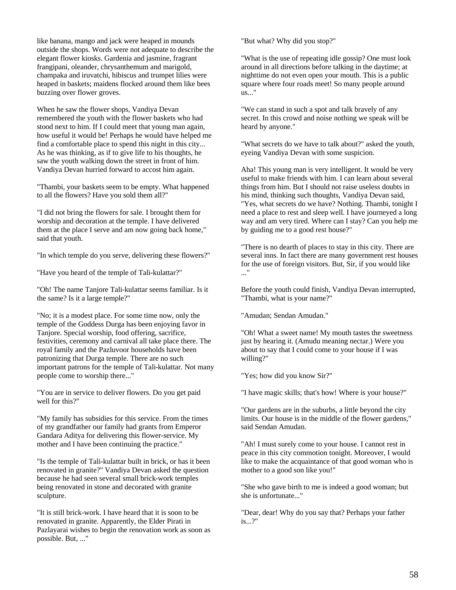like banana, mango and jack were heaped in mounds outside the shops. Words were not adequate to describe the elegant flower kiosks. Gardenia and jasmine, fragrant frangipani, oleander, chrysanthemum and marigold, champaka and iruvatchi, hibiscus and trumpet lilies were heaped in baskets; maidens flocked around them like bees buzzing over flower groves.

When he saw the flower shops, Vandiya Devan remembered the youth with the flower baskets who had stood next to him. If I could meet that young man again, how useful it would be! Perhaps he would have helped me find a comfortable place to spend this night in this city... As he was thinking, as if to give life to his thoughts, he saw the youth walking down the street in front of him. Vandiya Devan hurried forward to accost him again.

"Thambi, your baskets seem to be empty. What happened to all the flowers? Have you sold them all?"

"I did not bring the flowers for sale. I brought them for worship and decoration at the temple. I have delivered them at the place I serve and am now going back home," said that youth.

"In which temple do you serve, delivering these flowers?"

"Have you heard of the temple of Tali-kulattar?"

"Oh! The name Tanjore Tali-kulattar seems familiar. Is it the same? Is it a large temple?"

"No; it is a modest place. For some time now, only the temple of the Goddess Durga has been enjoying favor in Tanjore. Special worship, food offering, sacrifice, festivities, ceremony and carnival all take place there. The royal family and the Pazluvoor households have been patronizing that Durga temple. There are no such important patrons for the temple of Tali-kulattar. Not many people come to worship there..."

"You are in service to deliver flowers. Do you get paid well for this?"

"My family has subsidies for this service. From the times of my grandfather our family had grants from Emperor Gandara Aditya for delivering this flower-service. My mother and I have been continuing the practice."

"Is the temple of Tali-kulattar built in brick, or has it been renovated in granite?" Vandiya Devan asked the question because he had seen several small brick-work temples being renovated in stone and decorated with granite sculpture.

"It is still brick-work. I have heard that it is soon to be renovated in granite. Apparently, the Elder Pirati in Pazlayarai wishes to begin the renovation work as soon as possible. But, ..."

"But what? Why did you stop?"

"What is the use of repeating idle gossip? One must look around in all directions before talking in the daytime; at nighttime do not even open your mouth. This is a public square where four roads meet! So many people around us..."

"We can stand in such a spot and talk bravely of any secret. In this crowd and noise nothing we speak will be heard by anyone."

"What secrets do we have to talk about?" asked the youth, eyeing Vandiya Devan with some suspicion.

Aha! This young man is very intelligent. It would be very useful to make friends with him. I can learn about several things from him. But I should not raise useless doubts in his mind, thinking such thoughts, Vandiya Devan said, "Yes, what secrets do we have? Nothing. Thambi, tonight I need a place to rest and sleep well. I have journeyed a long way and am very tired. Where can I stay? Can you help me by guiding me to a good rest house?"

"There is no dearth of places to stay in this city. There are several inns. In fact there are many government rest houses for the use of foreign visitors. But, Sir, if you would like ..."

Before the youth could finish, Vandiya Devan interrupted, "Thambi, what is your name?"

"Amudan; Sendan Amudan."

"Oh! What a sweet name! My mouth tastes the sweetness just by hearing it. (Amudu meaning nectar.) Were you about to say that I could come to your house if I was willing?"

"Yes; how did you know Sir?"

"I have magic skills; that's how! Where is your house?"

"Our gardens are in the suburbs, a little beyond the city limits. Our house is in the middle of the flower gardens," said Sendan Amudan.

"Ah! I must surely come to your house. I cannot rest in peace in this city commotion tonight. Moreover, I would like to make the acquaintance of that good woman who is mother to a good son like you!"

"She who gave birth to me is indeed a good woman; but she is unfortunate..."

"Dear, dear! Why do you say that? Perhaps your father is...?"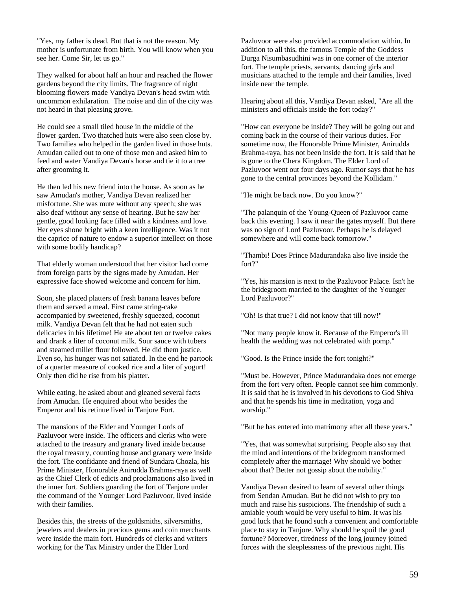"Yes, my father is dead. But that is not the reason. My mother is unfortunate from birth. You will know when you see her. Come Sir, let us go."

They walked for about half an hour and reached the flower gardens beyond the city limits. The fragrance of night blooming flowers made Vandiya Devan's head swim with uncommon exhilaration. The noise and din of the city was not heard in that pleasing grove.

He could see a small tiled house in the middle of the flower garden. Two thatched huts were also seen close by. Two families who helped in the garden lived in those huts. Amudan called out to one of those men and asked him to feed and water Vandiya Devan's horse and tie it to a tree after grooming it.

He then led his new friend into the house. As soon as he saw Amudan's mother, Vandiya Devan realized her misfortune. She was mute without any speech; she was also deaf without any sense of hearing. But he saw her gentle, good looking face filled with a kindness and love. Her eyes shone bright with a keen intelligence. Was it not the caprice of nature to endow a superior intellect on those with some bodily handicap?

That elderly woman understood that her visitor had come from foreign parts by the signs made by Amudan. Her expressive face showed welcome and concern for him.

Soon, she placed platters of fresh banana leaves before them and served a meal. First came string-cake accompanied by sweetened, freshly squeezed, coconut milk. Vandiya Devan felt that he had not eaten such delicacies in his lifetime! He ate about ten or twelve cakes and drank a liter of coconut milk. Sour sauce with tubers and steamed millet flour followed. He did them justice. Even so, his hunger was not satiated. In the end he partook of a quarter measure of cooked rice and a liter of yogurt! Only then did he rise from his platter.

While eating, he asked about and gleaned several facts from Amudan. He enquired about who besides the Emperor and his retinue lived in Tanjore Fort.

The mansions of the Elder and Younger Lords of Pazluvoor were inside. The officers and clerks who were attached to the treasury and granary lived inside because the royal treasury, counting house and granary were inside the fort. The confidante and friend of Sundara Chozla, his Prime Minister, Honorable Anirudda Brahma-raya as well as the Chief Clerk of edicts and proclamations also lived in the inner fort. Soldiers guarding the fort of Tanjore under the command of the Younger Lord Pazluvoor, lived inside with their families.

Besides this, the streets of the goldsmiths, silversmiths, jewelers and dealers in precious gems and coin merchants were inside the main fort. Hundreds of clerks and writers working for the Tax Ministry under the Elder Lord

Pazluvoor were also provided accommodation within. In addition to all this, the famous Temple of the Goddess Durga Nisumbasudhini was in one corner of the interior fort. The temple priests, servants, dancing girls and musicians attached to the temple and their families, lived inside near the temple.

Hearing about all this, Vandiya Devan asked, "Are all the ministers and officials inside the fort today?"

"How can everyone be inside? They will be going out and coming back in the course of their various duties. For sometime now, the Honorable Prime Minister, Anirudda Brahma-raya, has not been inside the fort. It is said that he is gone to the Chera Kingdom. The Elder Lord of Pazluvoor went out four days ago. Rumor says that he has gone to the central provinces beyond the Kollidam."

"He might be back now. Do you know?"

"The palanquin of the Young-Queen of Pazluvoor came back this evening. I saw it near the gates myself. But there was no sign of Lord Pazluvoor. Perhaps he is delayed somewhere and will come back tomorrow."

"Thambi! Does Prince Madurandaka also live inside the fort?"

"Yes, his mansion is next to the Pazluvoor Palace. Isn't he the bridegroom married to the daughter of the Younger Lord Pazluvoor?"

"Oh! Is that true? I did not know that till now!"

"Not many people know it. Because of the Emperor's ill health the wedding was not celebrated with pomp."

"Good. Is the Prince inside the fort tonight?"

"Must be. However, Prince Madurandaka does not emerge from the fort very often. People cannot see him commonly. It is said that he is involved in his devotions to God Shiva and that he spends his time in meditation, yoga and worship."

"But he has entered into matrimony after all these years."

"Yes, that was somewhat surprising. People also say that the mind and intentions of the bridegroom transformed completely after the marriage! Why should we bother about that? Better not gossip about the nobility."

Vandiya Devan desired to learn of several other things from Sendan Amudan. But he did not wish to pry too much and raise his suspicions. The friendship of such a amiable youth would be very useful to him. It was his good luck that he found such a convenient and comfortable place to stay in Tanjore. Why should he spoil the good fortune? Moreover, tiredness of the long journey joined forces with the sleeplessness of the previous night. His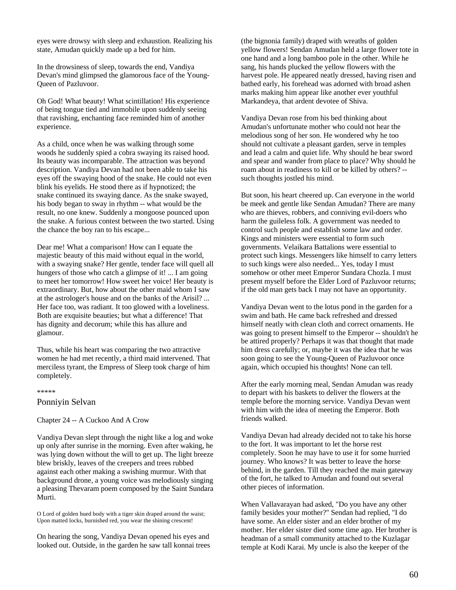eyes were drowsy with sleep and exhaustion. Realizing his state, Amudan quickly made up a bed for him.

In the drowsiness of sleep, towards the end, Vandiya Devan's mind glimpsed the glamorous face of the Young-Queen of Pazluvoor.

Oh God! What beauty! What scintillation! His experience of being tongue tied and immobile upon suddenly seeing that ravishing, enchanting face reminded him of another experience.

As a child, once when he was walking through some woods he suddenly spied a cobra swaying its raised hood. Its beauty was incomparable. The attraction was beyond description. Vandiya Devan had not been able to take his eyes off the swaying hood of the snake. He could not even blink his eyelids. He stood there as if hypnotized; the snake continued its swaying dance. As the snake swayed, his body began to sway in rhythm -- what would be the result, no one knew. Suddenly a mongoose pounced upon the snake. A furious contest between the two started. Using the chance the boy ran to his escape...

Dear me! What a comparison! How can I equate the majestic beauty of this maid without equal in the world. with a swaying snake? Her gentle, tender face will quell all hungers of those who catch a glimpse of it! ... I am going to meet her tomorrow! How sweet her voice! Her beauty is extraordinary. But, how about the other maid whom I saw at the astrologer's house and on the banks of the Arisil? ... Her face too, was radiant. It too glowed with a loveliness. Both are exquisite beauties; but what a difference! That has dignity and decorum; while this has allure and glamour.

Thus, while his heart was comparing the two attractive women he had met recently, a third maid intervened. That merciless tyrant, the Empress of Sleep took charge of him completely.

## \*\*\*\*\*

### Ponniyin Selvan

Chapter 24 -- A Cuckoo And A Crow

Vandiya Devan slept through the night like a log and woke up only after sunrise in the morning. Even after waking, he was lying down without the will to get up. The light breeze blew briskly, leaves of the creepers and trees rubbed against each other making a swishing murmur. With that background drone, a young voice was melodiously singing a pleasing Thevaram poem composed by the Saint Sundara Murti.

O Lord of golden hued body with a tiger skin draped around the waist; Upon matted locks, burnished red, you wear the shining crescent!

On hearing the song, Vandiya Devan opened his eyes and looked out. Outside, in the garden he saw tall konnai trees

(the bignonia family) draped with wreaths of golden yellow flowers! Sendan Amudan held a large flower tote in one hand and a long bamboo pole in the other. While he sang, his hands plucked the yellow flowers with the harvest pole. He appeared neatly dressed, having risen and bathed early, his forehead was adorned with broad ashen marks making him appear like another ever youthful Markandeya, that ardent devotee of Shiva.

Vandiya Devan rose from his bed thinking about Amudan's unfortunate mother who could not hear the melodious song of her son. He wondered why he too should not cultivate a pleasant garden, serve in temples and lead a calm and quiet life. Why should he bear sword and spear and wander from place to place? Why should he roam about in readiness to kill or be killed by others? - such thoughts jostled his mind.

But soon, his heart cheered up. Can everyone in the world be meek and gentle like Sendan Amudan? There are many who are thieves, robbers, and conniving evil-doers who harm the guileless folk. A government was needed to control such people and establish some law and order. Kings and ministers were essential to form such governments. Velaikara Battalions were essential to protect such kings. Messengers like himself to carry letters to such kings were also needed... Yes, today I must somehow or other meet Emperor Sundara Chozla. I must present myself before the Elder Lord of Pazluvoor returns; if the old man gets back I may not have an opportunity.

Vandiya Devan went to the lotus pond in the garden for a swim and bath. He came back refreshed and dressed himself neatly with clean cloth and correct ornaments. He was going to present himself to the Emperor -- shouldn't he be attired properly? Perhaps it was that thought that made him dress carefully; or, maybe it was the idea that he was soon going to see the Young-Queen of Pazluvoor once again, which occupied his thoughts! None can tell.

After the early morning meal, Sendan Amudan was ready to depart with his baskets to deliver the flowers at the temple before the morning service. Vandiya Devan went with him with the idea of meeting the Emperor. Both friends walked.

Vandiya Devan had already decided not to take his horse to the fort. It was important to let the horse rest completely. Soon he may have to use it for some hurried journey. Who knows? It was better to leave the horse behind, in the garden. Till they reached the main gateway of the fort, he talked to Amudan and found out several other pieces of information.

When Vallavarayan had asked, "Do you have any other family besides your mother?" Sendan had replied, "I do have some. An elder sister and an elder brother of my mother. Her elder sister died some time ago. Her brother is headman of a small community attached to the Kuzlagar temple at Kodi Karai. My uncle is also the keeper of the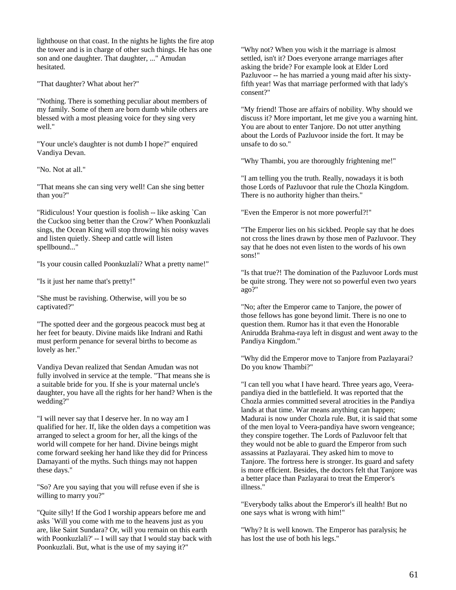lighthouse on that coast. In the nights he lights the fire atop the tower and is in charge of other such things. He has one son and one daughter. That daughter, ..." Amudan hesitated.

"That daughter? What about her?"

"Nothing. There is something peculiar about members of my family. Some of them are born dumb while others are blessed with a most pleasing voice for they sing very well."

"Your uncle's daughter is not dumb I hope?" enquired Vandiya Devan.

"No. Not at all."

"That means she can sing very well! Can she sing better than you?"

"Ridiculous! Your question is foolish -- like asking `Can the Cuckoo sing better than the Crow?' When Poonkuzlali sings, the Ocean King will stop throwing his noisy waves and listen quietly. Sheep and cattle will listen spellbound..."

"Is your cousin called Poonkuzlali? What a pretty name!"

"Is it just her name that's pretty!"

"She must be ravishing. Otherwise, will you be so captivated?"

"The spotted deer and the gorgeous peacock must beg at her feet for beauty. Divine maids like Indrani and Rathi must perform penance for several births to become as lovely as her."

Vandiya Devan realized that Sendan Amudan was not fully involved in service at the temple. "That means she is a suitable bride for you. If she is your maternal uncle's daughter, you have all the rights for her hand? When is the wedding?"

"I will never say that I deserve her. In no way am I qualified for her. If, like the olden days a competition was arranged to select a groom for her, all the kings of the world will compete for her hand. Divine beings might come forward seeking her hand like they did for Princess Damayanti of the myths. Such things may not happen these days."

"So? Are you saying that you will refuse even if she is willing to marry you?"

"Quite silly! If the God I worship appears before me and asks `Will you come with me to the heavens just as you are, like Saint Sundara? Or, will you remain on this earth with Poonkuzlali?' -- I will say that I would stay back with Poonkuzlali. But, what is the use of my saying it?"

"Why not? When you wish it the marriage is almost settled, isn't it? Does everyone arrange marriages after asking the bride? For example look at Elder Lord Pazluvoor -- he has married a young maid after his sixtyfifth year! Was that marriage performed with that lady's consent?"

"My friend! Those are affairs of nobility. Why should we discuss it? More important, let me give you a warning hint. You are about to enter Tanjore. Do not utter anything about the Lords of Pazluvoor inside the fort. It may be unsafe to do so."

"Why Thambi, you are thoroughly frightening me!"

"I am telling you the truth. Really, nowadays it is both those Lords of Pazluvoor that rule the Chozla Kingdom. There is no authority higher than theirs."

"Even the Emperor is not more powerful?!"

"The Emperor lies on his sickbed. People say that he does not cross the lines drawn by those men of Pazluvoor. They say that he does not even listen to the words of his own sons!"

"Is that true?! The domination of the Pazluvoor Lords must be quite strong. They were not so powerful even two years ago?"

"No; after the Emperor came to Tanjore, the power of those fellows has gone beyond limit. There is no one to question them. Rumor has it that even the Honorable Anirudda Brahma-raya left in disgust and went away to the Pandiya Kingdom."

"Why did the Emperor move to Tanjore from Pazlayarai? Do you know Thambi?"

"I can tell you what I have heard. Three years ago, Veerapandiya died in the battlefield. It was reported that the Chozla armies committed several atrocities in the Pandiya lands at that time. War means anything can happen; Madurai is now under Chozla rule. But, it is said that some of the men loyal to Veera-pandiya have sworn vengeance; they conspire together. The Lords of Pazluvoor felt that they would not be able to guard the Emperor from such assassins at Pazlayarai. They asked him to move to Tanjore. The fortress here is stronger. Its guard and safety is more efficient. Besides, the doctors felt that Tanjore was a better place than Pazlayarai to treat the Emperor's illness."

"Everybody talks about the Emperor's ill health! But no one says what is wrong with him!"

"Why? It is well known. The Emperor has paralysis; he has lost the use of both his legs."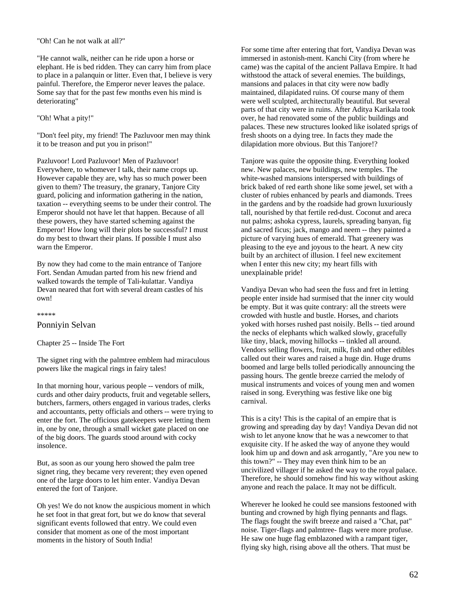"Oh! Can he not walk at all?"

"He cannot walk, neither can he ride upon a horse or elephant. He is bed ridden. They can carry him from place to place in a palanquin or litter. Even that, I believe is very painful. Therefore, the Emperor never leaves the palace. Some say that for the past few months even his mind is deteriorating"

## "Oh! What a pity!"

"Don't feel pity, my friend! The Pazluvoor men may think it to be treason and put you in prison!"

Pazluvoor! Lord Pazluvoor! Men of Pazluvoor! Everywhere, to whomever I talk, their name crops up. However capable they are, why has so much power been given to them? The treasury, the granary, Tanjore City guard, policing and information gathering in the nation, taxation -- everything seems to be under their control. The Emperor should not have let that happen. Because of all these powers, they have started scheming against the Emperor! How long will their plots be successful? I must do my best to thwart their plans. If possible I must also warn the Emperor.

By now they had come to the main entrance of Tanjore Fort. Sendan Amudan parted from his new friend and walked towards the temple of Tali-kulattar. Vandiya Devan neared that fort with several dream castles of his own!

#### \*\*\*\*\*

Ponniyin Selvan

Chapter 25 -- Inside The Fort

The signet ring with the palmtree emblem had miraculous powers like the magical rings in fairy tales!

In that morning hour, various people -- vendors of milk, curds and other dairy products, fruit and vegetable sellers, butchers, farmers, others engaged in various trades, clerks and accountants, petty officials and others -- were trying to enter the fort. The officious gatekeepers were letting them in, one by one, through a small wicket gate placed on one of the big doors. The guards stood around with cocky insolence.

But, as soon as our young hero showed the palm tree signet ring, they became very reverent; they even opened one of the large doors to let him enter. Vandiya Devan entered the fort of Tanjore.

Oh yes! We do not know the auspicious moment in which he set foot in that great fort, but we do know that several significant events followed that entry. We could even consider that moment as one of the most important moments in the history of South India!

For some time after entering that fort, Vandiya Devan was immersed in astonish-ment. Kanchi City (from where he came) was the capital of the ancient Pallava Empire. It had withstood the attack of several enemies. The buildings, mansions and palaces in that city were now badly maintained, dilapidated ruins. Of course many of them were well sculpted, architecturally beautiful. But several parts of that city were in ruins. After Aditya Karikala took over, he had renovated some of the public buildings and palaces. These new structures looked like isolated sprigs of fresh shoots on a dying tree. In facts they made the dilapidation more obvious. But this Tanjore!?

Tanjore was quite the opposite thing. Everything looked new. New palaces, new buildings, new temples. The white-washed mansions interspersed with buildings of brick baked of red earth shone like some jewel, set with a cluster of rubies enhanced by pearls and diamonds. Trees in the gardens and by the roadside had grown luxuriously tall, nourished by that fertile red-dust. Coconut and areca nut palms; ashoka cypress, laurels, spreading banyan, fig and sacred ficus; jack, mango and neem -- they painted a picture of varying hues of emerald. That greenery was pleasing to the eye and joyous to the heart. A new city built by an architect of illusion. I feel new excitement when I enter this new city; my heart fills with unexplainable pride!

Vandiya Devan who had seen the fuss and fret in letting people enter inside had surmised that the inner city would be empty. But it was quite contrary: all the streets were crowded with hustle and bustle. Horses, and chariots yoked with horses rushed past noisily. Bells -- tied around the necks of elephants which walked slowly, gracefully like tiny, black, moving hillocks -- tinkled all around. Vendors selling flowers, fruit, milk, fish and other edibles called out their wares and raised a huge din. Huge drums boomed and large bells tolled periodically announcing the passing hours. The gentle breeze carried the melody of musical instruments and voices of young men and women raised in song. Everything was festive like one big carnival.

This is a city! This is the capital of an empire that is growing and spreading day by day! Vandiya Devan did not wish to let anyone know that he was a newcomer to that exquisite city. If he asked the way of anyone they would look him up and down and ask arrogantly, "Are you new to this town?" -- They may even think him to be an uncivilized villager if he asked the way to the royal palace. Therefore, he should somehow find his way without asking anyone and reach the palace. It may not be difficult.

Wherever he looked he could see mansions festooned with bunting and crowned by high flying pennants and flags. The flags fought the swift breeze and raised a "Chat, pat" noise. Tiger-flags and palmtree- flags were more profuse. He saw one huge flag emblazoned with a rampant tiger, flying sky high, rising above all the others. That must be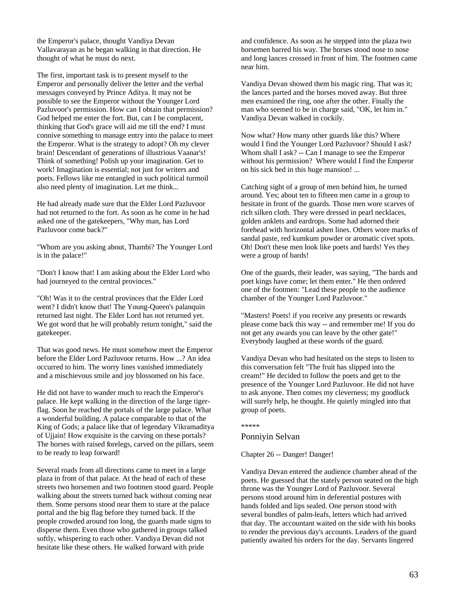the Emperor's palace, thought Vandiya Devan Vallavarayan as he began walking in that direction. He thought of what he must do next.

The first, important task is to present myself to the Emperor and personally deliver the letter and the verbal messages conveyed by Prince Aditya. It may not be possible to see the Emperor without the Younger Lord Pazluvoor's permission. How can I obtain that permission? God helped me enter the fort. But, can I be complacent, thinking that God's grace will aid me till the end? I must connive something to manage entry into the palace to meet the Emperor. What is the strategy to adopt? Oh my clever brain! Descendant of generations of illustrious Vaanar's! Think of something! Polish up your imagination. Get to work! Imagination is essential; not just for writers and poets. Fellows like me entangled in such political turmoil also need plenty of imagination. Let me think...

He had already made sure that the Elder Lord Pazluvoor had not returned to the fort. As soon as he come in he had asked one of the gatekeepers, "Why man, has Lord Pazluvoor come back?"

"Whom are you asking about, Thambi? The Younger Lord is in the palace!"

"Don't I know that! I am asking about the Elder Lord who had journeyed to the central provinces."

"Oh! Was it to the central provinces that the Elder Lord went? I didn't know that! The Young-Queen's palanquin returned last night. The Elder Lord has not returned yet. We got word that he will probably return tonight," said the gatekeeper.

That was good news. He must somehow meet the Emperor before the Elder Lord Pazluvoor returns. How ...? An idea occurred to him. The worry lines vanished immediately and a mischievous smile and joy blossomed on his face.

He did not have to wander much to reach the Emperor's palace. He kept walking in the direction of the large tigerflag. Soon he reached the portals of the large palace. What a wonderful building. A palace comparable to that of the King of Gods; a palace like that of legendary Vikramaditya of Ujjain! How exquisite is the carving on these portals? The horses with raised forelegs, carved on the pillars, seem to be ready to leap forward!

Several roads from all directions came to meet in a large plaza in front of that palace. At the head of each of these streets two horsemen and two footmen stood guard. People walking about the streets turned back without coming near them. Some persons stood near them to stare at the palace portal and the big flag before they turned back. If the people crowded around too long, the guards made signs to disperse them. Even those who gathered in groups talked softly, whispering to each other. Vandiya Devan did not hesitate like these others. He walked forward with pride

and confidence. As soon as he stepped into the plaza two horsemen barred his way. The horses stood nose to nose and long lances crossed in front of him. The footmen came near him.

Vandiya Devan showed them his magic ring. That was it; the lances parted and the horses moved away. But three men examined the ring, one after the other. Finally the man who seemed to be in charge said, "OK, let him in." Vandiya Devan walked in cockily.

Now what? How many other guards like this? Where would I find the Younger Lord Pazluvoor? Should I ask? Whom shall I ask? -- Can I manage to see the Emperor without his permission? Where would I find the Emperor on his sick bed in this huge mansion! ...

Catching sight of a group of men behind him, he turned around. Yes; about ten to fifteen men came in a group to hesitate in front of the guards. Those men wore scarves of rich silken cloth. They were dressed in pearl necklaces, golden anklets and eardrops. Some had adorned their forehead with horizontal ashen lines. Others wore marks of sandal paste, red kumkum powder or aromatic civet spots. Oh! Don't these men look like poets and bards! Yes they were a group of bards!

One of the guards, their leader, was saying, "The bards and poet kings have come; let them enter." He then ordered one of the footmen: "Lead these people to the audience chamber of the Younger Lord Pazluvoor."

"Masters! Poets! if you receive any presents or rewards please come back this way -- and remember me! If you do not get any awards you can leave by the other gate!" Everybody laughed at these words of the guard.

Vandiya Devan who had hesitated on the steps to listen to this conversation felt "The fruit has slipped into the cream!" He decided to follow the poets and get to the presence of the Younger Lord Pazluvoor. He did not have to ask anyone. Then comes my cleverness; my goodluck will surely help, he thought. He quietly mingled into that group of poets.

\*\*\*\*\*

Ponniyin Selvan

Chapter 26 -- Danger! Danger!

Vandiya Devan entered the audience chamber ahead of the poets. He guessed that the stately person seated on the high throne was the Younger Lord of Pazluvoor. Several persons stood around him in deferential postures with hands folded and lips sealed. One person stood with several bundles of palm-leafs, letters which had arrived that day. The accountant waited on the side with his books to render the previous day's accounts. Leaders of the guard patiently awaited his orders for the day. Servants lingered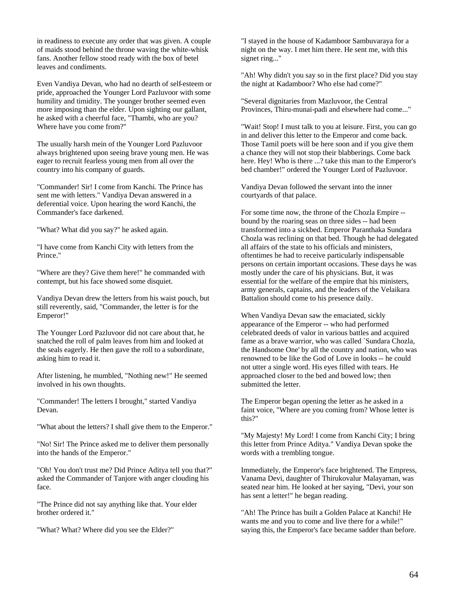in readiness to execute any order that was given. A couple of maids stood behind the throne waving the white-whisk fans. Another fellow stood ready with the box of betel leaves and condiments.

Even Vandiya Devan, who had no dearth of self-esteem or pride, approached the Younger Lord Pazluvoor with some humility and timidity. The younger brother seemed even more imposing than the elder. Upon sighting our gallant, he asked with a cheerful face, "Thambi, who are you? Where have you come from?"

The usually harsh mein of the Younger Lord Pazluvoor always brightened upon seeing brave young men. He was eager to recruit fearless young men from all over the country into his company of guards.

"Commander! Sir! I come from Kanchi. The Prince has sent me with letters." Vandiya Devan answered in a deferential voice. Upon hearing the word Kanchi, the Commander's face darkened.

"What? What did you say?" he asked again.

"I have come from Kanchi City with letters from the Prince."

"Where are they? Give them here!" he commanded with contempt, but his face showed some disquiet.

Vandiya Devan drew the letters from his waist pouch, but still reverently, said, "Commander, the letter is for the Emperor!"

The Younger Lord Pazluvoor did not care about that, he snatched the roll of palm leaves from him and looked at the seals eagerly. He then gave the roll to a subordinate, asking him to read it.

After listening, he mumbled, "Nothing new!" He seemed involved in his own thoughts.

"Commander! The letters I brought," started Vandiya Devan.

"What about the letters? I shall give them to the Emperor."

"No! Sir! The Prince asked me to deliver them personally into the hands of the Emperor."

"Oh! You don't trust me? Did Prince Aditya tell you that?" asked the Commander of Tanjore with anger clouding his face.

"The Prince did not say anything like that. Your elder brother ordered it."

"What? What? Where did you see the Elder?"

"I stayed in the house of Kadamboor Sambuvaraya for a night on the way. I met him there. He sent me, with this signet ring..."

"Ah! Why didn't you say so in the first place? Did you stay the night at Kadamboor? Who else had come?"

"Several dignitaries from Mazluvoor, the Central Provinces, Thiru-munai-padi and elsewhere had come..."

"Wait! Stop! I must talk to you at leisure. First, you can go in and deliver this letter to the Emperor and come back. Those Tamil poets will be here soon and if you give them a chance they will not stop their blabberings. Come back here. Hey! Who is there ...? take this man to the Emperor's bed chamber!" ordered the Younger Lord of Pazluvoor.

Vandiya Devan followed the servant into the inner courtyards of that palace.

For some time now, the throne of the Chozla Empire - bound by the roaring seas on three sides -- had been transformed into a sickbed. Emperor Paranthaka Sundara Chozla was reclining on that bed. Though he had delegated all affairs of the state to his officials and ministers, oftentimes he had to receive particularly indispensable persons on certain important occasions. These days he was mostly under the care of his physicians. But, it was essential for the welfare of the empire that his ministers, army generals, captains, and the leaders of the Velaikara Battalion should come to his presence daily.

When Vandiya Devan saw the emaciated, sickly appearance of the Emperor -- who had performed celebrated deeds of valor in various battles and acquired fame as a brave warrior, who was called `Sundara Chozla, the Handsome One' by all the country and nation, who was renowned to be like the God of Love in looks -- he could not utter a single word. His eyes filled with tears. He approached closer to the bed and bowed low; then submitted the letter.

The Emperor began opening the letter as he asked in a faint voice, "Where are you coming from? Whose letter is this?"

"My Majesty! My Lord! I come from Kanchi City; I bring this letter from Prince Aditya." Vandiya Devan spoke the words with a trembling tongue.

Immediately, the Emperor's face brightened. The Empress, Vanama Devi, daughter of Thirukovalur Malayaman, was seated near him. He looked at her saying, "Devi, your son has sent a letter!" he began reading.

"Ah! The Prince has built a Golden Palace at Kanchi! He wants me and you to come and live there for a while!" saying this, the Emperor's face became sadder than before.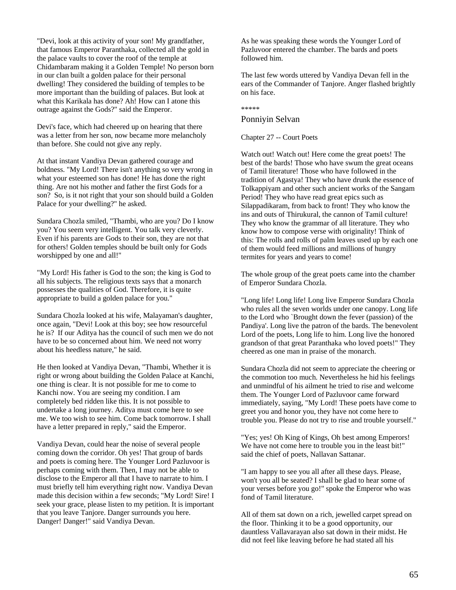"Devi, look at this activity of your son! My grandfather, that famous Emperor Paranthaka, collected all the gold in the palace vaults to cover the roof of the temple at Chidambaram making it a Golden Temple! No person born in our clan built a golden palace for their personal dwelling! They considered the building of temples to be more important than the building of palaces. But look at what this Karikala has done? Ah! How can I atone this outrage against the Gods?" said the Emperor.

Devi's face, which had cheered up on hearing that there was a letter from her son, now became more melancholy than before. She could not give any reply.

At that instant Vandiya Devan gathered courage and boldness. "My Lord! There isn't anything so very wrong in what your esteemed son has done! He has done the right thing. Are not his mother and father the first Gods for a son? So, is it not right that your son should build a Golden Palace for your dwelling?" he asked.

Sundara Chozla smiled, "Thambi, who are you? Do I know you? You seem very intelligent. You talk very cleverly. Even if his parents are Gods to their son, they are not that for others! Golden temples should be built only for Gods worshipped by one and all!"

"My Lord! His father is God to the son; the king is God to all his subjects. The religious texts says that a monarch possesses the qualities of God. Therefore, it is quite appropriate to build a golden palace for you."

Sundara Chozla looked at his wife, Malayaman's daughter, once again, "Devi! Look at this boy; see how resourceful he is? If our Aditya has the council of such men we do not have to be so concerned about him. We need not worry about his heedless nature," he said.

He then looked at Vandiya Devan, "Thambi, Whether it is right or wrong about building the Golden Palace at Kanchi, one thing is clear. It is not possible for me to come to Kanchi now. You are seeing my condition. I am completely bed ridden like this. It is not possible to undertake a long journey. Aditya must come here to see me. We too wish to see him. Come back tomorrow. I shall have a letter prepared in reply," said the Emperor.

Vandiya Devan, could hear the noise of several people coming down the corridor. Oh yes! That group of bards and poets is coming here. The Younger Lord Pazluvoor is perhaps coming with them. Then, I may not be able to disclose to the Emperor all that I have to narrate to him. I must briefly tell him everything right now. Vandiya Devan made this decision within a few seconds; "My Lord! Sire! I seek your grace, please listen to my petition. It is important that you leave Tanjore. Danger surrounds you here. Danger! Danger!" said Vandiya Devan.

As he was speaking these words the Younger Lord of Pazluvoor entered the chamber. The bards and poets followed him.

The last few words uttered by Vandiya Devan fell in the ears of the Commander of Tanjore. Anger flashed brightly on his face.

\*\*\*\*\*

# Ponniyin Selvan

Chapter 27 -- Court Poets

Watch out! Watch out! Here come the great poets! The best of the bards! Those who have swum the great oceans of Tamil literature! Those who have followed in the tradition of Agastya! They who have drunk the essence of Tolkappiyam and other such ancient works of the Sangam Period! They who have read great epics such as Silappadikaram, from back to front! They who know the ins and outs of Thirukural, the cannon of Tamil culture! They who know the grammar of all literature. They who know how to compose verse with originality! Think of this: The rolls and rolls of palm leaves used up by each one of them would feed millions and millions of hungry termites for years and years to come!

The whole group of the great poets came into the chamber of Emperor Sundara Chozla.

"Long life! Long life! Long live Emperor Sundara Chozla who rules all the seven worlds under one canopy. Long life to the Lord who `Brought down the fever (passion) of the Pandiya'. Long live the patron of the bards. The benevolent Lord of the poets, Long life to him. Long live the honored grandson of that great Paranthaka who loved poets!" They cheered as one man in praise of the monarch.

Sundara Chozla did not seem to appreciate the cheering or the commotion too much. Nevertheless he hid his feelings and unmindful of his ailment he tried to rise and welcome them. The Younger Lord of Pazluvoor came forward immediately, saying, "My Lord! These poets have come to greet you and honor you, they have not come here to trouble you. Please do not try to rise and trouble yourself."

"Yes; yes! Oh King of Kings, Oh best among Emperors! We have not come here to trouble you in the least bit!" said the chief of poets, Nallavan Sattanar.

"I am happy to see you all after all these days. Please, won't you all be seated? I shall be glad to hear some of your verses before you go!" spoke the Emperor who was fond of Tamil literature.

All of them sat down on a rich, jewelled carpet spread on the floor. Thinking it to be a good opportunity, our dauntless Vallavarayan also sat down in their midst. He did not feel like leaving before he had stated all his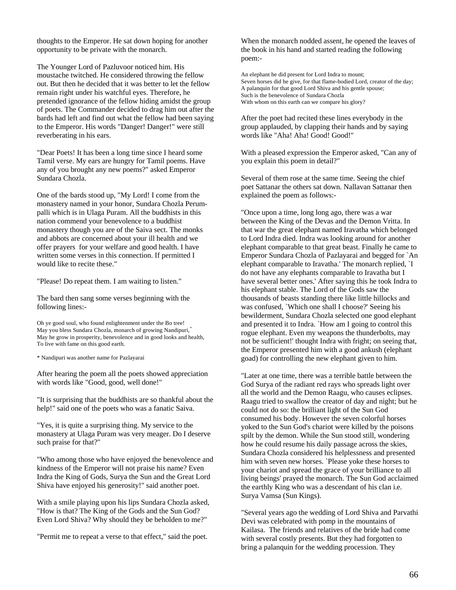thoughts to the Emperor. He sat down hoping for another opportunity to be private with the monarch.

The Younger Lord of Pazluvoor noticed him. His moustache twitched. He considered throwing the fellow out. But then he decided that it was better to let the fellow remain right under his watchful eyes. Therefore, he pretended ignorance of the fellow hiding amidst the group of poets. The Commander decided to drag him out after the bards had left and find out what the fellow had been saying to the Emperor. His words "Danger! Danger!" were still reverberating in his ears.

"Dear Poets! It has been a long time since I heard some Tamil verse. My ears are hungry for Tamil poems. Have any of you brought any new poems?" asked Emperor Sundara Chozla.

One of the bards stood up, "My Lord! I come from the monastery named in your honor, Sundara Chozla Perumpalli which is in Ulaga Puram. All the buddhists in this nation commend your benevolence to a buddhist monastery though you are of the Saiva sect. The monks and abbots are concerned about your ill health and we offer prayers for your welfare and good health. I have written some verses in this connection. If permitted I would like to recite these."

"Please! Do repeat them. I am waiting to listen."

The bard then sang some verses beginning with the following lines:-

Oh ye good soul, who found enlightenment under the Bo tree! May you bless Sundara Chozla, monarch of growing Nandipuri,\* May he grow in prosperity, benevolence and in good looks and health, To live with fame on this good earth.

\* Nandipuri was another name for Pazlayarai

After hearing the poem all the poets showed appreciation with words like "Good, good, well done!"

"It is surprising that the buddhists are so thankful about the help!" said one of the poets who was a fanatic Saiva.

"Yes, it is quite a surprising thing. My service to the monastery at Ulaga Puram was very meager. Do I deserve such praise for that?"

"Who among those who have enjoyed the benevolence and kindness of the Emperor will not praise his name? Even Indra the King of Gods, Surya the Sun and the Great Lord Shiva have enjoyed his generosity!" said another poet.

With a smile playing upon his lips Sundara Chozla asked, "How is that? The King of the Gods and the Sun God? Even Lord Shiva? Why should they be beholden to me?"

"Permit me to repeat a verse to that effect," said the poet.

When the monarch nodded assent, he opened the leaves of the book in his hand and started reading the following poem:-

An elephant he did present for Lord Indra to mount; Seven horses did he give, for that flame-bodied Lord, creator of the day; A palanquin for that good Lord Shiva and his gentle spouse; Such is the benevolence of Sundara Chozla With whom on this earth can we compare his glory?

After the poet had recited these lines everybody in the group applauded, by clapping their hands and by saying words like "Aha! Aha! Good! Good!"

With a pleased expression the Emperor asked, "Can any of you explain this poem in detail?"

Several of them rose at the same time. Seeing the chief poet Sattanar the others sat down. Nallavan Sattanar then explained the poem as follows:-

"Once upon a time, long long ago, there was a war between the King of the Devas and the Demon Vritta. In that war the great elephant named Iravatha which belonged to Lord Indra died. Indra was looking around for another elephant comparable to that great beast. Finally he came to Emperor Sundara Chozla of Pazlayarai and begged for `An elephant comparable to Iravatha.' The monarch replied, `I do not have any elephants comparable to Iravatha but I have several better ones.' After saying this he took Indra to his elephant stable. The Lord of the Gods saw the thousands of beasts standing there like little hillocks and was confused, `Which one shall I choose?' Seeing his bewilderment, Sundara Chozla selected one good elephant and presented it to Indra. `How am I going to control this rogue elephant. Even my weapons the thunderbolts, may not be sufficient!' thought Indra with fright; on seeing that, the Emperor presented him with a good ankush (elephant goad) for controlling the new elephant given to him.

"Later at one time, there was a terrible battle between the God Surya of the radiant red rays who spreads light over all the world and the Demon Raagu, who causes eclipses. Raagu tried to swallow the creator of day and night; but he could not do so: the brilliant light of the Sun God consumed his body. However the seven colorful horses yoked to the Sun God's chariot were killed by the poisons spilt by the demon. While the Sun stood still, wondering how he could resume his daily passage across the skies, Sundara Chozla considered his helplessness and presented him with seven new horses. `Please yoke these horses to your chariot and spread the grace of your brilliance to all living beings' prayed the monarch. The Sun God acclaimed the earthly King who was a descendant of his clan i.e. Surya Vamsa (Sun Kings).

"Several years ago the wedding of Lord Shiva and Parvathi Devi was celebrated with pomp in the mountains of Kailasa. The friends and relatives of the bride had come with several costly presents. But they had forgotten to bring a palanquin for the wedding procession. They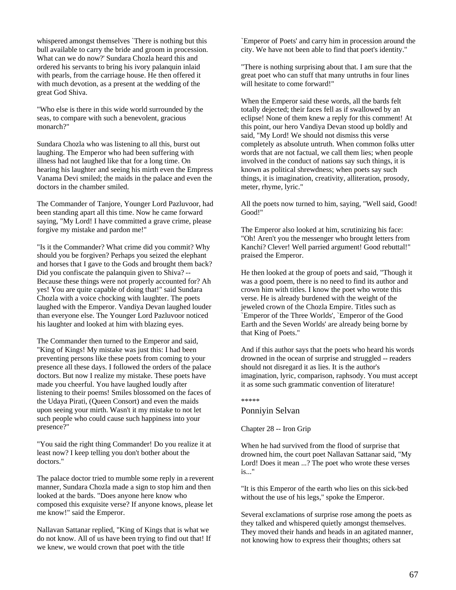whispered amongst themselves `There is nothing but this bull available to carry the bride and groom in procession. What can we do now?' Sundara Chozla heard this and ordered his servants to bring his ivory palanquin inlaid with pearls, from the carriage house. He then offered it with much devotion, as a present at the wedding of the great God Shiva.

"Who else is there in this wide world surrounded by the seas, to compare with such a benevolent, gracious monarch?"

Sundara Chozla who was listening to all this, burst out laughing. The Emperor who had been suffering with illness had not laughed like that for a long time. On hearing his laughter and seeing his mirth even the Empress Vanama Devi smiled; the maids in the palace and even the doctors in the chamber smiled.

The Commander of Tanjore, Younger Lord Pazluvoor, had been standing apart all this time. Now he came forward saying, "My Lord! I have committed a grave crime, please forgive my mistake and pardon me!"

"Is it the Commander? What crime did you commit? Why should you be forgiven? Perhaps you seized the elephant and horses that I gave to the Gods and brought them back? Did you confiscate the palanquin given to Shiva? -- Because these things were not properly accounted for? Ah yes! You are quite capable of doing that!" said Sundara Chozla with a voice chocking with laughter. The poets laughed with the Emperor. Vandiya Devan laughed louder than everyone else. The Younger Lord Pazluvoor noticed his laughter and looked at him with blazing eyes.

The Commander then turned to the Emperor and said, "King of Kings! My mistake was just this: I had been preventing persons like these poets from coming to your presence all these days. I followed the orders of the palace doctors. But now I realize my mistake. These poets have made you cheerful. You have laughed loudly after listening to their poems! Smiles blossomed on the faces of the Udaya Pirati, (Queen Consort) and even the maids upon seeing your mirth. Wasn't it my mistake to not let such people who could cause such happiness into your presence?"

"You said the right thing Commander! Do you realize it at least now? I keep telling you don't bother about the doctors."

The palace doctor tried to mumble some reply in a reverent manner, Sundara Chozla made a sign to stop him and then looked at the bards. "Does anyone here know who composed this exquisite verse? If anyone knows, please let me know!" said the Emperor.

Nallavan Sattanar replied, "King of Kings that is what we do not know. All of us have been trying to find out that! If we knew, we would crown that poet with the title

`Emperor of Poets' and carry him in procession around the city. We have not been able to find that poet's identity."

"There is nothing surprising about that. I am sure that the great poet who can stuff that many untruths in four lines will hesitate to come forward!"

When the Emperor said these words, all the bards felt totally dejected; their faces fell as if swallowed by an eclipse! None of them knew a reply for this comment! At this point, our hero Vandiya Devan stood up boldly and said, "My Lord! We should not dismiss this verse completely as absolute untruth. When common folks utter words that are not factual, we call them lies; when people involved in the conduct of nations say such things, it is known as political shrewdness; when poets say such things, it is imagination, creativity, alliteration, prosody, meter, rhyme, lyric."

All the poets now turned to him, saying, "Well said, Good! Good!"

The Emperor also looked at him, scrutinizing his face: "Oh! Aren't you the messenger who brought letters from Kanchi? Clever! Well parried argument! Good rebuttal!" praised the Emperor.

He then looked at the group of poets and said, "Though it was a good poem, there is no need to find its author and crown him with titles. I know the poet who wrote this verse. He is already burdened with the weight of the jeweled crown of the Chozla Empire. Titles such as `Emperor of the Three Worlds', `Emperor of the Good Earth and the Seven Worlds' are already being borne by that King of Poets."

And if this author says that the poets who heard his words drowned in the ocean of surprise and struggled -- readers should not disregard it as lies. It is the author's imagination, lyric, comparison, raphsody. You must accept it as some such grammatic convention of literature!

\*\*\*\*\*

## Ponniyin Selvan

Chapter 28 -- Iron Grip

When he had survived from the flood of surprise that drowned him, the court poet Nallavan Sattanar said, "My Lord! Does it mean ...? The poet who wrote these verses is..."

"It is this Emperor of the earth who lies on this sick-bed without the use of his legs," spoke the Emperor.

Several exclamations of surprise rose among the poets as they talked and whispered quietly amongst themselves. They moved their hands and heads in an agitated manner, not knowing how to express their thoughts; others sat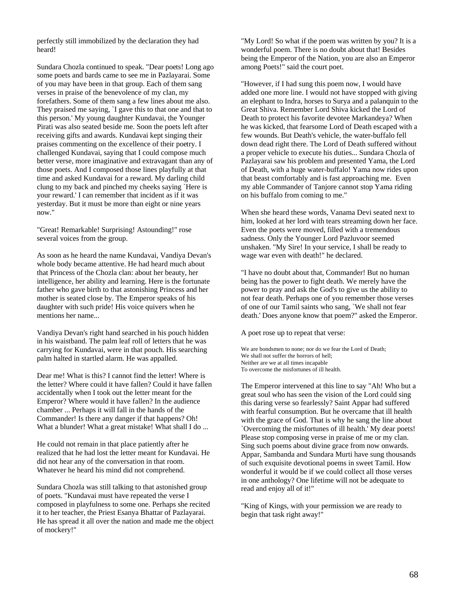perfectly still immobilized by the declaration they had heard!

Sundara Chozla continued to speak. "Dear poets! Long ago some poets and bards came to see me in Pazlayarai. Some of you may have been in that group. Each of them sang verses in praise of the benevolence of my clan, my forefathers. Some of them sang a few lines about me also. They praised me saying, `I gave this to that one and that to this person.' My young daughter Kundavai, the Younger Pirati was also seated beside me. Soon the poets left after receiving gifts and awards. Kundavai kept singing their praises commenting on the excellence of their poetry. I challenged Kundavai, saying that I could compose much better verse, more imaginative and extravagant than any of those poets. And I composed those lines playfully at that time and asked Kundavai for a reward. My darling child clung to my back and pinched my cheeks saying `Here is your reward.' I can remember that incident as if it was yesterday. But it must be more than eight or nine years now."

"Great! Remarkable! Surprising! Astounding!" rose several voices from the group.

As soon as he heard the name Kundavai, Vandiya Devan's whole body became attentive. He had heard much about that Princess of the Chozla clan: about her beauty, her intelligence, her ability and learning. Here is the fortunate father who gave birth to that astonishing Princess and her mother is seated close by. The Emperor speaks of his daughter with such pride! His voice quivers when he mentions her name...

Vandiya Devan's right hand searched in his pouch hidden in his waistband. The palm leaf roll of letters that he was carrying for Kundavai, were in that pouch. His searching palm halted in startled alarm. He was appalled.

Dear me! What is this? I cannot find the letter! Where is the letter? Where could it have fallen? Could it have fallen accidentally when I took out the letter meant for the Emperor? Where would it have fallen? In the audience chamber ... Perhaps it will fall in the hands of the Commander! Is there any danger if that happens? Oh! What a blunder! What a great mistake! What shall I do ...

He could not remain in that place patiently after he realized that he had lost the letter meant for Kundavai. He did not hear any of the conversation in that room. Whatever he heard his mind did not comprehend.

Sundara Chozla was still talking to that astonished group of poets. "Kundavai must have repeated the verse I composed in playfulness to some one. Perhaps she recited it to her teacher, the Priest Esanya Bhattar of Pazlayarai. He has spread it all over the nation and made me the object of mockery!"

"My Lord! So what if the poem was written by you? It is a wonderful poem. There is no doubt about that! Besides being the Emperor of the Nation, you are also an Emperor among Poets!" said the court poet.

"However, if I had sung this poem now, I would have added one more line. I would not have stopped with giving an elephant to Indra, horses to Surya and a palanquin to the Great Shiva. Remember Lord Shiva kicked the Lord of Death to protect his favorite devotee Markandeya? When he was kicked, that fearsome Lord of Death escaped with a few wounds. But Death's vehicle, the water-buffalo fell down dead right there. The Lord of Death suffered without a proper vehicle to execute his duties... Sundara Chozla of Pazlayarai saw his problem and presented Yama, the Lord of Death, with a huge water-buffalo! Yama now rides upon that beast comfortably and is fast approaching me. Even my able Commander of Tanjore cannot stop Yama riding on his buffalo from coming to me."

When she heard these words, Vanama Devi seated next to him, looked at her lord with tears streaming down her face. Even the poets were moved, filled with a tremendous sadness. Only the Younger Lord Pazluvoor seemed unshaken. "My Sire! In your service, I shall be ready to wage war even with death!" he declared.

"I have no doubt about that, Commander! But no human being has the power to fight death. We merely have the power to pray and ask the God's to give us the ability to not fear death. Perhaps one of you remember those verses of one of our Tamil saints who sang, `We shall not fear death.' Does anyone know that poem?" asked the Emperor.

A poet rose up to repeat that verse:

We are bondsmen to none; nor do we fear the Lord of Death; We shall not suffer the horrors of hell; Neither are we at all times incapable To overcome the misfortunes of ill health.

The Emperor intervened at this line to say "Ah! Who but a great soul who has seen the vision of the Lord could sing this daring verse so fearlessly? Saint Appar had suffered with fearful consumption. But he overcame that ill health with the grace of God. That is why he sang the line about `Overcoming the misfortunes of ill health.' My dear poets! Please stop composing verse in praise of me or my clan. Sing such poems about divine grace from now onwards. Appar, Sambanda and Sundara Murti have sung thousands of such exquisite devotional poems in sweet Tamil. How wonderful it would be if we could collect all those verses in one anthology? One lifetime will not be adequate to read and enjoy all of it!"

"King of Kings, with your permission we are ready to begin that task right away!"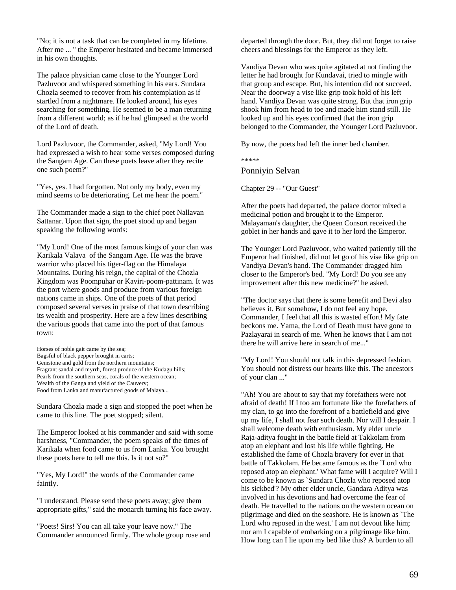"No; it is not a task that can be completed in my lifetime. After me ... " the Emperor hesitated and became immersed in his own thoughts.

The palace physician came close to the Younger Lord Pazluvoor and whispered something in his ears. Sundara Chozla seemed to recover from his contemplation as if startled from a nightmare. He looked around, his eyes searching for something. He seemed to be a man returning from a different world; as if he had glimpsed at the world of the Lord of death.

Lord Pazluvoor, the Commander, asked, "My Lord! You had expressed a wish to hear some verses composed during the Sangam Age. Can these poets leave after they recite one such poem?"

"Yes, yes. I had forgotten. Not only my body, even my mind seems to be deteriorating. Let me hear the poem."

The Commander made a sign to the chief poet Nallavan Sattanar. Upon that sign, the poet stood up and began speaking the following words:

"My Lord! One of the most famous kings of your clan was Karikala Valava of the Sangam Age. He was the brave warrior who placed his tiger-flag on the Himalaya Mountains. During his reign, the capital of the Chozla Kingdom was Poompuhar or Kaviri-poom-pattinam. It was the port where goods and produce from various foreign nations came in ships. One of the poets of that period composed several verses in praise of that town describing its wealth and prosperity. Here are a few lines describing the various goods that came into the port of that famous town:

Horses of noble gait came by the sea; Bagsful of black pepper brought in carts; Gemstone and gold from the northern mountains; Fragrant sandal and myrrh, forest produce of the Kudagu hills; Pearls from the southern seas, corals of the western ocean; Wealth of the Ganga and yield of the Cauvery; Food from Lanka and manufactured goods of Malaya...

Sundara Chozla made a sign and stopped the poet when he came to this line. The poet stopped; silent.

The Emperor looked at his commander and said with some harshness, "Commander, the poem speaks of the times of Karikala when food came to us from Lanka. You brought these poets here to tell me this. Is it not so?"

"Yes, My Lord!" the words of the Commander came faintly.

"I understand. Please send these poets away; give them appropriate gifts," said the monarch turning his face away.

"Poets! Sirs! You can all take your leave now." The Commander announced firmly. The whole group rose and departed through the door. But, they did not forget to raise cheers and blessings for the Emperor as they left.

Vandiya Devan who was quite agitated at not finding the letter he had brought for Kundavai, tried to mingle with that group and escape. But, his intention did not succeed. Near the doorway a vise like grip took hold of his left hand. Vandiya Devan was quite strong. But that iron grip shook him from head to toe and made him stand still. He looked up and his eyes confirmed that the iron grip belonged to the Commander, the Younger Lord Pazluvoor.

By now, the poets had left the inner bed chamber.

\*\*\*\*\*

Ponniyin Selvan

Chapter 29 -- "Our Guest"

After the poets had departed, the palace doctor mixed a medicinal potion and brought it to the Emperor. Malayaman's daughter, the Queen Consort received the goblet in her hands and gave it to her lord the Emperor.

The Younger Lord Pazluvoor, who waited patiently till the Emperor had finished, did not let go of his vise like grip on Vandiya Devan's hand. The Commander dragged him closer to the Emperor's bed. "My Lord! Do you see any improvement after this new medicine?" he asked.

"The doctor says that there is some benefit and Devi also believes it. But somehow, I do not feel any hope. Commander, I feel that all this is wasted effort! My fate beckons me. Yama, the Lord of Death must have gone to Pazlayarai in search of me. When he knows that I am not there he will arrive here in search of me..."

"My Lord! You should not talk in this depressed fashion. You should not distress our hearts like this. The ancestors of your clan ..."

"Ah! You are about to say that my forefathers were not afraid of death! If I too am fortunate like the forefathers of my clan, to go into the forefront of a battlefield and give up my life, I shall not fear such death. Nor will I despair. I shall welcome death with enthusiasm. My elder uncle Raja-aditya fought in the battle field at Takkolam from atop an elephant and lost his life while fighting. He established the fame of Chozla bravery for ever in that battle of Takkolam. He became famous as the `Lord who reposed atop an elephant.' What fame will I acquire? Will I come to be known as `Sundara Chozla who reposed atop his sickbed'? My other elder uncle, Gandara Aditya was involved in his devotions and had overcome the fear of death. He travelled to the nations on the western ocean on pilgrimage and died on the seashore. He is known as `The Lord who reposed in the west.' I am not devout like him; nor am I capable of embarking on a pilgrimage like him. How long can I lie upon my bed like this? A burden to all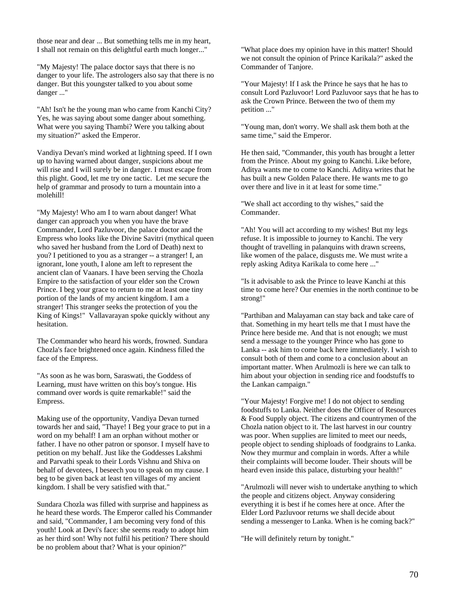those near and dear ... But something tells me in my heart, I shall not remain on this delightful earth much longer..."

"My Majesty! The palace doctor says that there is no danger to your life. The astrologers also say that there is no danger. But this youngster talked to you about some danger ..."

"Ah! Isn't he the young man who came from Kanchi City? Yes, he was saying about some danger about something. What were you saying Thambi? Were you talking about my situation?" asked the Emperor.

Vandiya Devan's mind worked at lightning speed. If I own up to having warned about danger, suspicions about me will rise and I will surely be in danger. I must escape from this plight. Good, let me try one tactic. Let me secure the help of grammar and prosody to turn a mountain into a molehill!

"My Majesty! Who am I to warn about danger! What danger can approach you when you have the brave Commander, Lord Pazluvoor, the palace doctor and the Empress who looks like the Divine Savitri (mythical queen who saved her husband from the Lord of Death) next to you? I petitioned to you as a stranger -- a stranger! I, an ignorant, lone youth, I alone am left to represent the ancient clan of Vaanars. I have been serving the Chozla Empire to the satisfaction of your elder son the Crown Prince. I beg your grace to return to me at least one tiny portion of the lands of my ancient kingdom. I am a stranger! This stranger seeks the protection of you the King of Kings!" Vallavarayan spoke quickly without any hesitation.

The Commander who heard his words, frowned. Sundara Chozla's face brightened once again. Kindness filled the face of the Empress.

"As soon as he was born, Saraswati, the Goddess of Learning, must have written on this boy's tongue. His command over words is quite remarkable!" said the Empress.

Making use of the opportunity, Vandiya Devan turned towards her and said, "Thaye! I Beg your grace to put in a word on my behalf! I am an orphan without mother or father. I have no other patron or sponsor. I myself have to petition on my behalf. Just like the Goddesses Lakshmi and Parvathi speak to their Lords Vishnu and Shiva on behalf of devotees, I beseech you to speak on my cause. I beg to be given back at least ten villages of my ancient kingdom. I shall be very satisfied with that."

Sundara Chozla was filled with surprise and happiness as he heard these words. The Emperor called his Commander and said, "Commander, I am becoming very fond of this youth! Look at Devi's face: she seems ready to adopt him as her third son! Why not fulfil his petition? There should be no problem about that? What is your opinion?"

"What place does my opinion have in this matter! Should we not consult the opinion of Prince Karikala?" asked the Commander of Tanjore.

"Your Majesty! If I ask the Prince he says that he has to consult Lord Pazluvoor! Lord Pazluvoor says that he has to ask the Crown Prince. Between the two of them my petition ..."

"Young man, don't worry. We shall ask them both at the same time," said the Emperor.

He then said, "Commander, this youth has brought a letter from the Prince. About my going to Kanchi. Like before, Aditya wants me to come to Kanchi. Aditya writes that he has built a new Golden Palace there. He wants me to go over there and live in it at least for some time."

"We shall act according to thy wishes," said the Commander.

"Ah! You will act according to my wishes! But my legs refuse. It is impossible to journey to Kanchi. The very thought of travelling in palanquins with drawn screens, like women of the palace, disgusts me. We must write a reply asking Aditya Karikala to come here ..."

"Is it advisable to ask the Prince to leave Kanchi at this time to come here? Our enemies in the north continue to be strong!"

"Parthiban and Malayaman can stay back and take care of that. Something in my heart tells me that I must have the Prince here beside me. And that is not enough; we must send a message to the younger Prince who has gone to Lanka -- ask him to come back here immediately. I wish to consult both of them and come to a conclusion about an important matter. When Arulmozli is here we can talk to him about your objection in sending rice and foodstuffs to the Lankan campaign."

"Your Majesty! Forgive me! I do not object to sending foodstuffs to Lanka. Neither does the Officer of Resources & Food Supply object. The citizens and countrymen of the Chozla nation object to it. The last harvest in our country was poor. When supplies are limited to meet our needs, people object to sending shiploads of foodgrains to Lanka. Now they murmur and complain in words. After a while their complaints will become louder. Their shouts will be heard even inside this palace, disturbing your health!"

"Arulmozli will never wish to undertake anything to which the people and citizens object. Anyway considering everything it is best if he comes here at once. After the Elder Lord Pazluvoor returns we shall decide about sending a messenger to Lanka. When is he coming back?"

"He will definitely return by tonight."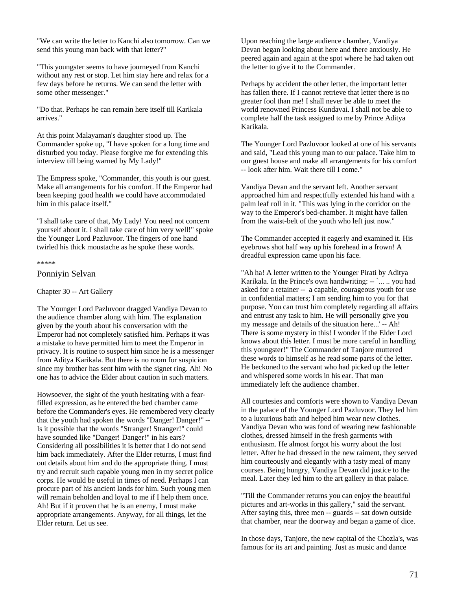"We can write the letter to Kanchi also tomorrow. Can we send this young man back with that letter?"

"This youngster seems to have journeyed from Kanchi without any rest or stop. Let him stay here and relax for a few days before he returns. We can send the letter with some other messenger."

"Do that. Perhaps he can remain here itself till Karikala arrives."

At this point Malayaman's daughter stood up. The Commander spoke up, "I have spoken for a long time and disturbed you today. Please forgive me for extending this interview till being warned by My Lady!"

The Empress spoke, "Commander, this youth is our guest. Make all arrangements for his comfort. If the Emperor had been keeping good health we could have accommodated him in this palace itself."

"I shall take care of that, My Lady! You need not concern yourself about it. I shall take care of him very well!" spoke the Younger Lord Pazluvoor. The fingers of one hand twirled his thick moustache as he spoke these words.

\*\*\*\*\*

Ponniyin Selvan

Chapter 30 -- Art Gallery

The Younger Lord Pazluvoor dragged Vandiya Devan to the audience chamber along with him. The explanation given by the youth about his conversation with the Emperor had not completely satisfied him. Perhaps it was a mistake to have permitted him to meet the Emperor in privacy. It is routine to suspect him since he is a messenger from Aditya Karikala. But there is no room for suspicion since my brother has sent him with the signet ring. Ah! No one has to advice the Elder about caution in such matters.

Howsoever, the sight of the youth hesitating with a fearfilled expression, as he entered the bed chamber came before the Commander's eyes. He remembered very clearly that the youth had spoken the words "Danger! Danger!" -- Is it possible that the words "Stranger! Stranger!" could have sounded like "Danger! Danger!" in his ears? Considering all possibilities it is better that I do not send him back immediately. After the Elder returns, I must find out details about him and do the appropriate thing. I must try and recruit such capable young men in my secret police corps. He would be useful in times of need. Perhaps I can procure part of his ancient lands for him. Such young men will remain beholden and loyal to me if I help them once. Ah! But if it proven that he is an enemy, I must make appropriate arrangements. Anyway, for all things, let the Elder return. Let us see.

Upon reaching the large audience chamber, Vandiya Devan began looking about here and there anxiously. He peered again and again at the spot where he had taken out the letter to give it to the Commander.

Perhaps by accident the other letter, the important letter has fallen there. If I cannot retrieve that letter there is no greater fool than me! I shall never be able to meet the world renowned Princess Kundavai. I shall not be able to complete half the task assigned to me by Prince Aditya Karikala.

The Younger Lord Pazluvoor looked at one of his servants and said, "Lead this young man to our palace. Take him to our guest house and make all arrangements for his comfort -- look after him. Wait there till I come."

Vandiya Devan and the servant left. Another servant approached him and respectfully extended his hand with a palm leaf roll in it. "This was lying in the corridor on the way to the Emperor's bed-chamber. It might have fallen from the waist-belt of the youth who left just now."

The Commander accepted it eagerly and examined it. His eyebrows shot half way up his forehead in a frown! A dreadful expression came upon his face.

"Ah ha! A letter written to the Younger Pirati by Aditya Karikala. In the Prince's own handwriting: -- `... .. you had asked for a retainer -- a capable, courageous youth for use in confidential matters; I am sending him to you for that purpose. You can trust him completely regarding all affairs and entrust any task to him. He will personally give you my message and details of the situation here...' -- Ah! There is some mystery in this! I wonder if the Elder Lord knows about this letter. I must be more careful in handling this youngster!" The Commander of Tanjore muttered these words to himself as he read some parts of the letter. He beckoned to the servant who had picked up the letter and whispered some words in his ear. That man immediately left the audience chamber.

All courtesies and comforts were shown to Vandiya Devan in the palace of the Younger Lord Pazluvoor. They led him to a luxurious bath and helped him wear new clothes. Vandiya Devan who was fond of wearing new fashionable clothes, dressed himself in the fresh garments with enthusiasm. He almost forgot his worry about the lost letter. After he had dressed in the new raiment, they served him courteously and elegantly with a tasty meal of many courses. Being hungry, Vandiya Devan did justice to the meal. Later they led him to the art gallery in that palace.

"Till the Commander returns you can enjoy the beautiful pictures and art-works in this gallery," said the servant. After saying this, three men -- guards -- sat down outside that chamber, near the doorway and began a game of dice.

In those days, Tanjore, the new capital of the Chozla's, was famous for its art and painting. Just as music and dance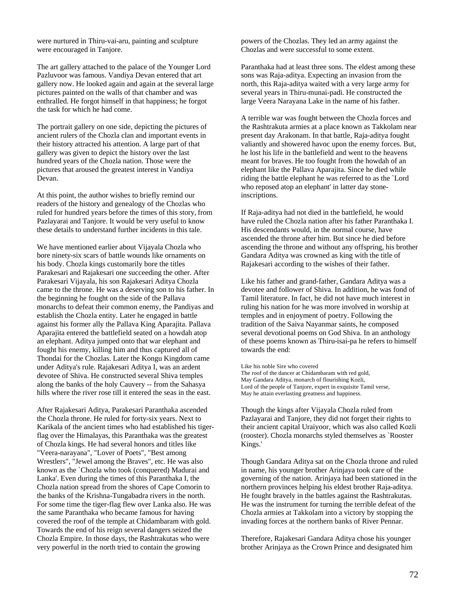were nurtured in Thiru-vai-aru, painting and sculpture were encouraged in Tanjore.

The art gallery attached to the palace of the Younger Lord Pazluvoor was famous. Vandiya Devan entered that art gallery now. He looked again and again at the several large pictures painted on the walls of that chamber and was enthralled. He forgot himself in that happiness; he forgot the task for which he had come.

The portrait gallery on one side, depicting the pictures of ancient rulers of the Chozla clan and important events in their history attracted his attention. A large part of that gallery was given to depict the history over the last hundred years of the Chozla nation. Those were the pictures that aroused the greatest interest in Vandiya Devan.

At this point, the author wishes to briefly remind our readers of the history and genealogy of the Chozlas who ruled for hundred years before the times of this story, from Pazlayarai and Tanjore. It would be very useful to know these details to understand further incidents in this tale.

We have mentioned earlier about Vijayala Chozla who bore ninety-six scars of battle wounds like ornaments on his body. Chozla kings customarily bore the titles Parakesari and Rajakesari one succeeding the other. After Parakesari Vijayala, his son Rajakesari Aditya Chozla came to the throne. He was a deserving son to his father. In the beginning he fought on the side of the Pallava monarchs to defeat their common enemy, the Pandiyas and establish the Chozla entity. Later he engaged in battle against his former ally the Pallava King Aparajita. Pallava Aparajita entered the battlefield seated on a howdah atop an elephant. Aditya jumped onto that war elephant and fought his enemy, killing him and thus captured all of Thondai for the Chozlas. Later the Kongu Kingdom came under Aditya's rule. Rajakesari Aditya I, was an ardent devotee of Shiva. He constructed several Shiva temples along the banks of the holy Cauvery -- from the Sahasya hills where the river rose till it entered the seas in the east.

After Rajakesari Aditya, Parakesari Paranthaka ascended the Chozla throne. He ruled for forty-six years. Next to Karikala of the ancient times who had established his tigerflag over the Himalayas, this Paranthaka was the greatest of Chozla kings. He had several honors and titles like "Veera-narayana", "Lover of Poets", "Best among Wrestlers", "Jewel among the Braves", etc. He was also known as the `Chozla who took (conquered) Madurai and Lanka'. Even during the times of this Paranthaka I, the Chozla nation spread from the shores of Cape Comorin to the banks of the Krishna-Tungabadra rivers in the north. For some time the tiger-flag flew over Lanka also. He was the same Paranthaka who became famous for having covered the roof of the temple at Chidambaram with gold. Towards the end of his reign several dangers seized the Chozla Empire. In those days, the Rashtrakutas who were very powerful in the north tried to contain the growing

powers of the Chozlas. They led an army against the Chozlas and were successful to some extent.

Paranthaka had at least three sons. The eldest among these sons was Raja-aditya. Expecting an invasion from the north, this Raja-aditya waited with a very large army for several years in Thiru-munai-padi. He constructed the large Veera Narayana Lake in the name of his father.

A terrible war was fought between the Chozla forces and the Rashtrakuta armies at a place known as Takkolam near present day Arakonam. In that battle, Raja-aditya fought valiantly and showered havoc upon the enemy forces. But, he lost his life in the battlefield and went to the heavens meant for braves. He too fought from the howdah of an elephant like the Pallava Aparajita. Since he died while riding the battle elephant he was referred to as the `Lord who reposed atop an elephant' in latter day stoneinscriptions.

If Raja-aditya had not died in the battlefield, he would have ruled the Chozla nation after his father Paranthaka I. His descendants would, in the normal course, have ascended the throne after him. But since he died before ascending the throne and without any offspring, his brother Gandara Aditya was crowned as king with the title of Rajakesari according to the wishes of their father.

Like his father and grand-father, Gandara Aditya was a devotee and follower of Shiva. In addition, he was fond of Tamil literature. In fact, he did not have much interest in ruling his nation for he was more involved in worship at temples and in enjoyment of poetry. Following the tradition of the Saiva Nayanmar saints, he composed several devotional poems on God Shiva. In an anthology of these poems known as Thiru-isai-pa he refers to himself towards the end:

Like his noble Sire who covered The roof of the dancer at Chidambaram with red gold, May Gandara Aditya, monarch of flourishing Kozli, Lord of the people of Tanjore, expert in exquisite Tamil verse, May he attain everlasting greatness and happiness.

Though the kings after Vijayala Chozla ruled from Pazlayarai and Tanjore, they did not forget their rights to their ancient capital Uraiyoor, which was also called Kozli (rooster). Chozla monarchs styled themselves as `Rooster Kings.'

Though Gandara Aditya sat on the Chozla throne and ruled in name, his younger brother Arinjaya took care of the governing of the nation. Arinjaya had been stationed in the northern provinces helping his eldest brother Raja-aditya. He fought bravely in the battles against the Rashtrakutas. He was the instrument for turning the terrible defeat of the Chozla armies at Takkolam into a victory by stopping the invading forces at the northern banks of River Pennar.

Therefore, Rajakesari Gandara Aditya chose his younger brother Arinjaya as the Crown Prince and designated him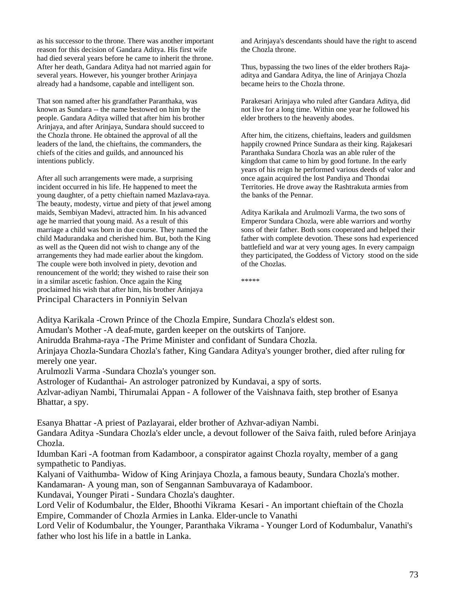as his successor to the throne. There was another important reason for this decision of Gandara Aditya. His first wife had died several years before he came to inherit the throne. After her death, Gandara Aditya had not married again for several years. However, his younger brother Arinjaya already had a handsome, capable and intelligent son.

That son named after his grandfather Paranthaka, was known as Sundara -- the name bestowed on him by the people. Gandara Aditya willed that after him his brother Arinjaya, and after Arinjaya, Sundara should succeed to the Chozla throne. He obtained the approval of all the leaders of the land, the chieftains, the commanders, the chiefs of the cities and guilds, and announced his intentions publicly.

After all such arrangements were made, a surprising incident occurred in his life. He happened to meet the young daughter, of a petty chieftain named Mazlava-raya. The beauty, modesty, virtue and piety of that jewel among maids, Sembiyan Madevi, attracted him. In his advanced age he married that young maid. As a result of this marriage a child was born in due course. They named the child Madurandaka and cherished him. But, both the King as well as the Queen did not wish to change any of the arrangements they had made earlier about the kingdom. The couple were both involved in piety, devotion and renouncement of the world; they wished to raise their son in a similar ascetic fashion. Once again the King proclaimed his wish that after him, his brother Arinjaya Principal Characters in Ponniyin Selvan

and Arinjaya's descendants should have the right to ascend the Chozla throne.

Thus, bypassing the two lines of the elder brothers Rajaaditya and Gandara Aditya, the line of Arinjaya Chozla became heirs to the Chozla throne.

Parakesari Arinjaya who ruled after Gandara Aditya, did not live for a long time. Within one year he followed his elder brothers to the heavenly abodes.

After him, the citizens, chieftains, leaders and guildsmen happily crowned Prince Sundara as their king. Rajakesari Paranthaka Sundara Chozla was an able ruler of the kingdom that came to him by good fortune. In the early years of his reign he performed various deeds of valor and once again acquired the lost Pandiya and Thondai Territories. He drove away the Rashtrakuta armies from the banks of the Pennar.

Aditya Karikala and Arulmozli Varma, the two sons of Emperor Sundara Chozla, were able warriors and worthy sons of their father. Both sons cooperated and helped their father with complete devotion. These sons had experienced battlefield and war at very young ages. In every campaign they participated, the Goddess of Victory stood on the side of the Chozlas.

\*\*\*\*\*

Aditya Karikala -Crown Prince of the Chozla Empire, Sundara Chozla's eldest son.

Amudan's Mother -A deaf-mute, garden keeper on the outskirts of Tanjore.

Anirudda Brahma-raya -The Prime Minister and confidant of Sundara Chozla.

Arinjaya Chozla-Sundara Chozla's father, King Gandara Aditya's younger brother, died after ruling for merely one year.

Arulmozli Varma -Sundara Chozla's younger son.

Astrologer of Kudanthai- An astrologer patronized by Kundavai, a spy of sorts.

Azlvar-adiyan Nambi, Thirumalai Appan - A follower of the Vaishnava faith, step brother of Esanya Bhattar, a spy.

Esanya Bhattar -A priest of Pazlayarai, elder brother of Azhvar-adiyan Nambi.

Gandara Aditya -Sundara Chozla's elder uncle, a devout follower of the Saiva faith, ruled before Arinjaya Chozla.

Idumban Kari -A footman from Kadamboor, a conspirator against Chozla royalty, member of a gang sympathetic to Pandiyas.

Kalyani of Vaithumba- Widow of King Arinjaya Chozla, a famous beauty, Sundara Chozla's mother. Kandamaran- A young man, son of Sengannan Sambuvaraya of Kadamboor.

Kundavai, Younger Pirati - Sundara Chozla's daughter.

Lord Velir of Kodumbalur, the Elder, Bhoothi Vikrama Kesari - An important chieftain of the Chozla Empire, Commander of Chozla Armies in Lanka. Elder-uncle to Vanathi

Lord Velir of Kodumbalur, the Younger, Paranthaka Vikrama - Younger Lord of Kodumbalur, Vanathi's father who lost his life in a battle in Lanka.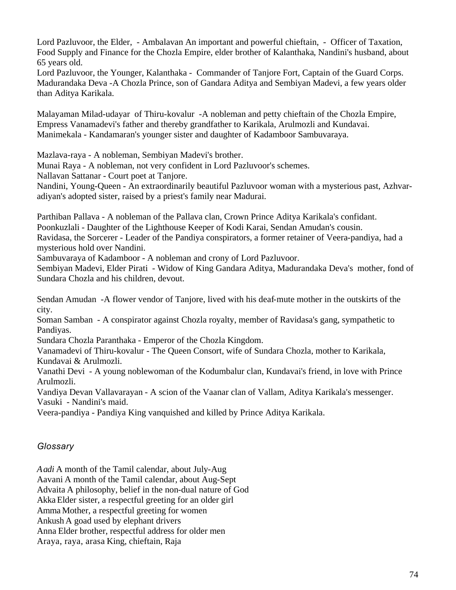Lord Pazluvoor, the Elder, - Ambalavan An important and powerful chieftain, - Officer of Taxation, Food Supply and Finance for the Chozla Empire, elder brother of Kalanthaka, Nandini's husband, about 65 years old.

Lord Pazluvoor, the Younger, Kalanthaka - Commander of Tanjore Fort, Captain of the Guard Corps. Madurandaka Deva -A Chozla Prince, son of Gandara Aditya and Sembiyan Madevi, a few years older than Aditya Karikala.

Malayaman Milad-udayar of Thiru-kovalur -A nobleman and petty chieftain of the Chozla Empire, Empress Vanamadevi's father and thereby grandfather to Karikala, Arulmozli and Kundavai. Manimekala - Kandamaran's younger sister and daughter of Kadamboor Sambuvaraya.

Mazlava-raya - A nobleman, Sembiyan Madevi's brother.

Munai Raya - A nobleman, not very confident in Lord Pazluvoor's schemes.

Nallavan Sattanar - Court poet at Tanjore.

Nandini, Young-Queen - An extraordinarily beautiful Pazluvoor woman with a mysterious past, Azhvaradiyan's adopted sister, raised by a priest's family near Madurai.

Parthiban Pallava - A nobleman of the Pallava clan, Crown Prince Aditya Karikala's confidant. Poonkuzlali - Daughter of the Lighthouse Keeper of Kodi Karai, Sendan Amudan's cousin. Ravidasa, the Sorcerer - Leader of the Pandiya conspirators, a former retainer of Veera-pandiya, had a mysterious hold over Nandini.

Sambuvaraya of Kadamboor - A nobleman and crony of Lord Pazluvoor.

Sembiyan Madevi, Elder Pirati - Widow of King Gandara Aditya, Madurandaka Deva's mother, fond of Sundara Chozla and his children, devout.

Sendan Amudan -A flower vendor of Tanjore, lived with his deaf-mute mother in the outskirts of the city.

Soman Samban - A conspirator against Chozla royalty, member of Ravidasa's gang, sympathetic to Pandiyas.

Sundara Chozla Paranthaka - Emperor of the Chozla Kingdom.

Vanamadevi of Thiru-kovalur - The Queen Consort, wife of Sundara Chozla, mother to Karikala, Kundavai & Arulmozli.

Vanathi Devi - A young noblewoman of the Kodumbalur clan, Kundavai's friend, in love with Prince Arulmozli.

Vandiya Devan Vallavarayan - A scion of the Vaanar clan of Vallam, Aditya Karikala's messenger. Vasuki - Nandini's maid.

Veera-pandiya - Pandiya King vanquished and killed by Prince Aditya Karikala.

## *Glossary*

*Aadi* A month of the Tamil calendar, about July-Aug

Aavani A month of the Tamil calendar, about Aug-Sept

Advaita A philosophy, belief in the non-dual nature of God

Akka Elder sister, a respectful greeting for an older girl

Amma Mother, a respectful greeting for women

Ankush A goad used by elephant drivers

Anna Elder brother, respectful address for older men

Araya, raya, arasa King, chieftain, Raja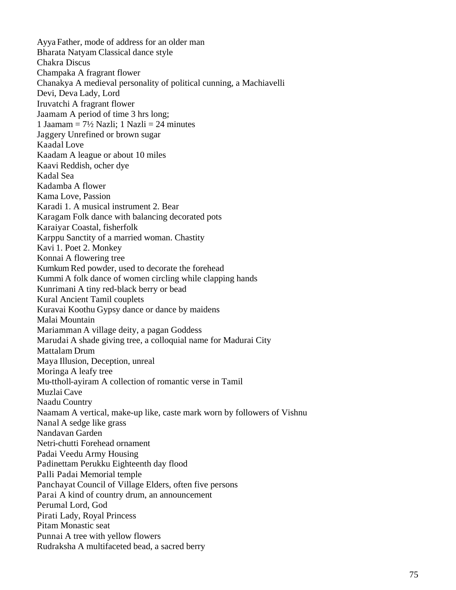Ayya Father, mode of address for an older man Bharata Natyam Classical dance style Chakra Discus Champaka A fragrant flower Chanakya A medieval personality of political cunning, a Machiavelli Devi, Deva Lady, Lord Iruvatchi A fragrant flower Jaamam A period of time 3 hrs long; 1 Jaamam =  $7\frac{1}{2}$  Nazli: 1 Nazli = 24 minutes Jaggery Unrefined or brown sugar Kaadal Love Kaadam A league or about 10 miles Kaavi Reddish, ocher dye Kadal Sea Kadamba A flower Kama Love, Passion Karadi 1. A musical instrument 2. Bear Karagam Folk dance with balancing decorated pots Karaiyar Coastal, fisherfolk Karppu Sanctity of a married woman. Chastity Kavi 1. Poet 2. Monkey Konnai A flowering tree Kumkum Red powder, used to decorate the forehead Kummi A folk dance of women circling while clapping hands Kunrimani A tiny red-black berry or bead Kural Ancient Tamil couplets Kuravai Koothu Gypsy dance or dance by maidens Malai Mountain Mariamman A village deity, a pagan Goddess Marudai A shade giving tree, a colloquial name for Madurai City Mattalam Drum Maya Illusion, Deception, unreal Moringa A leafy tree Mu-ttholl-ayiram A collection of romantic verse in Tamil Muzlai Cave Naadu Country Naamam A vertical, make-up like, caste mark worn by followers of Vishnu Nanal A sedge like grass Nandavan Garden Netri-chutti Forehead ornament Padai Veedu Army Housing Padinettam Perukku Eighteenth day flood Palli Padai Memorial temple Panchayat Council of Village Elders, often five persons Parai A kind of country drum, an announcement Perumal Lord, God Pirati Lady, Royal Princess Pitam Monastic seat Punnai A tree with yellow flowers Rudraksha A multifaceted bead, a sacred berry